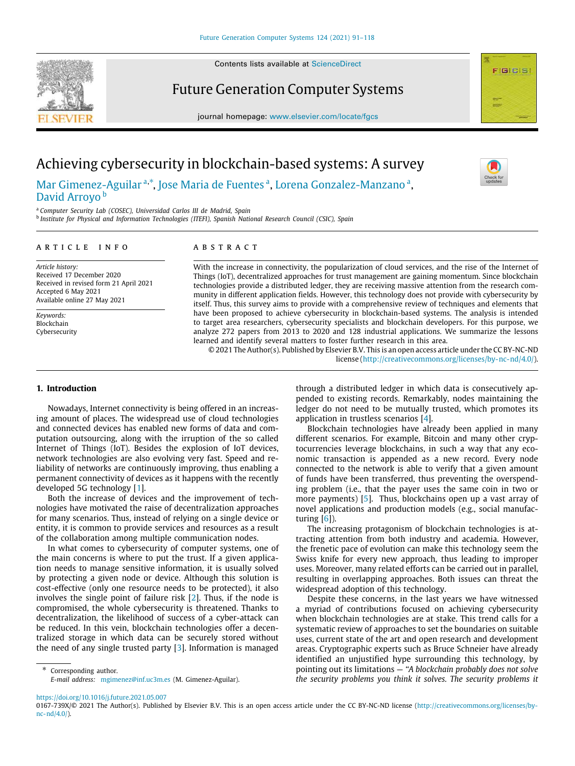Contents lists available at [ScienceDirect](http://www.elsevier.com/locate/fgcs)

# Future Generation Computer Systems

journal homepage: [www.elsevier.com/locate/fgcs](http://www.elsevier.com/locate/fgcs)



# Achieving cybersecurity in blockchain-based systems: A survey

[Mar](#page-27-0) [Gimenez-Aguilar](#page-27-0) <sup>[a](#page-0-0),\*</sup>, [Jose](#page-27-1) [Maria](#page-27-1) [de Fuentes](#page-27-1) ª, [Lorena](#page-27-2) [Gonzalez-Manzano](#page-27-2) ª, [David](#page-27-3) Arrovo<sup>[b](#page-0-2)</sup>

<span id="page-0-0"></span><sup>a</sup> *Computer Security Lab (COSEC), Universidad Carlos III de Madrid, Spain*

<span id="page-0-2"></span>b *Institute for Physical and Information Technologies (ITEFI), Spanish National Research Council (CSIC), Spain*

#### a r t i c l e i n f o

*Article history:* Received 17 December 2020 Received in revised form 21 April 2021 Accepted 6 May 2021 Available online 27 May 2021

*Keywords:* Blockchain Cybersecurity

#### A B S T R A C T

With the increase in connectivity, the popularization of cloud services, and the rise of the Internet of Things (IoT), decentralized approaches for trust management are gaining momentum. Since blockchain technologies provide a distributed ledger, they are receiving massive attention from the research community in different application fields. However, this technology does not provide with cybersecurity by itself. Thus, this survey aims to provide with a comprehensive review of techniques and elements that have been proposed to achieve cybersecurity in blockchain-based systems. The analysis is intended to target area researchers, cybersecurity specialists and blockchain developers. For this purpose, we analyze 272 papers from 2013 to 2020 and 128 industrial applications. We summarize the lessons learned and identify several matters to foster further research in this area.

© 2021 The Author(s). Published by Elsevier B.V. This is an open access article under the CC BY-NC-ND license (<http://creativecommons.org/licenses/by-nc-nd/4.0/>).

# **1. Introduction**

Nowadays, Internet connectivity is being offered in an increasing amount of places. The widespread use of cloud technologies and connected devices has enabled new forms of data and computation outsourcing, along with the irruption of the so called Internet of Things (IoT). Besides the explosion of IoT devices, network technologies are also evolving very fast. Speed and reliability of networks are continuously improving, thus enabling a permanent connectivity of devices as it happens with the recently developed 5G technology [\[1](#page-20-0)].

Both the increase of devices and the improvement of technologies have motivated the raise of decentralization approaches for many scenarios. Thus, instead of relying on a single device or entity, it is common to provide services and resources as a result of the collaboration among multiple communication nodes.

In what comes to cybersecurity of computer systems, one of the main concerns is where to put the trust. If a given application needs to manage sensitive information, it is usually solved by protecting a given node or device. Although this solution is cost-effective (only one resource needs to be protected), it also involves the single point of failure risk [\[2](#page-20-1)]. Thus, if the node is compromised, the whole cybersecurity is threatened. Thanks to decentralization, the likelihood of success of a cyber-attack can be reduced. In this vein, blockchain technologies offer a decentralized storage in which data can be securely stored without the need of any single trusted party [\[3](#page-20-2)]. Information is managed

<span id="page-0-1"></span>Corresponding author. *E-mail address:* [mgimenez@inf.uc3m.es](mailto:mgimenez@inf.uc3m.es) (M. Gimenez-Aguilar). through a distributed ledger in which data is consecutively appended to existing records. Remarkably, nodes maintaining the ledger do not need to be mutually trusted, which promotes its application in trustless scenarios [\[4\]](#page-20-3).

Blockchain technologies have already been applied in many different scenarios. For example, Bitcoin and many other cryptocurrencies leverage blockchains, in such a way that any economic transaction is appended as a new record. Every node connected to the network is able to verify that a given amount of funds have been transferred, thus preventing the overspending problem (i.e., that the payer uses the same coin in two or more payments) [[5\]](#page-20-4). Thus, blockchains open up a vast array of novel applications and production models (e.g., social manufacturing [[6\]](#page-20-5)).

The increasing protagonism of blockchain technologies is attracting attention from both industry and academia. However, the frenetic pace of evolution can make this technology seem the Swiss knife for every new approach, thus leading to improper uses. Moreover, many related efforts can be carried out in parallel, resulting in overlapping approaches. Both issues can threat the widespread adoption of this technology.

Despite these concerns, in the last years we have witnessed a myriad of contributions focused on achieving cybersecurity when blockchain technologies are at stake. This trend calls for a systematic review of approaches to set the boundaries on suitable uses, current state of the art and open research and development areas. Cryptographic experts such as Bruce Schneier have already identified an unjustified hype surrounding this technology, by pointing out its limitations — *''A blockchain probably does not solve the security problems you think it solves. The security problems it*

<https://doi.org/10.1016/j.future.2021.05.007>

<sup>0167-739</sup>X/© 2021 The Author(s). Published by Elsevier B.V. This is an open access article under the CC BY-NC-ND license [\(http://creativecommons.org/licenses/by](http://creativecommons.org/licenses/by-nc-nd/4.0/)[nc-nd/4.0/\)](http://creativecommons.org/licenses/by-nc-nd/4.0/).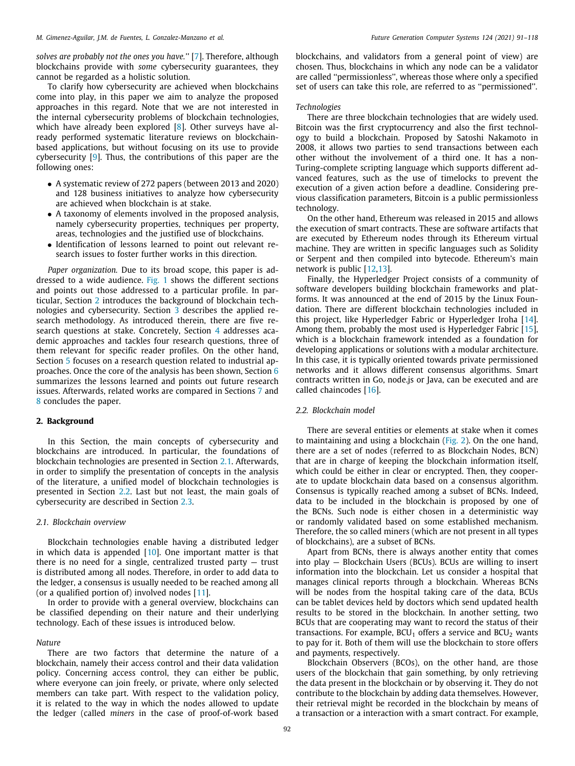*solves are probably not the ones you have.''* [[7](#page-21-0)]. Therefore, although blockchains provide with *some* cybersecurity guarantees, they cannot be regarded as a holistic solution.

To clarify how cybersecurity are achieved when blockchains come into play, in this paper we aim to analyze the proposed approaches in this regard. Note that we are not interested in the internal cybersecurity problems of blockchain technologies, which have already been explored [\[8](#page-21-1)]. Other surveys have already performed systematic literature reviews on blockchainbased applications, but without focusing on its use to provide cybersecurity [\[9\]](#page-21-2). Thus, the contributions of this paper are the following ones:

- A systematic review of 272 papers (between 2013 and 2020) and 128 business initiatives to analyze how cybersecurity are achieved when blockchain is at stake.
- A taxonomy of elements involved in the proposed analysis, namely cybersecurity properties, techniques per property, areas, technologies and the justified use of blockchains.
- Identification of lessons learned to point out relevant research issues to foster further works in this direction.

*Paper organization.* Due to its broad scope, this paper is addressed to a wide audience. [Fig.](#page-2-0) [1](#page-2-0) shows the different sections and points out those addressed to a particular profile. In particular, Section [2](#page-1-0) introduces the background of blockchain technologies and cybersecurity. Section [3](#page-3-0) describes the applied research methodology. As introduced therein, there are five research questions at stake. Concretely, Section [4](#page-4-0) addresses academic approaches and tackles four research questions, three of them relevant for specific reader profiles. On the other hand, Section [5](#page-10-0) focuses on a research question related to industrial approaches. Once the core of the analysis has been shown, Section [6](#page-11-0) summarizes the lessons learned and points out future research issues. Afterwards, related works are compared in Sections [7](#page-15-0) and [8](#page-16-0) concludes the paper.

# **2. Background**

<span id="page-1-0"></span>In this Section, the main concepts of cybersecurity and blockchains are introduced. In particular, the foundations of blockchain technologies are presented in Section [2.1.](#page-1-1) Afterwards, in order to simplify the presentation of concepts in the analysis of the literature, a unified model of blockchain technologies is presented in Section [2.2.](#page-1-2) Last but not least, the main goals of cybersecurity are described in Section [2.3](#page-2-1).

# *2.1. Blockchain overview*

<span id="page-1-1"></span>Blockchain technologies enable having a distributed ledger in which data is appended [\[10](#page-21-3)]. One important matter is that there is no need for a single, centralized trusted party — trust is distributed among all nodes. Therefore, in order to add data to the ledger, a consensus is usually needed to be reached among all (or a qualified portion of) involved nodes  $[11]$  $[11]$  $[11]$ .

In order to provide with a general overview, blockchains can be classified depending on their nature and their underlying technology. Each of these issues is introduced below.

#### *Nature*

There are two factors that determine the nature of a blockchain, namely their access control and their data validation policy. Concerning access control, they can either be public, where everyone can join freely, or private, where only selected members can take part. With respect to the validation policy, it is related to the way in which the nodes allowed to update the ledger (called *miners* in the case of proof-of-work based

blockchains, and validators from a general point of view) are chosen. Thus, blockchains in which any node can be a validator are called ''permissionless'', whereas those where only a specified set of users can take this role, are referred to as ''permissioned''.

# *Technologies*

There are three blockchain technologies that are widely used. Bitcoin was the first cryptocurrency and also the first technology to build a blockchain. Proposed by Satoshi Nakamoto in 2008, it allows two parties to send transactions between each other without the involvement of a third one. It has a non-Turing-complete scripting language which supports different advanced features, such as the use of timelocks to prevent the execution of a given action before a deadline. Considering previous classification parameters, Bitcoin is a public permissionless technology.

On the other hand, Ethereum was released in 2015 and allows the execution of smart contracts. These are software artifacts that are executed by Ethereum nodes through its Ethereum virtual machine. They are written in specific languages such as Solidity or Serpent and then compiled into bytecode. Ethereum's main network is public [\[12,](#page-21-5)[13](#page-21-6)].

Finally, the Hyperledger Project consists of a community of software developers building blockchain frameworks and platforms. It was announced at the end of 2015 by the Linux Foundation. There are different blockchain technologies included in this project, like Hyperledger Fabric or Hyperledger Iroha [\[14\]](#page-21-7). Among them, probably the most used is Hyperledger Fabric [\[15\]](#page-21-8), which is a blockchain framework intended as a foundation for developing applications or solutions with a modular architecture. In this case, it is typically oriented towards private permissioned networks and it allows different consensus algorithms. Smart contracts written in Go, node.js or Java, can be executed and are called chaincodes [\[16\]](#page-21-9).

#### *2.2. Blockchain model*

<span id="page-1-2"></span>There are several entities or elements at stake when it comes to maintaining and using a blockchain ([Fig.](#page-2-2) [2](#page-2-2)). On the one hand, there are a set of nodes (referred to as Blockchain Nodes, BCN) that are in charge of keeping the blockchain information itself, which could be either in clear or encrypted. Then, they cooperate to update blockchain data based on a consensus algorithm. Consensus is typically reached among a subset of BCNs. Indeed, data to be included in the blockchain is proposed by one of the BCNs. Such node is either chosen in a deterministic way or randomly validated based on some established mechanism. Therefore, the so called miners (which are not present in all types of blockchains), are a subset of BCNs.

Apart from BCNs, there is always another entity that comes into play — Blockchain Users (BCUs). BCUs are willing to insert information into the blockchain. Let us consider a hospital that manages clinical reports through a blockchain. Whereas BCNs will be nodes from the hospital taking care of the data, BCUs can be tablet devices held by doctors which send updated health results to be stored in the blockchain. In another setting, two BCUs that are cooperating may want to record the status of their transactions. For example,  $BCU_1$  offers a service and  $BCU_2$  wants to pay for it. Both of them will use the blockchain to store offers and payments, respectively.

Blockchain Observers (BCOs), on the other hand, are those users of the blockchain that gain something, by only retrieving the data present in the blockchain or by observing it. They do not contribute to the blockchain by adding data themselves. However, their retrieval might be recorded in the blockchain by means of a transaction or a interaction with a smart contract. For example,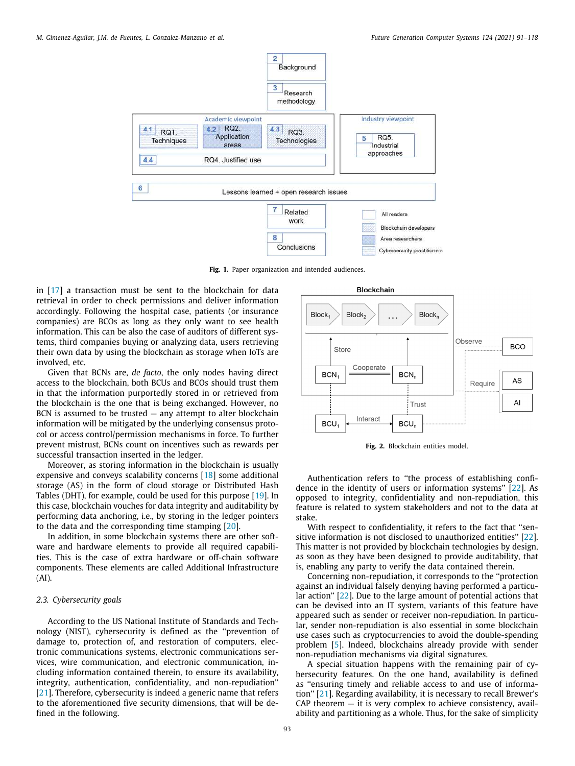

**Fig. 1.** Paper organization and intended audiences.

<span id="page-2-0"></span>in [\[17\]](#page-21-10) a transaction must be sent to the blockchain for data retrieval in order to check permissions and deliver information accordingly. Following the hospital case, patients (or insurance companies) are BCOs as long as they only want to see health information. This can be also the case of auditors of different systems, third companies buying or analyzing data, users retrieving their own data by using the blockchain as storage when IoTs are involved, etc.

Given that BCNs are, *de facto*, the only nodes having direct access to the blockchain, both BCUs and BCOs should trust them in that the information purportedly stored in or retrieved from the blockchain is the one that is being exchanged. However, no BCN is assumed to be trusted  $-$  any attempt to alter blockchain information will be mitigated by the underlying consensus protocol or access control/permission mechanisms in force. To further prevent mistrust, BCNs count on incentives such as rewards per successful transaction inserted in the ledger.

Moreover, as storing information in the blockchain is usually expensive and conveys scalability concerns [\[18\]](#page-21-11) some additional storage (AS) in the form of cloud storage or Distributed Hash Tables (DHT), for example, could be used for this purpose [\[19\]](#page-21-12). In this case, blockchain vouches for data integrity and auditability by performing data anchoring, i.e., by storing in the ledger pointers to the data and the corresponding time stamping [[20](#page-21-13)].

In addition, in some blockchain systems there are other software and hardware elements to provide all required capabilities. This is the case of extra hardware or off-chain software components. These elements are called Additional Infrastructure (AI).

# *2.3. Cybersecurity goals*

<span id="page-2-1"></span>According to the US National Institute of Standards and Technology (NIST), cybersecurity is defined as the ''prevention of damage to, protection of, and restoration of computers, electronic communications systems, electronic communications services, wire communication, and electronic communication, including information contained therein, to ensure its availability, integrity, authentication, confidentiality, and non-repudiation'' [[21](#page-21-14)]. Therefore, cybersecurity is indeed a generic name that refers to the aforementioned five security dimensions, that will be defined in the following.



**Fig. 2.** Blockchain entities model.

<span id="page-2-2"></span>Authentication refers to ''the process of establishing confidence in the identity of users or information systems'' [\[22\]](#page-21-15). As opposed to integrity, confidentiality and non-repudiation, this feature is related to system stakeholders and not to the data at stake.

With respect to confidentiality, it refers to the fact that ''sensitive information is not disclosed to unauthorized entities'' [\[22\]](#page-21-15). This matter is not provided by blockchain technologies by design, as soon as they have been designed to provide auditability, that is, enabling any party to verify the data contained therein.

Concerning non-repudiation, it corresponds to the ''protection against an individual falsely denying having performed a particular action'' [\[22\]](#page-21-15). Due to the large amount of potential actions that can be devised into an IT system, variants of this feature have appeared such as sender or receiver non-repudiation. In particular, sender non-repudiation is also essential in some blockchain use cases such as cryptocurrencies to avoid the double-spending problem [\[5](#page-20-4)]. Indeed, blockchains already provide with sender non-repudiation mechanisms via digital signatures.

A special situation happens with the remaining pair of cybersecurity features. On the one hand, availability is defined as ''ensuring timely and reliable access to and use of information'' [\[21\]](#page-21-14). Regarding availability, it is necessary to recall Brewer's  $CAP$  theorem  $-$  it is very complex to achieve consistency, availability and partitioning as a whole. Thus, for the sake of simplicity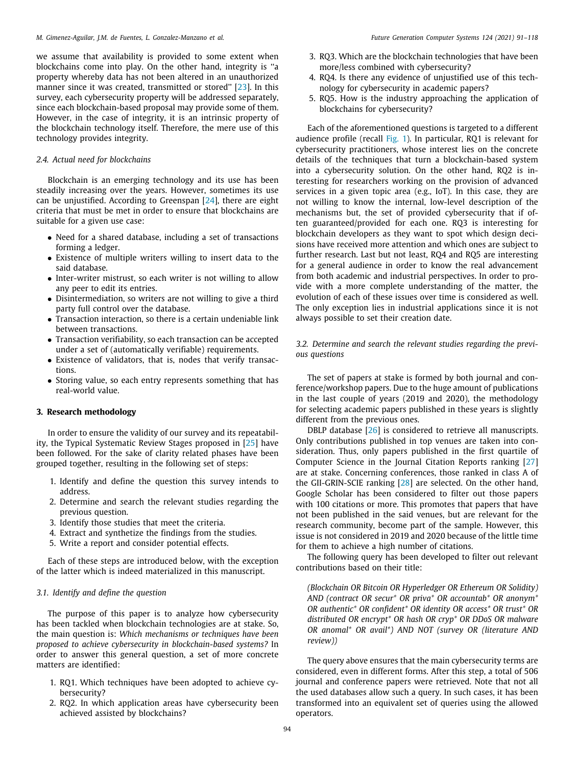we assume that availability is provided to some extent when blockchains come into play. On the other hand, integrity is ''a property whereby data has not been altered in an unauthorized manner since it was created, transmitted or stored'' [\[23\]](#page-21-16). In this survey, each cybersecurity property will be addressed separately, since each blockchain-based proposal may provide some of them. However, in the case of integrity, it is an intrinsic property of the blockchain technology itself. Therefore, the mere use of this technology provides integrity.

# *2.4. Actual need for blockchains*

<span id="page-3-2"></span>Blockchain is an emerging technology and its use has been steadily increasing over the years. However, sometimes its use can be unjustified. According to Greenspan [[24](#page-21-17)], there are eight criteria that must be met in order to ensure that blockchains are suitable for a given use case:

- Need for a shared database, including a set of transactions forming a ledger.
- Existence of multiple writers willing to insert data to the said database.
- Inter-writer mistrust, so each writer is not willing to allow any peer to edit its entries.
- Disintermediation, so writers are not willing to give a third party full control over the database.
- Transaction interaction, so there is a certain undeniable link between transactions.
- Transaction verifiability, so each transaction can be accepted under a set of (automatically verifiable) requirements.
- Existence of validators, that is, nodes that verify transactions.
- Storing value, so each entry represents something that has real-world value.

# **3. Research methodology**

<span id="page-3-0"></span>In order to ensure the validity of our survey and its repeatability, the Typical Systematic Review Stages proposed in [[25](#page-21-18)] have been followed. For the sake of clarity related phases have been grouped together, resulting in the following set of steps:

- 1. Identify and define the question this survey intends to address.
- 2. Determine and search the relevant studies regarding the previous question.
- 3. Identify those studies that meet the criteria.
- 4. Extract and synthetize the findings from the studies.
- 5. Write a report and consider potential effects.

Each of these steps are introduced below, with the exception of the latter which is indeed materialized in this manuscript.

# *3.1. Identify and define the question*

<span id="page-3-1"></span>The purpose of this paper is to analyze how cybersecurity has been tackled when blockchain technologies are at stake. So, the main question is: *Which mechanisms or techniques have been proposed to achieve cybersecurity in blockchain-based systems?* In order to answer this general question, a set of more concrete matters are identified:

- 1. RQ1. Which techniques have been adopted to achieve cybersecurity?
- 2. RQ2. In which application areas have cybersecurity been achieved assisted by blockchains?
- 3. RQ3. Which are the blockchain technologies that have been more/less combined with cybersecurity?
- 4. RQ4. Is there any evidence of unjustified use of this technology for cybersecurity in academic papers?
- 5. RQ5. How is the industry approaching the application of blockchains for cybersecurity?

Each of the aforementioned questions is targeted to a different audience profile (recall [Fig.](#page-2-0) [1](#page-2-0)). In particular, RQ1 is relevant for cybersecurity practitioners, whose interest lies on the concrete details of the techniques that turn a blockchain-based system into a cybersecurity solution. On the other hand, RQ2 is interesting for researchers working on the provision of advanced services in a given topic area (e.g., IoT). In this case, they are not willing to know the internal, low-level description of the mechanisms but, the set of provided cybersecurity that if often guaranteed/provided for each one. RQ3 is interesting for blockchain developers as they want to spot which design decisions have received more attention and which ones are subject to further research. Last but not least, RQ4 and RQ5 are interesting for a general audience in order to know the real advancement from both academic and industrial perspectives. In order to provide with a more complete understanding of the matter, the evolution of each of these issues over time is considered as well. The only exception lies in industrial applications since it is not always possible to set their creation date.

# *3.2. Determine and search the relevant studies regarding the previous questions*

The set of papers at stake is formed by both journal and conference/workshop papers. Due to the huge amount of publications in the last couple of years (2019 and 2020), the methodology for selecting academic papers published in these years is slightly different from the previous ones.

DBLP database [[26](#page-21-19)] is considered to retrieve all manuscripts. Only contributions published in top venues are taken into consideration. Thus, only papers published in the first quartile of Computer Science in the Journal Citation Reports ranking [\[27\]](#page-21-20) are at stake. Concerning conferences, those ranked in class A of the GII-GRIN-SCIE ranking [\[28\]](#page-21-21) are selected. On the other hand, Google Scholar has been considered to filter out those papers with 100 citations or more. This promotes that papers that have not been published in the said venues, but are relevant for the research community, become part of the sample. However, this issue is not considered in 2019 and 2020 because of the little time for them to achieve a high number of citations.

The following query has been developed to filter out relevant contributions based on their title:

*(Blockchain OR Bitcoin OR Hyperledger OR Ethereum OR Solidity) AND (contract OR secur\* OR priva\* OR accountab\* OR anonym\* OR authentic\* OR confident\* OR identity OR access\* OR trust\* OR distributed OR encrypt\* OR hash OR cryp\* OR DDoS OR malware OR anomal\* OR avail\*) AND NOT (survey OR (literature AND review))*

The query above ensures that the main cybersecurity terms are considered, even in different forms. After this step, a total of 506 journal and conference papers were retrieved. Note that not all the used databases allow such a query. In such cases, it has been transformed into an equivalent set of queries using the allowed operators.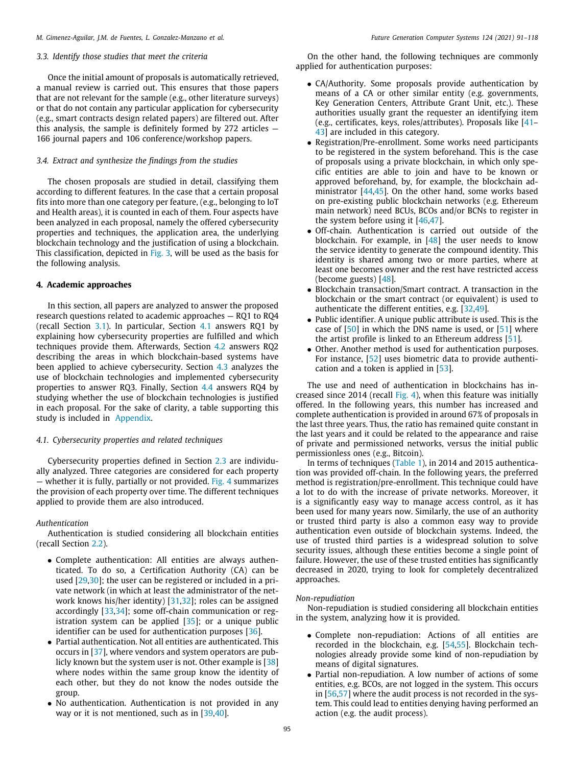# *3.3. Identify those studies that meet the criteria*

Once the initial amount of proposals is automatically retrieved, a manual review is carried out. This ensures that those papers that are not relevant for the sample (e.g., other literature surveys) or that do not contain any particular application for cybersecurity (e.g., smart contracts design related papers) are filtered out. After this analysis, the sample is definitely formed by  $272$  articles  $-$ 166 journal papers and 106 conference/workshop papers.

# *3.4. Extract and synthesize the findings from the studies*

The chosen proposals are studied in detail, classifying them according to different features. In the case that a certain proposal fits into more than one category per feature, (e.g., belonging to IoT and Health areas), it is counted in each of them. Four aspects have been analyzed in each proposal, namely the offered cybersecurity properties and techniques, the application area, the underlying blockchain technology and the justification of using a blockchain. This classification, depicted in [Fig.](#page-5-0) [3](#page-5-0), will be used as the basis for the following analysis.

#### **4. Academic approaches**

<span id="page-4-0"></span>In this section, all papers are analyzed to answer the proposed research questions related to academic approaches — RQ1 to RQ4 (recall Section [3.1\)](#page-3-1). In particular, Section [4.1](#page-4-1) answers RQ1 by explaining how cybersecurity properties are fulfilled and which techniques provide them. Afterwards, Section [4.2](#page-6-0) answers RQ2 describing the areas in which blockchain-based systems have been applied to achieve cybersecurity. Section [4.3](#page-8-0) analyzes the use of blockchain technologies and implemented cybersecurity properties to answer RQ3. Finally, Section [4.4](#page-9-0) answers RQ4 by studying whether the use of blockchain technologies is justified in each proposal. For the sake of clarity, a table supporting this study is included in [Appendix](#page-17-0).

# *4.1. Cybersecurity properties and related techniques*

<span id="page-4-1"></span>Cybersecurity properties defined in Section [2.3](#page-2-1) are individually analyzed. Three categories are considered for each property — whether it is fully, partially or not provided. [Fig.](#page-5-1) [4](#page-5-1) summarizes the provision of each property over time. The different techniques applied to provide them are also introduced.

# *Authentication*

Authentication is studied considering all blockchain entities (recall Section [2.2\)](#page-1-2).

- Complete authentication: All entities are always authenticated. To do so, a Certification Authority (CA) can be used [\[29,](#page-21-22)[30](#page-21-23)]; the user can be registered or included in a private network (in which at least the administrator of the network knows his/her identity) [[31](#page-21-24)[,32\]](#page-21-25); roles can be assigned accordingly [\[33,](#page-21-26)[34](#page-21-27)]; some off-chain communication or registration system can be applied  $[35]$  $[35]$ ; or a unique public identifier can be used for authentication purposes [[36](#page-21-29)].
- Partial authentication. Not all entities are authenticated. This occurs in [\[37\]](#page-21-30), where vendors and system operators are publicly known but the system user is not. Other example is [\[38\]](#page-21-31) where nodes within the same group know the identity of each other, but they do not know the nodes outside the group.
- No authentication. Authentication is not provided in any way or it is not mentioned, such as in [\[39,](#page-21-32)[40](#page-21-33)].

On the other hand, the following techniques are commonly applied for authentication purposes:

- CA/Authority. Some proposals provide authentication by means of a CA or other similar entity (e.g. governments, Key Generation Centers, Attribute Grant Unit, etc.). These authorities usually grant the requester an identifying item (e.g., certificates, keys, roles/attributes). Proposals like [\[41–](#page-21-34) [43](#page-21-35)] are included in this category.
- Registration/Pre-enrollment. Some works need participants to be registered in the system beforehand. This is the case of proposals using a private blockchain, in which only specific entities are able to join and have to be known or approved beforehand, by, for example, the blockchain ad-ministrator [[44](#page-21-36)[,45\]](#page-21-37). On the other hand, some works based on pre-existing public blockchain networks (e.g. Ethereum main network) need BCUs, BCOs and/or BCNs to register in the system before using it [[46](#page-21-38)[,47\]](#page-21-39).
- Off-chain. Authentication is carried out outside of the blockchain. For example, in [\[48\]](#page-21-40) the user needs to know the service identity to generate the compound identity. This identity is shared among two or more parties, where at least one becomes owner and the rest have restricted access (become guests) [[48](#page-21-40)].
- Blockchain transaction/Smart contract. A transaction in the blockchain or the smart contract (or equivalent) is used to authenticate the different entities, e.g. [[32](#page-21-25)[,49\]](#page-21-41).
- Public identifier. A unique public attribute is used. This is the case of  $[50]$  $[50]$  $[50]$  in which the DNS name is used, or  $[51]$  $[51]$  $[51]$  where the artist profile is linked to an Ethereum address [\[51](#page-21-43)].
- Other. Another method is used for authentication purposes. For instance, [\[52](#page-21-44)] uses biometric data to provide authentication and a token is applied in [\[53\]](#page-21-45).

The use and need of authentication in blockchains has increased since 2014 (recall [Fig.](#page-5-1) [4\)](#page-5-1), when this feature was initially offered. In the following years, this number has increased and complete authentication is provided in around 67% of proposals in the last three years. Thus, the ratio has remained quite constant in the last years and it could be related to the appearance and raise of private and permissioned networks, versus the initial public permissionless ones (e.g., Bitcoin).

In terms of techniques ([Table](#page-5-2) [1](#page-5-2)), in 2014 and 2015 authentication was provided off-chain. In the following years, the preferred method is registration/pre-enrollment. This technique could have a lot to do with the increase of private networks. Moreover, it is a significantly easy way to manage access control, as it has been used for many years now. Similarly, the use of an authority or trusted third party is also a common easy way to provide authentication even outside of blockchain systems. Indeed, the use of trusted third parties is a widespread solution to solve security issues, although these entities become a single point of failure. However, the use of these trusted entities has significantly decreased in 2020, trying to look for completely decentralized approaches.

# *Non-repudiation*

Non-repudiation is studied considering all blockchain entities in the system, analyzing how it is provided.

- Complete non-repudiation: Actions of all entities are recorded in the blockchain, e.g. [[54](#page-21-46)[,55\]](#page-21-47). Blockchain technologies already provide some kind of non-repudiation by means of digital signatures.
- Partial non-repudiation. A low number of actions of some entities, e.g. BCOs, are not logged in the system. This occurs in [\[56,](#page-21-48)[57\]](#page-21-49) where the audit process is not recorded in the system. This could lead to entities denying having performed an action (e.g. the audit process).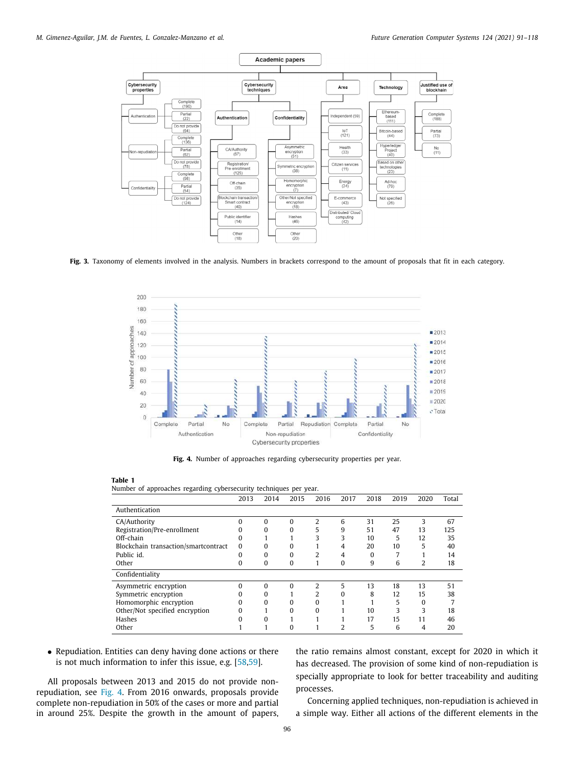

<span id="page-5-0"></span>**Fig. 3.** Taxonomy of elements involved in the analysis. Numbers in brackets correspond to the amount of proposals that fit in each category.



**Fig. 4.** Number of approaches regarding cybersecurity properties per year.

<span id="page-5-2"></span><span id="page-5-1"></span>Number of approaches regarding cybersecurity techniques per year.

|                                      | 2013     | 2014 | 2015     | 2016           | 2017          | 2018     | 2019 | 2020           | Total |
|--------------------------------------|----------|------|----------|----------------|---------------|----------|------|----------------|-------|
| Authentication                       |          |      |          |                |               |          |      |                |       |
| CA/Authority                         | $\Omega$ | 0    | $\Omega$ | 2              | 6             | 31       | 25   | 3              | 67    |
| Registration/Pre-enrollment          | 0        | 0    | $\Omega$ | 5              | 9             | 51       | 47   | 13             | 125   |
| Off-chain                            | 0        |      |          | 3              | 3             | 10       | 5    | 12             | 35    |
| Blockchain transaction/smartcontract | $\Omega$ | o    | $\Omega$ |                | 4             | 20       | 10   | 5              | 40    |
| Public id.                           | 0        | 0    | $\Omega$ | 2              | 4             | $\Omega$ |      |                | 14    |
| Other                                | 0        | 0    | $\bf{0}$ |                | $\Omega$      | 9        | 6    | $\overline{2}$ | 18    |
| Confidentiality                      |          |      |          |                |               |          |      |                |       |
| Asymmetric encryption                | $\Omega$ | 0    | 0        | $\mathfrak{D}$ | 5             | 13       | 18   | 13             | 51    |
| Symmetric encryption                 | 0        | 0    |          | 2              | $\Omega$      | 8        | 12   | 15             | 38    |
| Homomorphic encryption               | 0        | 0    | 0        | 0              |               |          | 5    | $\Omega$       |       |
| Other/Not specified encryption       | O        |      | $\Omega$ | $\Omega$       |               | 10       | 3    | 3              | 18    |
| Hashes                               | o        | O    |          |                |               | 17       | 15   | 11             | 46    |
| Other                                |          |      | 0        |                | $\mathcal{P}$ | 5        | 6    | 4              | 20    |

• Repudiation. Entities can deny having done actions or there is not much information to infer this issue, e.g. [\[58,](#page-21-50)[59](#page-21-51)].

All proposals between 2013 and 2015 do not provide nonrepudiation, see [Fig.](#page-5-1) [4](#page-5-1). From 2016 onwards, proposals provide complete non-repudiation in 50% of the cases or more and partial in around 25%. Despite the growth in the amount of papers, the ratio remains almost constant, except for 2020 in which it has decreased. The provision of some kind of non-repudiation is specially appropriate to look for better traceability and auditing processes.

Concerning applied techniques, non-repudiation is achieved in a simple way. Either all actions of the different elements in the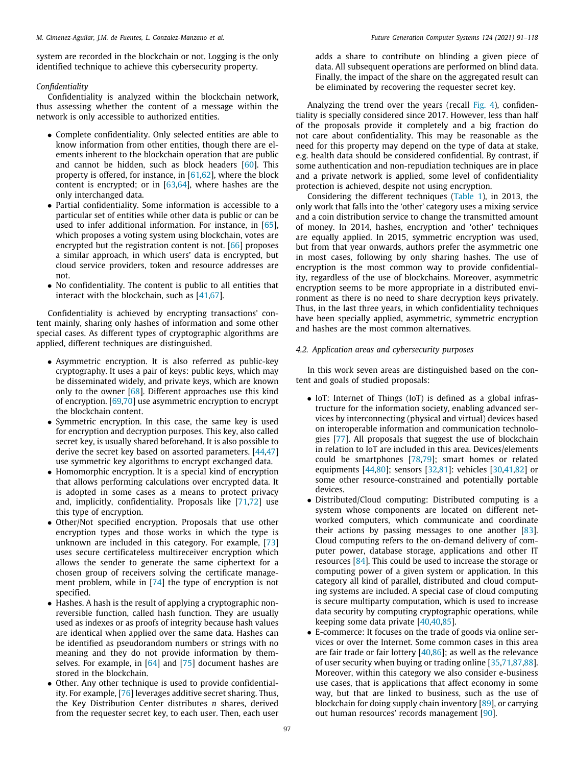system are recorded in the blockchain or not. Logging is the only identified technique to achieve this cybersecurity property.

# *Confidentiality*

Confidentiality is analyzed within the blockchain network, thus assessing whether the content of a message within the network is only accessible to authorized entities.

- Complete confidentiality. Only selected entities are able to know information from other entities, though there are elements inherent to the blockchain operation that are public and cannot be hidden, such as block headers [[60](#page-21-52)]. This property is offered, for instance, in  $[61,62]$  $[61,62]$  $[61,62]$ , where the block content is encrypted; or in [\[63](#page-22-1)[,64\]](#page-22-2), where hashes are the only interchanged data.
- Partial confidentiality. Some information is accessible to a particular set of entities while other data is public or can be used to infer additional information. For instance, in [\[65\]](#page-22-3), which proposes a voting system using blockchain, votes are encrypted but the registration content is not. [[66](#page-22-4)] proposes a similar approach, in which users' data is encrypted, but cloud service providers, token and resource addresses are not.
- No confidentiality. The content is public to all entities that interact with the blockchain, such as [\[41,](#page-21-34)[67](#page-22-5)].

Confidentiality is achieved by encrypting transactions' content mainly, sharing only hashes of information and some other special cases. As different types of cryptographic algorithms are applied, different techniques are distinguished.

- Asymmetric encryption. It is also referred as public-key cryptography. It uses a pair of keys: public keys, which may be disseminated widely, and private keys, which are known only to the owner [[68](#page-22-6)]. Different approaches use this kind of encryption. [\[69,](#page-22-7)[70](#page-22-8)] use asymmetric encryption to encrypt the blockchain content.
- Symmetric encryption. In this case, the same key is used for encryption and decryption purposes. This key, also called secret key, is usually shared beforehand. It is also possible to derive the secret key based on assorted parameters. [[44](#page-21-36)[,47\]](#page-21-39) use symmetric key algorithms to encrypt exchanged data.
- Homomorphic encryption. It is a special kind of encryption that allows performing calculations over encrypted data. It is adopted in some cases as a means to protect privacy and, implicitly, confidentiality. Proposals like [[71](#page-22-9)[,72](#page-22-10)] use this type of encryption.
- Other/Not specified encryption. Proposals that use other encryption types and those works in which the type is unknown are included in this category. For example, [\[73\]](#page-22-11) uses secure certificateless multireceiver encryption which allows the sender to generate the same ciphertext for a chosen group of receivers solving the certificate management problem, while in [\[74\]](#page-22-12) the type of encryption is not specified.
- Hashes. A hash is the result of applying a cryptographic nonreversible function, called hash function. They are usually used as indexes or as proofs of integrity because hash values are identical when applied over the same data. Hashes can be identified as pseudorandom numbers or strings with no meaning and they do not provide information by themselves. For example, in  $[64]$  and  $[75]$  $[75]$  $[75]$  document hashes are stored in the blockchain.
- Other. Any other technique is used to provide confidentiality. For example, [[76](#page-22-14)] leverages additive secret sharing. Thus, the Key Distribution Center distributes *n* shares, derived from the requester secret key, to each user. Then, each user

adds a share to contribute on blinding a given piece of data. All subsequent operations are performed on blind data. Finally, the impact of the share on the aggregated result can be eliminated by recovering the requester secret key.

Analyzing the trend over the years (recall [Fig.](#page-5-1) [4](#page-5-1)), confidentiality is specially considered since 2017. However, less than half of the proposals provide it completely and a big fraction do not care about confidentiality. This may be reasonable as the need for this property may depend on the type of data at stake, e.g. health data should be considered confidential. By contrast, if some authentication and non-repudiation techniques are in place and a private network is applied, some level of confidentiality protection is achieved, despite not using encryption.

Considering the different techniques [\(Table](#page-5-2) [1\)](#page-5-2), in 2013, the only work that falls into the 'other' category uses a mixing service and a coin distribution service to change the transmitted amount of money. In 2014, hashes, encryption and 'other' techniques are equally applied. In 2015, symmetric encryption was used, but from that year onwards, authors prefer the asymmetric one in most cases, following by only sharing hashes. The use of encryption is the most common way to provide confidentiality, regardless of the use of blockchains. Moreover, asymmetric encryption seems to be more appropriate in a distributed environment as there is no need to share decryption keys privately. Thus, in the last three years, in which confidentiality techniques have been specially applied, asymmetric, symmetric encryption and hashes are the most common alternatives.

# *4.2. Application areas and cybersecurity purposes*

<span id="page-6-0"></span>In this work seven areas are distinguished based on the content and goals of studied proposals:

- IoT: Internet of Things (IoT) is defined as a global infrastructure for the information society, enabling advanced services by interconnecting (physical and virtual) devices based on interoperable information and communication technologies [\[77](#page-22-15)]. All proposals that suggest the use of blockchain in relation to IoT are included in this area. Devices/elements could be smartphones [\[78,](#page-22-16)[79](#page-22-17)]; smart homes or related equipments [[44](#page-21-36)[,80\]](#page-22-18); sensors [\[32](#page-21-25)[,81\]](#page-22-19): vehicles [[30](#page-21-23)[,41,](#page-21-34)[82](#page-22-20)] or some other resource-constrained and potentially portable devices.
- Distributed/Cloud computing: Distributed computing is a system whose components are located on different networked computers, which communicate and coordinate their actions by passing messages to one another [\[83\]](#page-22-21). Cloud computing refers to the on-demand delivery of computer power, database storage, applications and other IT resources [[84](#page-22-22)]. This could be used to increase the storage or computing power of a given system or application. In this category all kind of parallel, distributed and cloud computing systems are included. A special case of cloud computing is secure multiparty computation, which is used to increase data security by computing cryptographic operations, while keeping some data private [\[40,40](#page-21-33)[,85\]](#page-22-23).
- E-commerce: It focuses on the trade of goods via online services or over the Internet. Some common cases in this area are fair trade or fair lottery  $[40,86]$  $[40,86]$  $[40,86]$ ; as well as the relevance of user security when buying or trading online [[35](#page-21-28)[,71,](#page-22-9)[87](#page-22-25)[,88\]](#page-22-26). Moreover, within this category we also consider e-business use cases, that is applications that affect economy in some way, but that are linked to business, such as the use of blockchain for doing supply chain inventory [\[89\]](#page-22-27), or carrying out human resources' records management [[90](#page-22-28)].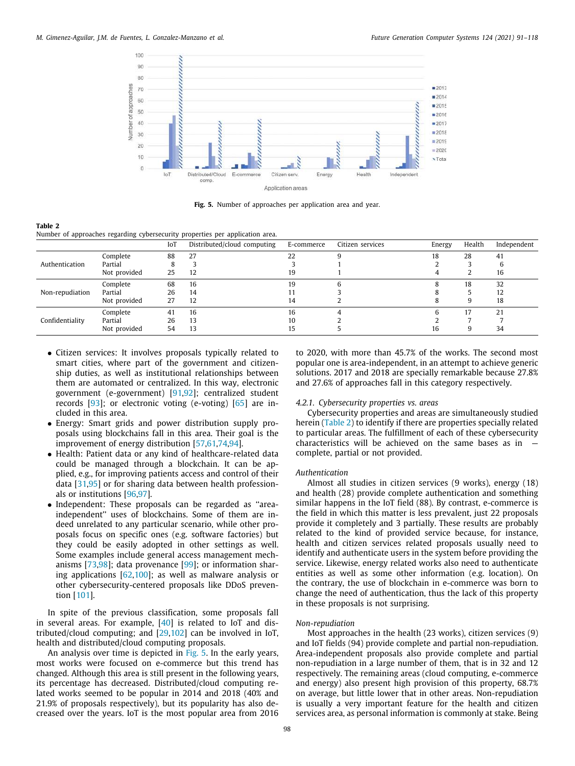

**Fig. 5.** Number of approaches per application area and year.

<span id="page-7-1"></span><span id="page-7-0"></span>Number of approaches regarding cybersecurity properties per application area.

|                 |              | IoT | Distributed/cloud computing | E-commerce | Citizen services | Energy | Health | Independent |
|-----------------|--------------|-----|-----------------------------|------------|------------------|--------|--------|-------------|
|                 | Complete     | 88  | 27                          | 22         |                  | 18     | 28     | 41          |
| Authentication  | Partial      |     |                             |            |                  |        |        |             |
|                 | Not provided | 25  | 12                          | 19         |                  |        |        | 16          |
|                 | Complete     | 68  | 16                          | 19         |                  |        | 18     | 32          |
| Non-repudiation | Partial      | 26  | 14                          |            |                  |        |        | 12          |
|                 | Not provided | 27  | 12                          | 14         |                  |        |        | 18          |
|                 | Complete     | 41  | 16                          | 16         |                  |        | 17     | 21          |
| Confidentiality | Partial      | 26  | 13                          | 10         |                  |        |        |             |
|                 | Not provided | 54  | 13                          | 15         |                  | 16     |        | 34          |

- Citizen services: It involves proposals typically related to smart cities, where part of the government and citizenship duties, as well as institutional relationships between them are automated or centralized. In this way, electronic government (e-government) [[91](#page-22-29)[,92](#page-22-30)]; centralized student records [[93\]](#page-22-31); or electronic voting (e-voting) [[65](#page-22-3)] are included in this area.
- Energy: Smart grids and power distribution supply proposals using blockchains fall in this area. Their goal is the improvement of energy distribution [[57](#page-21-49)[,61](#page-21-53)[,74,](#page-22-12)[94](#page-22-32)].
- Health: Patient data or any kind of healthcare-related data could be managed through a blockchain. It can be applied, e.g., for improving patients access and control of their data [\[31,](#page-21-24)[95](#page-22-33)] or for sharing data between health professionals or institutions [[96](#page-22-34)[,97\]](#page-22-35).
- Independent: These proposals can be regarded as ''areaindependent'' uses of blockchains. Some of them are indeed unrelated to any particular scenario, while other proposals focus on specific ones (e.g. software factories) but they could be easily adopted in other settings as well. Some examples include general access management mechanisms [[73](#page-22-11)[,98\]](#page-22-36); data provenance [[99](#page-22-37)]; or information sharing applications [[62](#page-22-0)[,100](#page-22-38)]; as well as malware analysis or other cybersecurity-centered proposals like DDoS prevention [[101](#page-22-39)].

In spite of the previous classification, some proposals fall in several areas. For example, [\[40\]](#page-21-33) is related to IoT and distributed/cloud computing; and [\[29,](#page-21-22)[102\]](#page-22-40) can be involved in IoT, health and distributed/cloud computing proposals.

An analysis over time is depicted in [Fig.](#page-7-0) [5.](#page-7-0) In the early years, most works were focused on e-commerce but this trend has changed. Although this area is still present in the following years, its percentage has decreased. Distributed/cloud computing related works seemed to be popular in 2014 and 2018 (40% and 21.9% of proposals respectively), but its popularity has also decreased over the years. IoT is the most popular area from 2016 to 2020, with more than 45.7% of the works. The second most popular one is area-independent, in an attempt to achieve generic solutions. 2017 and 2018 are specially remarkable because 27.8% and 27.6% of approaches fall in this category respectively.

# *4.2.1. Cybersecurity properties vs. areas*

Cybersecurity properties and areas are simultaneously studied herein [\(Table](#page-7-1) [2\)](#page-7-1) to identify if there are properties specially related to particular areas. The fulfillment of each of these cybersecurity characteristics will be achieved on the same bases as in complete, partial or not provided.

#### *Authentication*

Almost all studies in citizen services (9 works), energy (18) and health (28) provide complete authentication and something similar happens in the IoT field (88). By contrast, e-commerce is the field in which this matter is less prevalent, just 22 proposals provide it completely and 3 partially. These results are probably related to the kind of provided service because, for instance, health and citizen services related proposals usually need to identify and authenticate users in the system before providing the service. Likewise, energy related works also need to authenticate entities as well as some other information (e.g. location). On the contrary, the use of blockchain in e-commerce was born to change the need of authentication, thus the lack of this property in these proposals is not surprising.

# *Non-repudiation*

Most approaches in the health (23 works), citizen services (9) and IoT fields (94) provide complete and partial non-repudiation. Area-independent proposals also provide complete and partial non-repudiation in a large number of them, that is in 32 and 12 respectively. The remaining areas (cloud computing, e-commerce and energy) also present high provision of this property, 68.7% on average, but little lower that in other areas. Non-repudiation is usually a very important feature for the health and citizen services area, as personal information is commonly at stake. Being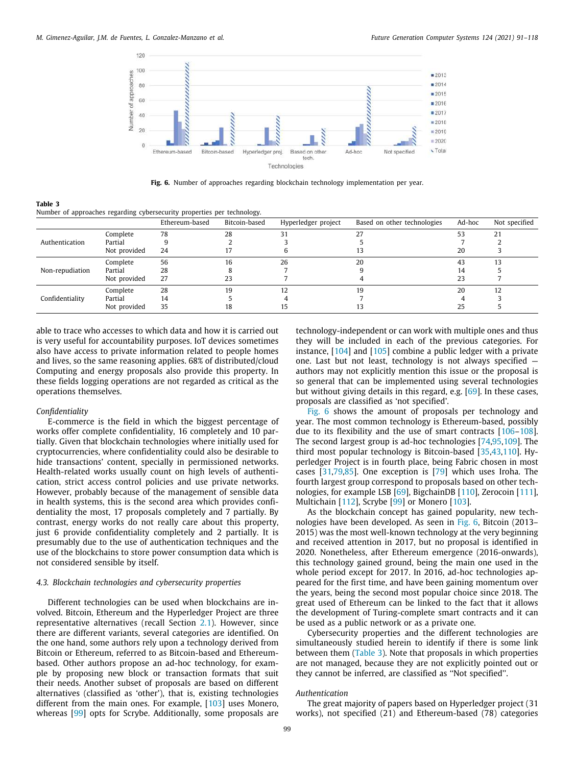

Fig. 6. Number of approaches regarding blockchain technology implementation per year.

<span id="page-8-1"></span>**Table 3**

<span id="page-8-2"></span>Number of approaches regarding cybersecurity properties per technology.

|                 |              | Ethereum-based | Bitcoin-based | Hyperledger project | Based on other technologies | Ad-hoc | Not specified |
|-----------------|--------------|----------------|---------------|---------------------|-----------------------------|--------|---------------|
|                 | Complete     | 78             | 28            |                     | 27                          | 53     | 21            |
| Authentication  | Partial      |                |               |                     |                             |        |               |
|                 | Not provided | 24             | 17            |                     | 13                          | 20     |               |
|                 | Complete     | 56             | 16            | 26                  | 20                          | 43     |               |
| Non-repudiation | Partial      | 28             |               |                     |                             | 14     |               |
|                 | Not provided | 27             | 23            |                     |                             | 23     |               |
|                 | Complete     | 28             | 19            | 12                  | 19                          | 20     | 12            |
| Confidentiality | Partial      | 14             |               |                     |                             |        |               |
|                 | Not provided | 35             | 18            |                     | 13                          | 25     |               |

able to trace who accesses to which data and how it is carried out is very useful for accountability purposes. IoT devices sometimes also have access to private information related to people homes and lives, so the same reasoning applies. 68% of distributed/cloud Computing and energy proposals also provide this property. In these fields logging operations are not regarded as critical as the operations themselves.

# *Confidentiality*

E-commerce is the field in which the biggest percentage of works offer complete confidentiality, 16 completely and 10 partially. Given that blockchain technologies where initially used for cryptocurrencies, where confidentiality could also be desirable to hide transactions' content, specially in permissioned networks. Health-related works usually count on high levels of authentication, strict access control policies and use private networks. However, probably because of the management of sensible data in health systems, this is the second area which provides confidentiality the most, 17 proposals completely and 7 partially. By contrast, energy works do not really care about this property, just 6 provide confidentiality completely and 2 partially. It is presumably due to the use of authentication techniques and the use of the blockchains to store power consumption data which is not considered sensible by itself.

# *4.3. Blockchain technologies and cybersecurity properties*

<span id="page-8-0"></span>Different technologies can be used when blockchains are involved. Bitcoin, Ethereum and the Hyperledger Project are three representative alternatives (recall Section [2.1\)](#page-1-1). However, since there are different variants, several categories are identified. On the one hand, some authors rely upon a technology derived from Bitcoin or Ethereum, referred to as Bitcoin-based and Ethereumbased. Other authors propose an ad-hoc technology, for example by proposing new block or transaction formats that suit their needs. Another subset of proposals are based on different alternatives (classified as 'other'), that is, existing technologies different from the main ones. For example, [[103](#page-22-41)] uses Monero, whereas [[99](#page-22-37)] opts for Scrybe. Additionally, some proposals are

technology-independent or can work with multiple ones and thus they will be included in each of the previous categories. For instance, [\[104\]](#page-22-42) and [[105\]](#page-22-43) combine a public ledger with a private one. Last but not least, technology is not always specified authors may not explicitly mention this issue or the proposal is so general that can be implemented using several technologies but without giving details in this regard, e.g. [[69](#page-22-7)]. In these cases, proposals are classified as 'not specified'.

[Fig.](#page-8-1) [6](#page-8-1) shows the amount of proposals per technology and year. The most common technology is Ethereum-based, possibly due to its flexibility and the use of smart contracts [\[106–](#page-22-44)[108\]](#page-22-45). The second largest group is ad-hoc technologies [[74](#page-22-12)[,95,](#page-22-33)[109\]](#page-22-46). The third most popular technology is Bitcoin-based [[35](#page-21-28)[,43,](#page-21-35)[110](#page-22-47)]. Hyperledger Project is in fourth place, being Fabric chosen in most cases [[31,](#page-21-24)[79](#page-22-17)[,85\]](#page-22-23). One exception is [\[79\]](#page-22-17) which uses Iroha. The fourth largest group correspond to proposals based on other technologies, for example LSB [\[69\]](#page-22-7), BigchainDB [\[110\]](#page-22-47), Zerocoin [\[111\]](#page-22-48), Multichain [[112](#page-22-49)], Scrybe [\[99\]](#page-22-37) or Monero [\[103\]](#page-22-41).

As the blockchain concept has gained popularity, new technologies have been developed. As seen in [Fig.](#page-8-1) [6](#page-8-1), Bitcoin (2013– 2015) was the most well-known technology at the very beginning and received attention in 2017, but no proposal is identified in 2020. Nonetheless, after Ethereum emergence (2016-onwards), this technology gained ground, being the main one used in the whole period except for 2017. In 2016, ad-hoc technologies appeared for the first time, and have been gaining momentum over the years, being the second most popular choice since 2018. The great used of Ethereum can be linked to the fact that it allows the development of Turing-complete smart contracts and it can be used as a public network or as a private one.

Cybersecurity properties and the different technologies are simultaneously studied herein to identify if there is some link between them [\(Table](#page-8-2) [3](#page-8-2)). Note that proposals in which properties are not managed, because they are not explicitly pointed out or they cannot be inferred, are classified as ''Not specified''.

#### *Authentication*

The great majority of papers based on Hyperledger project (31 works), not specified (21) and Ethereum-based (78) categories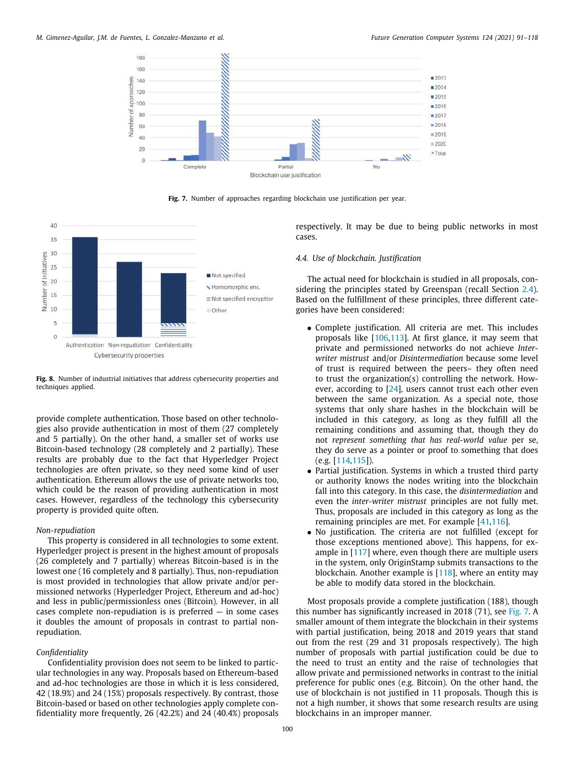

**Fig. 7.** Number of approaches regarding blockchain use justification per year.

<span id="page-9-1"></span>

<span id="page-9-2"></span>**Fig. 8.** Number of industrial initiatives that address cybersecurity properties and techniques applied.

provide complete authentication. Those based on other technologies also provide authentication in most of them (27 completely and 5 partially). On the other hand, a smaller set of works use Bitcoin-based technology (28 completely and 2 partially). These results are probably due to the fact that Hyperledger Project technologies are often private, so they need some kind of user authentication. Ethereum allows the use of private networks too, which could be the reason of providing authentication in most cases. However, regardless of the technology this cybersecurity property is provided quite often.

## *Non-repudiation*

This property is considered in all technologies to some extent. Hyperledger project is present in the highest amount of proposals (26 completely and 7 partially) whereas Bitcoin-based is in the lowest one (16 completely and 8 partially). Thus, non-repudiation is most provided in technologies that allow private and/or permissioned networks (Hyperledger Project, Ethereum and ad-hoc) and less in public/permissionless ones (Bitcoin). However, in all cases complete non-repudiation is is preferred — in some cases it doubles the amount of proposals in contrast to partial nonrepudiation.

# *Confidentiality*

Confidentiality provision does not seem to be linked to particular technologies in any way. Proposals based on Ethereum-based and ad-hoc technologies are those in which it is less considered, 42 (18.9%) and 24 (15%) proposals respectively. By contrast, those Bitcoin-based or based on other technologies apply complete confidentiality more frequently, 26 (42.2%) and 24 (40.4%) proposals respectively. It may be due to being public networks in most cases.

# *4.4. Use of blockchain. Justification*

<span id="page-9-0"></span>The actual need for blockchain is studied in all proposals, considering the principles stated by Greenspan (recall Section [2.4\)](#page-3-2). Based on the fulfillment of these principles, three different categories have been considered:

- Complete justification. All criteria are met. This includes proposals like [\[106](#page-22-44)[,113\]](#page-23-0). At first glance, it may seem that private and permissioned networks do not achieve *Interwriter mistrust* and/or *Disintermediation* because some level of trust is required between the peers– they often need to trust the organization(s) controlling the network. However, according to  $[24]$ , users cannot trust each other even between the same organization. As a special note, those systems that only share hashes in the blockchain will be included in this category, as long as they fulfill all the remaining conditions and assuming that, though they do not *represent something that has real-world value* per se, they do serve as a pointer or proof to something that does (e.g. [\[114,](#page-23-1)[115](#page-23-2)]).
- Partial justification. Systems in which a trusted third party or authority knows the nodes writing into the blockchain fall into this category. In this case, the *disintermediation* and even the *inter-writer mistrust* principles are not fully met. Thus, proposals are included in this category as long as the remaining principles are met. For example [[41](#page-21-34)[,116\]](#page-23-3).
- No justification. The criteria are not fulfilled (except for those exceptions mentioned above). This happens, for example in [\[117\]](#page-23-4) where, even though there are multiple users in the system, only OriginStamp submits transactions to the blockchain. Another example is [\[118\]](#page-23-5), where an entity may be able to modify data stored in the blockchain.

Most proposals provide a complete justification (188), though this number has significantly increased in 2018 (71), see [Fig.](#page-9-1) [7.](#page-9-1) A smaller amount of them integrate the blockchain in their systems with partial justification, being 2018 and 2019 years that stand out from the rest (29 and 31 proposals respectively). The high number of proposals with partial justification could be due to the need to trust an entity and the raise of technologies that allow private and permissioned networks in contrast to the initial preference for public ones (e.g. Bitcoin). On the other hand, the use of blockchain is not justified in 11 proposals. Though this is not a high number, it shows that some research results are using blockchains in an improper manner.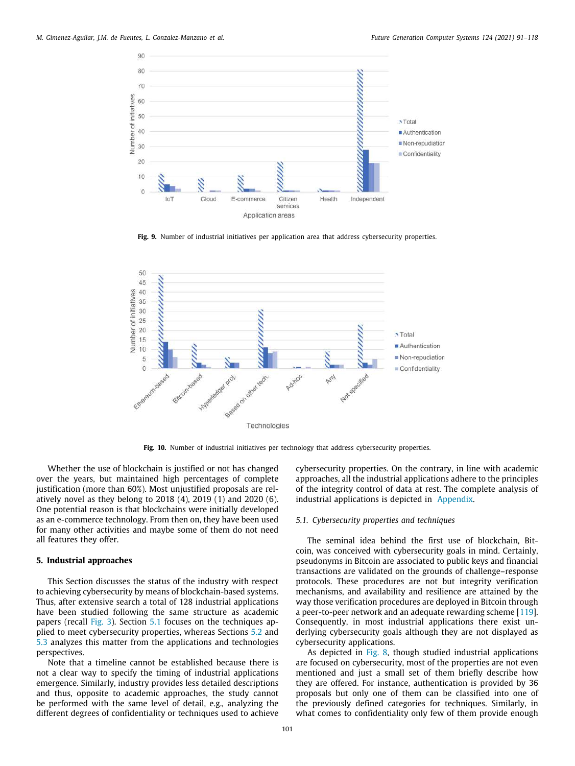

Fig. 9. Number of industrial initiatives per application area that address cybersecurity properties.

<span id="page-10-2"></span>

**Fig. 10.** Number of industrial initiatives per technology that address cybersecurity properties.

<span id="page-10-3"></span>Whether the use of blockchain is justified or not has changed over the years, but maintained high percentages of complete justification (more than 60%). Most unjustified proposals are relatively novel as they belong to 2018 (4), 2019 (1) and 2020 (6). One potential reason is that blockchains were initially developed as an e-commerce technology. From then on, they have been used for many other activities and maybe some of them do not need all features they offer.

# **5. Industrial approaches**

<span id="page-10-0"></span>This Section discusses the status of the industry with respect to achieving cybersecurity by means of blockchain-based systems. Thus, after extensive search a total of 128 industrial applications have been studied following the same structure as academic papers (recall [Fig.](#page-5-0) [3](#page-5-0)). Section [5.1](#page-10-1) focuses on the techniques applied to meet cybersecurity properties, whereas Sections [5.2](#page-11-1) and [5.3](#page-11-2) analyzes this matter from the applications and technologies perspectives.

Note that a timeline cannot be established because there is not a clear way to specify the timing of industrial applications emergence. Similarly, industry provides less detailed descriptions and thus, opposite to academic approaches, the study cannot be performed with the same level of detail, e.g., analyzing the different degrees of confidentiality or techniques used to achieve

cybersecurity properties. On the contrary, in line with academic approaches, all the industrial applications adhere to the principles of the integrity control of data at rest. The complete analysis of industrial applications is depicted in [Appendix](#page-17-0).

# *5.1. Cybersecurity properties and techniques*

<span id="page-10-1"></span>The seminal idea behind the first use of blockchain, Bitcoin, was conceived with cybersecurity goals in mind. Certainly, pseudonyms in Bitcoin are associated to public keys and financial transactions are validated on the grounds of challenge–response protocols. These procedures are not but integrity verification mechanisms, and availability and resilience are attained by the way those verification procedures are deployed in Bitcoin through a peer-to-peer network and an adequate rewarding scheme [\[119\]](#page-23-6). Consequently, in most industrial applications there exist underlying cybersecurity goals although they are not displayed as cybersecurity applications.

As depicted in [Fig.](#page-9-2) [8](#page-9-2), though studied industrial applications are focused on cybersecurity, most of the properties are not even mentioned and just a small set of them briefly describe how they are offered. For instance, authentication is provided by 36 proposals but only one of them can be classified into one of the previously defined categories for techniques. Similarly, in what comes to confidentiality only few of them provide enough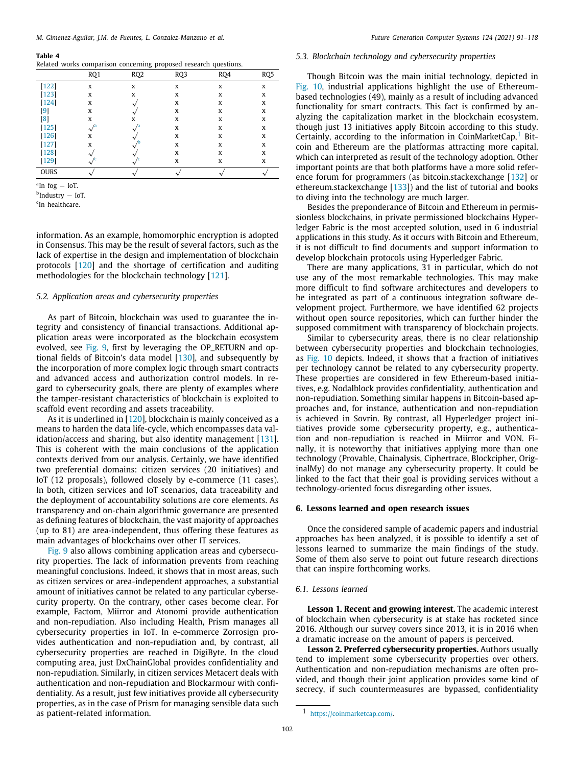<span id="page-11-7"></span>

|  | Related works comparison concerning proposed research questions. |  |  |
|--|------------------------------------------------------------------|--|--|
|  |                                                                  |  |  |

|                     | RQ1 | RQ <sub>2</sub> | RQ3 | RO <sub>4</sub> | RQ <sub>5</sub> |
|---------------------|-----|-----------------|-----|-----------------|-----------------|
| $[122]$             | X   | X               | X   | X               | X               |
| [123]               | X   | X               | X   | X               | X               |
| $[124]$             | X   |                 | X   | X               | X               |
| [9]                 | X   |                 | X   | X               | x               |
| [8]                 | X   | x               | X   | x               | X               |
| $[125]$             |     |                 | X   | x               | X               |
| $[126]$             | X   |                 | X   | X               | X               |
| $\lceil 127 \rceil$ | X   |                 | X   | X               | X               |
| [128]               |     |                 | X   | X               | X               |
| $[129]$             |     |                 | X   | X               | x               |
| <b>OURS</b>         |     |                 |     |                 |                 |

<span id="page-11-3"></span>a In fog — IoT.

<span id="page-11-4"></span><sup>b</sup>Industry — IoT.

<span id="page-11-5"></span>c In healthcare.

information. As an example, homomorphic encryption is adopted in Consensus. This may be the result of several factors, such as the lack of expertise in the design and implementation of blockchain protocols [[120](#page-23-15)] and the shortage of certification and auditing methodologies for the blockchain technology [\[121\]](#page-23-16).

# *5.2. Application areas and cybersecurity properties*

<span id="page-11-1"></span>As part of Bitcoin, blockchain was used to guarantee the integrity and consistency of financial transactions. Additional application areas were incorporated as the blockchain ecosystem evolved, see [Fig.](#page-10-2) [9,](#page-10-2) first by leveraging the OP\_RETURN and optional fields of Bitcoin's data model [[130\]](#page-23-17), and subsequently by the incorporation of more complex logic through smart contracts and advanced access and authorization control models. In regard to cybersecurity goals, there are plenty of examples where the tamper-resistant characteristics of blockchain is exploited to scaffold event recording and assets traceability.

As it is underlined in [[120](#page-23-15)], blockchain is mainly conceived as a means to harden the data life-cycle, which encompasses data validation/access and sharing, but also identity management [\[131\]](#page-23-18). This is coherent with the main conclusions of the application contexts derived from our analysis. Certainly, we have identified two preferential domains: citizen services (20 initiatives) and IoT (12 proposals), followed closely by e-commerce (11 cases). In both, citizen services and IoT scenarios, data traceability and the deployment of accountability solutions are core elements. As transparency and on-chain algorithmic governance are presented as defining features of blockchain, the vast majority of approaches (up to 81) are area-independent, thus offering these features as main advantages of blockchains over other IT services.

[Fig.](#page-10-2) [9](#page-10-2) also allows combining application areas and cybersecurity properties. The lack of information prevents from reaching meaningful conclusions. Indeed, it shows that in most areas, such as citizen services or area-independent approaches, a substantial amount of initiatives cannot be related to any particular cybersecurity property. On the contrary, other cases become clear. For example, Factom, Miirror and Atonomi provide authentication and non-repudiation. Also including Health, Prism manages all cybersecurity properties in IoT. In e-commerce Zorrosign provides authentication and non-repudiation and, by contrast, all cybersecurity properties are reached in DigiByte. In the cloud computing area, just DxChainGlobal provides confidentiality and non-repudiation. Similarly, in citizen services Metacert deals with authentication and non-repudiation and Blockarmour with confidentiality. As a result, just few initiatives provide all cybersecurity properties, as in the case of Prism for managing sensible data such as patient-related information.

#### *5.3. Blockchain technology and cybersecurity properties*

<span id="page-11-6"></span><span id="page-11-2"></span>Though Bitcoin was the main initial technology, depicted in [Fig.](#page-10-3) [10,](#page-10-3) industrial applications highlight the use of Ethereumbased technologies (49), mainly as a result of including advanced functionality for smart contracts. This fact is confirmed by analyzing the capitalization market in the blockchain ecosystem, though just 13 initiatives apply Bitcoin according to this study. Certainly, according to the information in CoinMarketCap, $<sup>1</sup>$  $<sup>1</sup>$  $<sup>1</sup>$  Bit-</sup> coin and Ethereum are the platformas attracting more capital, which can interpreted as result of the technology adoption. Other important points are that both platforms have a more solid reference forum for programmers (as bitcoin.stackexchange [[132](#page-23-19)] or ethereum.stackexchange [\[133\]](#page-23-20)) and the list of tutorial and books to diving into the technology are much larger.

Besides the preponderance of Bitcoin and Ethereum in permissionless blockchains, in private permissioned blockchains Hyperledger Fabric is the most accepted solution, used in 6 industrial applications in this study. As it occurs with Bitcoin and Ethereum, it is not difficult to find documents and support information to develop blockchain protocols using Hyperledger Fabric.

There are many applications, 31 in particular, which do not use any of the most remarkable technologies. This may make more difficult to find software architectures and developers to be integrated as part of a continuous integration software development project. Furthermore, we have identified 62 projects without open source repositories, which can further hinder the supposed commitment with transparency of blockchain projects.

Similar to cybersecurity areas, there is no clear relationship between cybersecurity properties and blockchain technologies, as [Fig.](#page-10-3) [10](#page-10-3) depicts. Indeed, it shows that a fraction of initiatives per technology cannot be related to any cybersecurity property. These properties are considered in few Ethereum-based initiatives, e.g. Nodalblock provides confidentiality, authentication and non-repudiation. Something similar happens in Bitcoin-based approaches and, for instance, authentication and non-repudiation is achieved in Sovrin. By contrast, all Hyperledger project initiatives provide some cybersecurity property, e.g., authentication and non-repudiation is reached in Miirror and VON. Finally, it is noteworthy that initiatives applying more than one technology (Provable, Chainalysis, Ciphertrace, Blockcipher, OriginalMy) do not manage any cybersecurity property. It could be linked to the fact that their goal is providing services without a technology-oriented focus disregarding other issues.

# **6. Lessons learned and open research issues**

<span id="page-11-0"></span>Once the considered sample of academic papers and industrial approaches has been analyzed, it is possible to identify a set of lessons learned to summarize the main findings of the study. Some of them also serve to point out future research directions that can inspire forthcoming works.

#### *6.1. Lessons learned*

**Lesson 1. Recent and growing interest.** The academic interest of blockchain when cybersecurity is at stake has rocketed since 2016. Although our survey covers since 2013, it is in 2016 when a dramatic increase on the amount of papers is perceived.

**Lesson 2. Preferred cybersecurity properties.** Authors usually tend to implement some cybersecurity properties over others. Authentication and non-repudiation mechanisms are often provided, and though their joint application provides some kind of secrecy, if such countermeasures are bypassed, confidentiality

<sup>1</sup> [https://coinmarketcap.com/.](https://coinmarketcap.com/)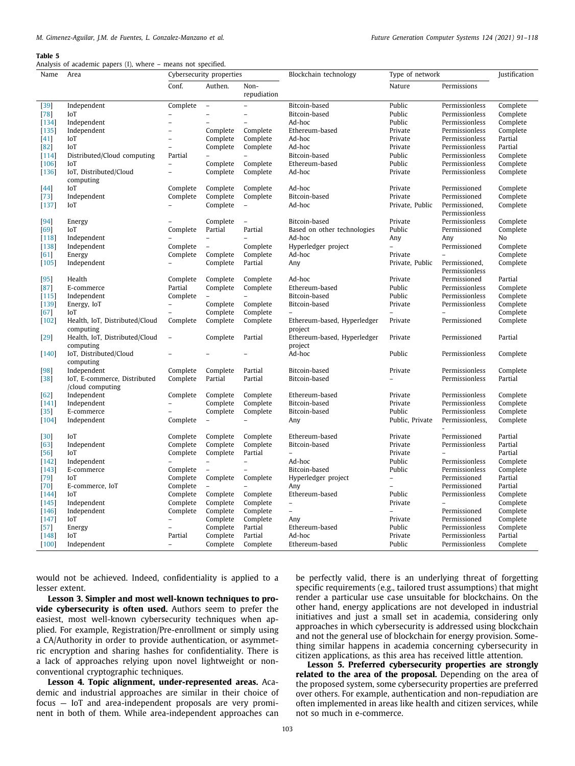<span id="page-12-0"></span>Analysis of academic papers (I), where – means not specified.

| Name              | mary or academic papers (1), where<br>Area       | means not specifica.<br>Cybersecurity properties |                          |                          | Blockchain technology<br>Type of network |                          |                                 | Justification        |
|-------------------|--------------------------------------------------|--------------------------------------------------|--------------------------|--------------------------|------------------------------------------|--------------------------|---------------------------------|----------------------|
|                   |                                                  | Conf.                                            | Authen.                  | Non-                     |                                          | Nature                   | Permissions                     |                      |
|                   |                                                  |                                                  |                          | repudiation              |                                          |                          |                                 |                      |
| $[39]$            | Independent                                      | Complete                                         | $\overline{\phantom{0}}$ | $\bar{a}$                | Bitcoin-based                            | Public                   | Permissionless                  | Complete             |
| $[78]$            | IoT                                              |                                                  |                          | $\overline{\phantom{a}}$ | Bitcoin-based                            | Public                   | Permissionless                  | Complete             |
| $[134]$           | Independent                                      | $\overline{a}$                                   |                          | $\overline{a}$           | Ad-hoc                                   | Public                   | Permissionless                  | Complete             |
| $[135]$           | Independent                                      | $\overline{\phantom{a}}$                         | Complete                 | Complete                 | Ethereum-based                           | Private                  | Permissionless                  | Complete             |
| $[41]$            | IoT                                              | $\overline{\phantom{0}}$                         | Complete                 | Complete                 | Ad-hoc                                   | Private                  | Permissionless                  | Partial              |
|                   |                                                  | $\overline{\phantom{a}}$                         | Complete                 | Complete                 |                                          |                          |                                 | Partial              |
| $[82]$            | IoT                                              |                                                  |                          |                          | Ad-hoc                                   | Private                  | Permissionless                  |                      |
| $[114]$           | Distributed/Cloud computing                      | Partial                                          |                          |                          | Bitcoin-based                            | Public                   | Permissionless                  | Complete             |
| 106               | IoT                                              | $\overline{a}$                                   | Complete                 | Complete                 | Ethereum-based                           | Public                   | Permissionless                  | Complete             |
| $[136]$           | IoT, Distributed/Cloud<br>computing              | $\overline{a}$                                   | Complete                 | Complete                 | Ad-hoc                                   | Private                  | Permissionless                  | Complete             |
| $[44]$            | IoT                                              | Complete                                         | Complete                 | Complete                 | Ad-hoc                                   | Private                  | Permissioned                    | Complete             |
| $[73]$            | Independent                                      | Complete                                         | Complete                 | Complete                 | Bitcoin-based                            | Private                  | Permissioned                    | Complete             |
| $[137]$           | IoT                                              |                                                  | Complete                 | $\bar{ }$                | Ad-hoc                                   | Private, Public          | Permissioned,                   | Complete             |
|                   |                                                  |                                                  |                          |                          |                                          |                          | Permissionless                  |                      |
| [94]              | Energy                                           |                                                  | Complete                 | $\bar{ }$                | Bitcoin-based                            | Private                  | Permissionless                  | Complete             |
| [69]              | IoT                                              | Complete                                         | Partial                  | Partial                  | Based on other technologies              | Public                   | Permissioned                    | Complete             |
| [118]             | Independent                                      |                                                  | $\overline{\phantom{0}}$ | $\overline{a}$           | Ad-hoc                                   | Any                      | Any                             | No                   |
| [138]             | Independent                                      | Complete                                         | $\overline{\phantom{a}}$ | Complete                 | Hyperledger project                      |                          | Permissioned                    | Complete             |
| $[61]$            | Energy                                           | Complete                                         | Complete                 | Complete                 | Ad-hoc                                   | Private                  |                                 | Complete             |
| $[105]$           | Independent                                      |                                                  | Complete                 | Partial                  | Any                                      | Private, Public          | Permissioned,<br>Permissionless | Complete             |
| $[95]$            | Health                                           | Complete                                         | Complete                 | Complete                 | Ad-hoc                                   | Private                  | Permissioned                    | Partial              |
| [87]              | E-commerce                                       | Partial                                          | Complete                 | Complete                 | Ethereum-based                           | Public                   | Permissionless                  | Complete             |
| [115]             | Independent                                      | Complete                                         | $\overline{\phantom{a}}$ | $\overline{\phantom{a}}$ | Bitcoin-based                            | Public                   | Permissionless                  | Complete             |
| $[139]$           | Energy, IoT                                      |                                                  | Complete                 | Complete                 | Bitcoin-based                            | Private                  | Permissionless                  | Complete             |
| $[67]$            | IoT                                              | $\overline{a}$                                   | Complete                 | Complete                 | $\overline{\phantom{0}}$                 | $\overline{\phantom{0}}$ |                                 | Complete             |
| $[102]$           | Health, IoT, Distributed/Cloud                   | Complete                                         | Complete                 | Complete                 | Ethereum-based, Hyperledger              | Private                  | Permissioned                    | Complete             |
|                   | computing                                        |                                                  |                          |                          | project                                  |                          |                                 |                      |
| $[29]$            | Health, IoT, Distributed/Cloud<br>computing      |                                                  | Complete                 | Partial                  | Ethereum-based, Hyperledger<br>project   | Private                  | Permissioned                    | Partial              |
| $[140]$           | IoT, Distributed/Cloud<br>computing              |                                                  |                          |                          | Ad-hoc                                   | Public                   | Permissionless                  | Complete             |
| [98]              | Independent                                      | Complete                                         | Complete                 | Partial                  | Bitcoin-based                            | Private                  | Permissionless                  | Complete             |
| $[38]$            | IoT, E-commerce, Distributed<br>/cloud computing | Complete                                         | Partial                  | Partial                  | Bitcoin-based                            |                          | Permissionless                  | Partial              |
| $[62]$            | Independent                                      | Complete                                         | Complete                 | Complete                 | Ethereum-based                           | Private                  | Permissionless                  | Complete             |
| [141]             | Independent                                      | $\overline{\phantom{a}}$                         | Complete                 | Complete                 | Bitcoin-based                            | Private                  | Permissionless                  | Complete             |
| $[35]$            | E-commerce                                       |                                                  | Complete                 | Complete                 | Bitcoin-based                            | Public                   | Permissionless                  | Complete             |
| $[104]$           | Independent                                      | Complete                                         | $\overline{\phantom{a}}$ |                          | Any                                      | Public, Private          | Permissionless,                 | Complete             |
| $[30]$            | IoT                                              | Complete                                         | Complete                 | Complete                 | Ethereum-based                           | Private                  | Permissioned                    | Partial              |
| 63                | Independent                                      | Complete                                         | Complete                 | Complete                 | Bitcoin-based                            | Private                  | Permissionless                  | Partial              |
| $[56]$            | IoT                                              | Complete                                         | Complete                 | Partial                  | $\overline{a}$                           | Private                  |                                 | Partial              |
| $[142]$           | Independent                                      |                                                  | $\overline{\phantom{0}}$ | $\overline{\phantom{a}}$ | Ad-hoc                                   | Public                   | Permissionless                  | Complete             |
| $[143]$           | E-commerce                                       | Complete                                         | $\overline{\phantom{0}}$ |                          | Bitcoin-based                            | Public                   | Permissionless                  | Complete             |
| $[79]$            | IoT                                              | Complete                                         | Complete                 | Complete                 | Hyperledger project                      | $\qquad \qquad -$        | Permissioned                    | Partial              |
| $[70]$            | E-commerce, IoT                                  | Complete                                         |                          |                          | Any                                      |                          | Permissioned                    | Partial              |
| [144]             | IoT                                              | Complete                                         | Complete                 | Complete                 | Ethereum-based                           | Public                   | Permissionless                  | Complete             |
| $[145]$           | Independent                                      | Complete                                         | Complete                 | Complete                 | $\overline{\phantom{a}}$                 | Private                  | $\overline{\phantom{0}}$        | Complete             |
|                   | Independent                                      | Complete                                         | Complete                 | Complete                 | $\overline{a}$                           |                          | Permissioned                    | Complete             |
| $[146]$           |                                                  |                                                  |                          |                          |                                          |                          |                                 |                      |
| $[147]$           | IoT                                              | $\overline{a}$                                   | Complete<br>Complete     | Complete<br>Partial      | Any<br>Ethereum-based                    | Private<br>Public        | Permissioned<br>Permissionless  | Complete<br>Complete |
| $[57]$<br>$[148]$ | Energy<br>IoT                                    | Partial                                          | Complete                 | Partial                  | Ad-hoc                                   | Private                  | Permissionless                  | Partial              |
| $[100]$           | Independent                                      |                                                  |                          | Complete                 | Ethereum-based                           | Public                   | Permissionless                  |                      |
|                   |                                                  |                                                  | Complete                 |                          |                                          |                          |                                 | Complete             |

would not be achieved. Indeed, confidentiality is applied to a lesser extent.

**Lesson 3. Simpler and most well-known techniques to provide cybersecurity is often used.** Authors seem to prefer the easiest, most well-known cybersecurity techniques when applied. For example, Registration/Pre-enrollment or simply using a CA/Authority in order to provide authentication, or asymmetric encryption and sharing hashes for confidentiality. There is a lack of approaches relying upon novel lightweight or nonconventional cryptographic techniques.

**Lesson 4. Topic alignment, under-represented areas.** Academic and industrial approaches are similar in their choice of focus — IoT and area-independent proposals are very prominent in both of them. While area-independent approaches can

be perfectly valid, there is an underlying threat of forgetting specific requirements (e.g., tailored trust assumptions) that might render a particular use case unsuitable for blockchains. On the other hand, energy applications are not developed in industrial initiatives and just a small set in academia, considering only approaches in which cybersecurity is addressed using blockchain and not the general use of blockchain for energy provision. Something similar happens in academia concerning cybersecurity in citizen applications, as this area has received little attention.

**Lesson 5. Preferred cybersecurity properties are strongly related to the area of the proposal.** Depending on the area of the proposed system, some cybersecurity properties are preferred over others. For example, authentication and non-repudiation are often implemented in areas like health and citizen services, while not so much in e-commerce.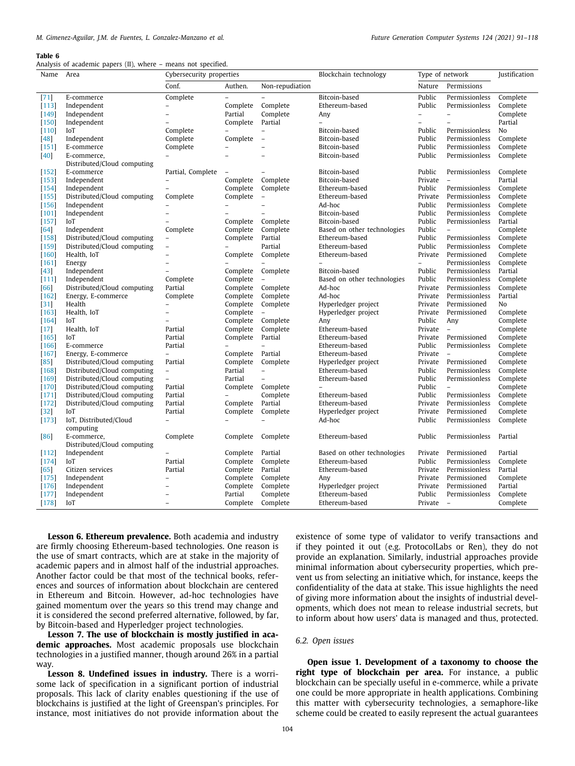Analysis of academic papers (II), where – means not specified.

| Name            | Area                        | Cybersecurity properties |                          | Type of network<br>Blockchain technology |                             |                          | Justification            |                |
|-----------------|-----------------------------|--------------------------|--------------------------|------------------------------------------|-----------------------------|--------------------------|--------------------------|----------------|
|                 |                             | Conf.                    | Authen.                  | Non-repudiation                          |                             | Nature                   | Permissions              |                |
| $[71]$          | E-commerce                  | Complete                 | $\overline{a}$           |                                          | Bitcoin-based               | Public                   | Permissionless           | Complete       |
| [113]           | Independent                 |                          | Complete                 | Complete                                 | Ethereum-based              | Public                   | Permissionless           | Complete       |
| $[149]$         | Independent                 | $\overline{a}$           | Partial                  | Complete                                 | Any                         | $\overline{a}$           | $\overline{a}$           | Complete       |
| $[150]$         | Independent                 |                          | Complete                 | Partial                                  | $\overline{a}$              | $\overline{\phantom{0}}$ | $\overline{a}$           | Partial        |
| $[110]$         | IoT                         | Complete                 | $\overline{\phantom{a}}$ | $\overline{\phantom{0}}$                 | Bitcoin-based               | Public                   | Permissionless           | N <sub>o</sub> |
| $[48]$          | Independent                 | Complete                 | Complete                 | $\overline{a}$                           | Bitcoin-based               | Public                   | Permissionless           | Complete       |
| $[151]$         | E-commerce                  | Complete                 |                          |                                          | Bitcoin-based               | Public                   | Permissionless           | Complete       |
| $[40]$          | E-commerce,                 |                          |                          | $\overline{a}$                           | Bitcoin-based               | Public                   | Permissionless           | Complete       |
|                 | Distributed/Cloud computing |                          |                          |                                          |                             |                          |                          |                |
| $[152]$         | E-commerce                  | Partial, Complete        |                          |                                          | Bitcoin-based               | Public                   | Permissionless           | Complete       |
| $[153]$         | Independent                 | $\qquad \qquad -$        | Complete                 | Complete                                 | Bitcoin-based               | Private                  | $\overline{a}$           | Partial        |
| $[154]$         | Independent                 | $\overline{\phantom{0}}$ | Complete                 | Complete                                 | Ethereum-based              | Public                   | Permissionless           | Complete       |
| [155]           | Distributed/Cloud computing | Complete                 | Complete                 | $\overline{\phantom{a}}$                 | Ethereum-based              | Private                  | Permissionless           | Complete       |
| $[156]$         | Independent                 |                          |                          | $\overline{\phantom{a}}$                 | Ad-hoc                      | Public                   | Permissionless           | Complete       |
| $[101]$         | Independent                 | $\overline{a}$           |                          | $\overline{a}$                           | Bitcoin-based               | Public                   | Permissionless           | Complete       |
| $[157]$         | IoT                         | $\overline{a}$           | Complete                 | Complete                                 | Bitcoin-based               | Public                   | Permissionless           | Partial        |
| [64]            | Independent                 | Complete                 | Complete                 | Complete                                 | Based on other technologies | Public                   | $\overline{\phantom{a}}$ | Complete       |
| $[158]$         | Distributed/Cloud computing | $\overline{\phantom{0}}$ | Complete                 | Partial                                  | Ethereum-based              | Public                   | Permissionless           | Complete       |
| $[159]$         | Distributed/Cloud computing | $\overline{\phantom{0}}$ |                          | Partial                                  | Ethereum-based              | Public                   | Permissionless           | Complete       |
| [160]           | Health, IoT                 | $\overline{a}$           | Complete                 | Complete                                 | Ethereum-based              | Private                  | Permissioned             | Complete       |
| $[161]$         | Energy                      | $\overline{a}$           |                          |                                          |                             | $\overline{\phantom{a}}$ | Permissionless           | Complete       |
| $[43]$          | Independent                 | $\overline{a}$           | Complete                 | Complete                                 | Bitcoin-based               | Public                   | Permissionless           | Partial        |
| [111]           | Independent                 | Complete                 | Complete                 | $\overline{a}$                           | Based on other technologies | Public                   | Permissionless           | Complete       |
| [66]            | Distributed/Cloud computing | Partial                  | Complete                 | Complete                                 | Ad-hoc                      | Private                  | Permissionless           | Complete       |
| $[162]$         | Energy, E-commerce          | Complete                 | Complete                 | Complete                                 | Ad-hoc                      | Private                  | Permissionless           | Partial        |
| $[31]$          | Health                      | $\overline{a}$           | Complete                 | Complete                                 | Hyperledger project         | Private                  | Permissioned             | No             |
| $[163]$         | Health, IoT                 | -                        | Complete                 | $\overline{\phantom{0}}$                 | Hyperledger project         | Private                  | Permissioned             | Complete       |
| $[164]$         | IoT                         |                          | Complete                 | Complete                                 | Any                         | Public                   | Any                      | Complete       |
| $[17]$          | Health, IoT                 | Partial                  | Complete                 | Complete                                 | Ethereum-based              | Private                  | $\overline{\phantom{a}}$ | Complete       |
| $[165]$         | IoT                         | Partial                  | Complete                 | Partial                                  | Ethereum-based              | Private                  | Permissioned             | Complete       |
| $[166]$         | E-commerce                  | Partial                  |                          |                                          | Ethereum-based              | Public                   | Permissionless           | Complete       |
| $[167]$         | Energy, E-commerce          | $\overline{\phantom{0}}$ | Complete                 | Partial                                  | Ethereum-based              | Private                  | $\overline{\phantom{a}}$ | Complete       |
| [85]            | Distributed/Cloud computing | Partial                  | Complete                 | Complete                                 | Hyperledger project         | Private                  | Permissioned             | Complete       |
| [168]           | Distributed/Cloud computing | $\overline{\phantom{a}}$ | Partial                  | $\qquad \qquad -$                        | Ethereum-based              | Public                   | Permissionless           | Complete       |
| $[169]$         | Distributed/Cloud computing | $\overline{\phantom{0}}$ | Partial                  | $\overline{\phantom{0}}$                 | Ethereum-based              | Public                   | Permissionless           | Complete       |
| $[170]$         | Distributed/Cloud computing | Partial                  | Complete                 | Complete                                 | $\overline{a}$              | Public                   | $\overline{\phantom{0}}$ | Complete       |
| [171]           | Distributed/Cloud computing | Partial                  | $\overline{\phantom{a}}$ | Complete                                 | Ethereum-based              | Public                   | Permissionless           | Complete       |
| $[172]$         | Distributed/Cloud computing | Partial                  | Complete                 | Partial                                  | Ethereum-based              | Private                  | Permissionless           | Complete       |
| $[32]$          | IoT                         | Partial                  | Complete                 | Complete                                 | Hyperledger project         | Private                  | Permissioned             | Complete       |
| $[173]$         | IoT, Distributed/Cloud      | $\overline{\phantom{0}}$ |                          |                                          | Ad-hoc                      | Public                   | Permissionless           | Complete       |
|                 | computing                   |                          |                          |                                          |                             |                          |                          |                |
| [86]            | E-commerce,                 | Complete                 | Complete                 | Complete                                 | Ethereum-based              | Public                   | Permissionless           | Partial        |
|                 | Distributed/Cloud computing |                          |                          |                                          |                             |                          |                          |                |
| $[112]$         | Independent                 |                          | Complete                 | Partial                                  | Based on other technologies | Private                  | Permissioned             | Partial        |
| $[174]$         | IoT                         | Partial                  | Complete                 | Complete                                 | Ethereum-based              | Public                   | Permissionless           | Complete       |
|                 | Citizen services            | Partial                  | Complete                 | Partial                                  | Ethereum-based              | Private                  | Permissionless           | Partial        |
| [65]<br>$[175]$ | Independent                 | $\overline{a}$           | Complete                 | Complete                                 | Any                         | Private                  | Permissioned             | Complete       |
|                 |                             | $\overline{a}$           | Complete                 | Complete                                 |                             | Private                  | Permissioned             | Partial        |
| $[176]$         | Independent                 |                          |                          |                                          | Hyperledger project         |                          |                          |                |
| $[177]$         | Independent                 |                          | Partial                  | Complete                                 | Ethereum-based              | Public                   | Permissionless           | Complete       |
| $[178]$         | IoT                         | $\overline{\phantom{a}}$ |                          | Complete Complete                        | Ethereum-based              | Private                  | $\overline{\phantom{a}}$ | Complete       |

**Lesson 6. Ethereum prevalence.** Both academia and industry are firmly choosing Ethereum-based technologies. One reason is the use of smart contracts, which are at stake in the majority of academic papers and in almost half of the industrial approaches. Another factor could be that most of the technical books, references and sources of information about blockchain are centered in Ethereum and Bitcoin. However, ad-hoc technologies have gained momentum over the years so this trend may change and it is considered the second preferred alternative, followed, by far, by Bitcoin-based and Hyperledger project technologies.

**Lesson 7. The use of blockchain is mostly justified in academic approaches.** Most academic proposals use blockchain technologies in a justified manner, though around 26% in a partial way.

**Lesson 8. Undefined issues in industry.** There is a worrisome lack of specification in a significant portion of industrial proposals. This lack of clarity enables questioning if the use of blockchains is justified at the light of Greenspan's principles. For instance, most initiatives do not provide information about the

existence of some type of validator to verify transactions and if they pointed it out (e.g. ProtocolLabs or Ren), they do not provide an explanation. Similarly, industrial approaches provide minimal information about cybersecurity properties, which prevent us from selecting an initiative which, for instance, keeps the confidentiality of the data at stake. This issue highlights the need of giving more information about the insights of industrial developments, which does not mean to release industrial secrets, but to inform about how users' data is managed and thus, protected.

# *6.2. Open issues*

**Open issue 1. Development of a taxonomy to choose the right type of blockchain per area.** For instance, a public blockchain can be specially useful in e-commerce, while a private one could be more appropriate in health applications. Combining this matter with cybersecurity technologies, a semaphore-like scheme could be created to easily represent the actual guarantees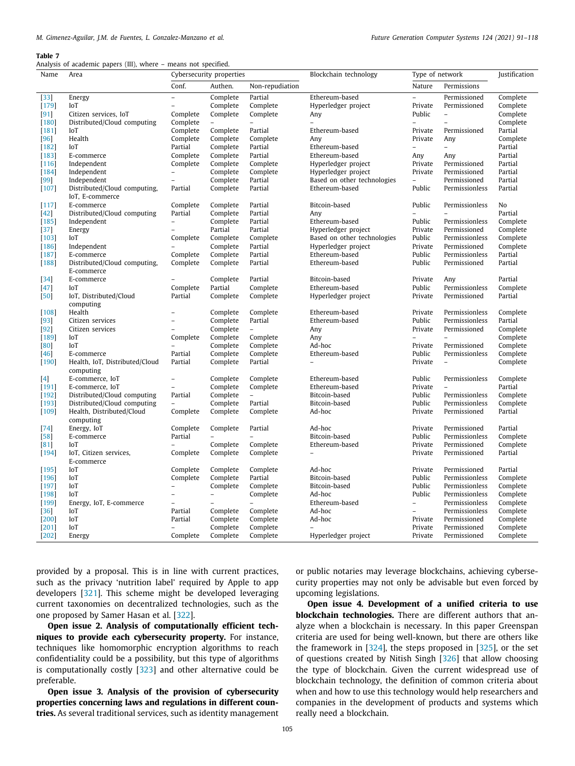Analysis of academic papers (III), where – means not specified.

| Name                        | Area                                            | Cybersecurity properties |                          | Blockchain technology    | Type of network                  | Justification            |                          |          |
|-----------------------------|-------------------------------------------------|--------------------------|--------------------------|--------------------------|----------------------------------|--------------------------|--------------------------|----------|
|                             |                                                 | Conf.                    | Authen.                  | Non-repudiation          |                                  | Nature                   | Permissions              |          |
| $[33]$                      | Energy                                          | $\overline{a}$           | Complete                 | Partial                  | Ethereum-based                   | $\overline{a}$           | Permissioned             | Complete |
| $[179]$                     | IoT                                             | $\overline{\phantom{0}}$ | Complete                 | Complete                 | Hyperledger project              | Private                  | Permissioned             | Complete |
| $[91]$                      | Citizen services, IoT                           | Complete                 | Complete                 | Complete                 | Any                              | Public                   | $\overline{\phantom{a}}$ | Complete |
| $[180]$                     | Distributed/Cloud computing                     | Complete                 | $\bar{\phantom{a}}$      | $\overline{\phantom{0}}$ | $\overline{\phantom{0}}$         | $\overline{\phantom{a}}$ | $\overline{\phantom{a}}$ | Complete |
| $[181]$                     | IoT                                             | Complete                 | Complete                 | Partial                  | Ethereum-based                   | Private                  | Permissioned             | Partial  |
| [96]                        | Health                                          | Complete                 | Complete                 | Complete                 | Any                              | Private                  | Any                      | Complete |
| $[182]$                     | IoT                                             | Partial                  | Complete                 | Partial                  | Ethereum-based                   | $\qquad \qquad -$        | $\overline{\phantom{a}}$ | Partial  |
| [183]                       | E-commerce                                      | Complete                 | Complete                 | Partial                  | Ethereum-based                   | Any                      | Any                      | Partial  |
| $[116]$                     | Independent                                     | Complete                 | Complete                 | Complete                 | Hyperledger project              | Private                  | Permissioned             | Partial  |
| $[184]$                     | Independent                                     | $\overline{\phantom{0}}$ | Complete                 | Complete                 | Hyperledger project              | Private                  | Permissioned             | Partial  |
| [99]                        | Independent                                     | $\overline{a}$           | Complete                 | Partial                  | Based on other technologies      | $\overline{\phantom{0}}$ | Permissioned             | Partial  |
| $[107]$                     | Distributed/Cloud computing,<br>IoT, E-commerce | Partial                  | Complete                 | Partial                  | Ethereum-based                   | Public                   | Permissionless           | Partial  |
| $[117]$                     | E-commerce                                      | Complete                 | Complete                 | Partial                  | Bitcoin-based                    | Public                   | Permissionless           | No       |
| $\left[42\right]$           | Distributed/Cloud computing                     | Partial                  | Complete                 | Partial                  | Any                              |                          |                          | Partial  |
| [185]                       | Independent                                     | $\overline{\phantom{0}}$ | Complete                 | Partial                  | Ethereum-based                   | Public                   | Permissionless           | Complete |
| $[37]$                      | Energy                                          | $\overline{a}$           | Partial                  | Partial                  | Hyperledger project              | Private                  | Permissioned             | Complete |
| $[103]$                     | IoT                                             | Complete                 | Complete                 | Complete                 | Based on other technologies      | Public                   | Permissionless           | Complete |
| $[186]$                     | Independent                                     | $\overline{\phantom{0}}$ | Complete                 | Partial                  | Hyperledger project              | Private                  | Permissioned             | Complete |
| $[187]$                     | E-commerce                                      | Complete                 | Complete                 | Partial                  | Ethereum-based                   | Public                   | Permissionless           | Partial  |
| $[188]$                     | Distributed/Cloud computing,                    | Complete                 | Complete                 | Partial                  | Ethereum-based                   | Public                   | Permissioned             | Partial  |
|                             | E-commerce                                      |                          |                          |                          |                                  |                          |                          |          |
| $[34]$                      | E-commerce                                      | $\overline{\phantom{0}}$ | Complete                 | Partial                  | Bitcoin-based                    | Private                  | Any                      | Partial  |
| 47                          | IoT                                             | Complete                 | Partial                  | Complete                 | Ethereum-based                   | Public                   | Permissionless           | Complete |
| $[50]$                      | IoT, Distributed/Cloud                          | Partial                  | Complete                 | Complete                 | Hyperledger project              | Private                  | Permissioned             | Partial  |
|                             | computing                                       |                          |                          |                          |                                  |                          |                          |          |
| $[108]$                     | Health                                          | $\overline{a}$           | Complete                 | Complete                 | Ethereum-based                   | Private                  | Permissionless           | Complete |
| 93                          | Citizen services                                | $\overline{a}$           | Complete                 | Partial                  | Ethereum-based                   | Public                   | Permissionless           | Partial  |
| $[92]$                      | Citizen services                                | $\overline{\phantom{0}}$ | Complete                 | $\overline{\phantom{a}}$ | Any                              | Private                  | Permissioned             | Complete |
| $[189]$                     | IoT                                             | Complete                 | Complete                 | Complete                 | Any                              | $\overline{\phantom{m}}$ | $\equiv$                 | Complete |
| [80]                        | IoT                                             |                          | Complete                 | Complete                 | Ad-hoc                           | Private                  | Permissioned             | Complete |
| $[46]$                      | E-commerce                                      | Partial                  | Complete                 | Complete<br>Partial      | Ethereum-based<br>$\overline{a}$ | Public<br>Private        | Permissionless           | Complete |
| $[190]$                     | Health, IoT, Distributed/Cloud<br>computing     | Partial                  | Complete                 |                          |                                  |                          | $\overline{\phantom{a}}$ | Complete |
|                             | E-commerce, IoT                                 | $\overline{\phantom{0}}$ | Complete                 | Complete                 | Ethereum-based                   | Public                   | Permissionless           | Complete |
| $\left[4\right]$<br>$[191]$ | E-commerce, IoT                                 | $\overline{a}$           | Complete                 | Complete                 | Ethereum-based                   | Private                  |                          | Partial  |
| $[192]$                     | Distributed/Cloud computing                     | Partial                  | Complete                 | $\overline{\phantom{a}}$ | Bitcoin-based                    | Public                   | Permissionless           | Complete |
| 193                         | Distributed/Cloud computing                     | $\overline{a}$           | Complete                 | Partial                  | Bitcoin-based                    | Public                   | Permissionless           | Complete |
| $[109]$                     | Health, Distributed/Cloud                       | Complete                 | Complete                 | Complete                 | Ad-hoc                           | Private                  | Permissioned             | Partial  |
|                             | computing                                       |                          |                          |                          |                                  |                          |                          |          |
| [74]                        | Energy, IoT                                     | Complete                 | Complete                 | Partial                  | Ad-hoc                           | Private                  | Permissioned             | Partial  |
| $[58]$                      | E-commerce                                      | Partial                  | $\overline{a}$           |                          | Bitcoin-based                    | Public                   | Permissionless           | Complete |
| 81                          | IoT                                             | $\overline{a}$           | Complete                 | Complete                 | Ethereum-based                   | Private                  | Permissioned             | Complete |
| $[194]$                     | IoT, Citizen services,                          | Complete                 | Complete                 | Complete                 |                                  | Private                  | Permissioned             | Partial  |
|                             | E-commerce                                      |                          |                          |                          |                                  |                          |                          |          |
| $[195]$                     | IoT                                             | Complete                 | Complete                 | Complete                 | Ad-hoc                           | Private                  | Permissioned             | Partial  |
| $[196]$                     | IoT                                             | Complete                 | Complete                 | Partial                  | Bitcoin-based                    | Public                   | Permissionless           | Complete |
| $[197]$                     | IoT                                             | $\overline{\phantom{0}}$ | Complete                 | Complete                 | Bitcoin-based                    | Public                   | Permissionless           | Complete |
| $[198]$                     | IoT                                             | $\overline{a}$           | $\overline{\phantom{a}}$ | Complete                 | Ad-hoc                           | Public                   | Permissionless           | Complete |
| $[199]$                     | Energy, IoT, E-commerce                         | $\overline{a}$           | $\overline{a}$           |                          | Ethereum-based                   | $\overline{\phantom{0}}$ | Permissionless           | Complete |
| $[36]$                      | IoT                                             | Partial                  | Complete                 | Complete                 | Ad-hoc                           | $\overline{\phantom{0}}$ | Permissionless           | Complete |
| [200]                       | IoT                                             | Partial                  | Complete                 | Complete                 | Ad-hoc                           | Private                  | Permissioned             | Complete |
| $[201]$                     | IoT                                             |                          | Complete                 | Complete                 |                                  | Private                  | Permissioned             | Complete |
| $[202]$                     | Energy                                          | Complete                 | Complete                 | Complete                 | Hyperledger project              | Private                  | Permissioned             | Complete |

provided by a proposal. This is in line with current practices, such as the privacy 'nutrition label' required by Apple to app developers [[321](#page-27-4)]. This scheme might be developed leveraging current taxonomies on decentralized technologies, such as the one proposed by Samer Hasan et al. [[322](#page-27-5)].

**Open issue 2. Analysis of computationally efficient techniques to provide each cybersecurity property.** For instance, techniques like homomorphic encryption algorithms to reach confidentiality could be a possibility, but this type of algorithms is computationally costly [\[323\]](#page-27-6) and other alternative could be preferable.

**Open issue 3. Analysis of the provision of cybersecurity properties concerning laws and regulations in different countries.** As several traditional services, such as identity management or public notaries may leverage blockchains, achieving cybersecurity properties may not only be advisable but even forced by upcoming legislations.

**Open issue 4. Development of a unified criteria to use blockchain technologies.** There are different authors that analyze when a blockchain is necessary. In this paper Greenspan criteria are used for being well-known, but there are others like the framework in [[324](#page-27-7)], the steps proposed in [[325\]](#page-27-8), or the set of questions created by Nitish Singh [\[326\]](#page-27-9) that allow choosing the type of blockchain. Given the current widespread use of blockchain technology, the definition of common criteria about when and how to use this technology would help researchers and companies in the development of products and systems which really need a blockchain.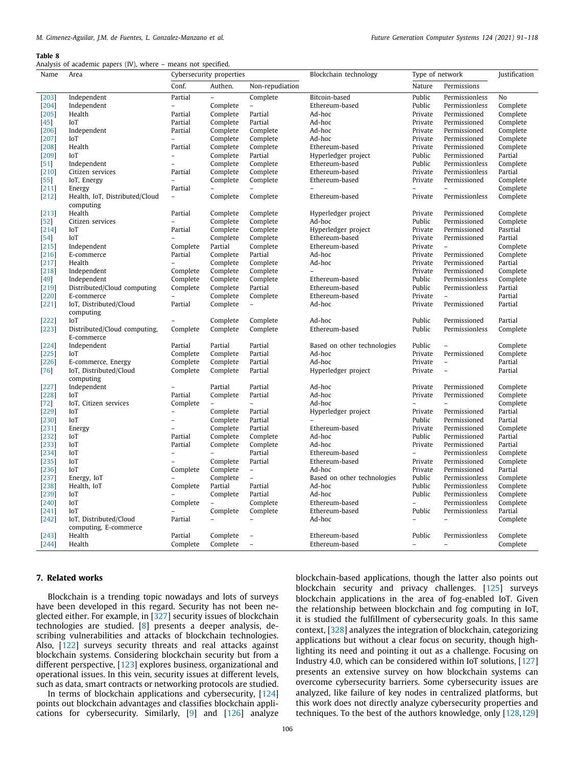Analysis of academic papers (IV), where – means not specified.

| Name    | $\frac{1}{2}$<br>Area          | means not specifical<br>Cybersecurity properties |                          | Blockchain technology    | Type of network                  |                          | Justification                |                      |
|---------|--------------------------------|--------------------------------------------------|--------------------------|--------------------------|----------------------------------|--------------------------|------------------------------|----------------------|
|         |                                | Conf.                                            | Authen.                  | Non-repudiation          |                                  | Nature                   | Permissions                  |                      |
| $[203]$ | Independent                    | Partial                                          | $\overline{a}$           | Complete                 | Bitcoin-based                    | Public                   | Permissionless               | No                   |
| $[204]$ | Independent                    | $\overline{\phantom{a}}$                         | Complete                 | $\qquad \qquad -$        | Ethereum-based                   | Public                   | Permissionless               | Complete             |
| $[205]$ | Health                         | Partial                                          | Complete                 | Partial                  | Ad-hoc                           | Private                  | Permissioned                 | Complete             |
| $[45]$  | IoT                            | Partial                                          | Complete                 | Partial                  | Ad-hoc                           | Private                  | Permissioned                 | Complete             |
| $[206]$ | Independent                    | Partial                                          | Complete                 | Complete                 | Ad-hoc                           | Private                  | Permissioned                 | Complete             |
| [207]   | IoT                            | $\overline{a}$                                   | Complete                 | Complete                 | Ad-hoc                           | Private                  | Permissioned                 | Complete             |
| $[208]$ | Health                         | Partial                                          | Complete                 | Complete                 | Ethereum-based                   | Private                  | Permissioned                 | Complete             |
| $[209]$ | IoT                            |                                                  | Complete                 | Partial                  | Hyperledger project              | Public                   | Permissioned                 | Partial              |
| $[51]$  | Independent                    | $\qquad \qquad -$                                | Complete                 | Complete                 | Ethereum-based                   | Public                   | Permissionless               | Complete             |
| $[210]$ | Citizen services               | Partial                                          | Complete                 | Complete                 | Ethereum-based                   | Private                  | Permissionless               | Partial              |
| $[55]$  | IoT, Energy                    |                                                  | Complete                 | Complete                 | Ethereum-based                   | Private                  | Permissioned                 | Complete             |
| $[211]$ | Energy                         | Partial                                          | $\overline{\phantom{0}}$ |                          |                                  |                          | $\overline{\phantom{0}}$     | Complete             |
| $[212]$ | Health, IoT, Distributed/Cloud | $\overline{a}$                                   | Complete                 | Complete                 | Ethereum-based                   | Private                  | Permissionless               | Complete             |
|         | computing                      |                                                  |                          |                          |                                  |                          |                              |                      |
| $[213]$ | Health                         | Partial                                          | Complete                 | Complete                 | Hyperledger project              | Private                  | Permissioned                 | Complete             |
| $[52]$  | Citizen services               | $\overline{\phantom{a}}$                         | Complete                 | Complete                 | Ad-hoc                           | Public                   | Permissioned                 | Complete             |
| $[214]$ | IoT                            | Partial                                          | Complete                 | Complete                 | Hyperledger project              | Private                  | Permissioned                 | Pasrtial             |
| $[54]$  | IoT                            |                                                  | Complete                 | Complete                 | Ethereum-based                   | Private                  | Permissioned                 | Partial              |
| $[215]$ | Independent                    | Complete                                         | Partial                  | Complete                 | Ethereum-based                   | Private                  | $\overline{\phantom{0}}$     | Complete             |
| $[216]$ | E-commerce                     | Partial                                          | Complete                 | Partial                  | Ad-hoc                           | Private                  | Permissioned                 | Complete             |
| $[217]$ | Health                         | $\overline{\phantom{a}}$                         | Complete                 | Complete                 | Ad-hoc                           | Private                  | Permissioned                 | Partial              |
| $[218]$ | Independent                    | Complete                                         | Complete                 | Complete                 |                                  | Private                  | Permissioned                 | Complete             |
| $[49]$  | Independent                    | Complete                                         | Complete                 | Complete                 | Ethereum-based                   | Public                   | Permissionless               | Complete             |
| $[219]$ | Distributed/Cloud computing    | Complete                                         | Complete                 | Partial                  | Ethereum-based                   | Public                   | Permissionless               | Partial              |
| $[220]$ | E-commerce                     | $\overline{a}$                                   | Complete                 | Complete                 | Ethereum-based                   | Private                  | $\overline{a}$               | Partial              |
| $[221]$ | IoT, Distributed/Cloud         | Partial                                          | Complete                 | $\overline{\phantom{a}}$ | Ad-hoc                           | Private                  | Permissioned                 | Partial              |
|         | computing                      |                                                  |                          |                          |                                  |                          |                              |                      |
| $[222]$ | IoT                            | $\overline{\phantom{0}}$                         | Complete                 | Complete                 | Ad-hoc                           | Public                   | Permissioned                 | Partial              |
| $[223]$ | Distributed/Cloud computing,   | Complete                                         | Complete                 | Complete                 | Ethereum-based                   | Public                   | Permissionless               | Complete             |
|         | E-commerce                     |                                                  |                          |                          |                                  |                          |                              |                      |
| $[224]$ | Independent                    | Partial                                          | Partial                  | Partial                  | Based on other technologies      | Public                   | $\overline{\phantom{0}}$     | Complete             |
| $[225]$ | IoT                            | Complete                                         | Complete                 | Partial                  | Ad-hoc                           | Private                  | Permissioned                 | Complete             |
| $[226]$ | E-commerce, Energy             | Complete                                         | Complete                 | Partial                  | Ad-hoc                           | Private                  | $\overline{\phantom{a}}$     | Partial              |
|         | IoT, Distributed/Cloud         | Complete                                         | Complete                 | Partial                  |                                  | Private                  | $\overline{\phantom{0}}$     | Partial              |
| $[76]$  | computing                      |                                                  |                          |                          | Hyperledger project              |                          |                              |                      |
| $[227]$ | Independent                    | $\overline{\phantom{0}}$                         | Partial                  | Partial                  | Ad-hoc                           | Private                  | Permissioned                 | Complete             |
| $[228]$ | IoT                            | Partial                                          | Complete                 | Partial                  | Ad-hoc                           | Private                  | Permissioned                 | Complete             |
| $[72]$  | IoT, Citizen services          | Complete                                         | $\overline{\phantom{0}}$ | $\overline{\phantom{0}}$ | Ad-hoc                           | $\overline{a}$           | $\overline{a}$               | Complete             |
| $[229]$ | IoT                            | $\qquad \qquad -$                                | Complete                 | Partial                  | Hyperledger project              | Private                  | Permissioned                 | Partial              |
| $[230]$ | IoT                            | $\overline{\phantom{a}}$                         | Complete                 | Partial                  |                                  | Public                   | Permissioned                 | Partial              |
| $[231]$ | Energy                         | $\overline{\phantom{a}}$                         | Complete                 | Partial                  | Ethereum-based                   | Private                  | Permissioned                 | Complete             |
| $[232]$ | IoT                            | Partial                                          | Complete                 | Complete                 | Ad-hoc                           | Public                   | Permissioned                 | Partial              |
| $[233]$ | IoT                            | Partial                                          | Complete                 | Complete                 | Ad-hoc                           | Private                  | Permissioned                 | Partial              |
| $[234]$ | IoT                            | $\qquad \qquad -$                                | $\overline{\phantom{0}}$ | Partial                  |                                  | $\overline{\phantom{0}}$ | Permissionless               |                      |
|         | IoT                            | $\overline{\phantom{0}}$                         | Complete                 | Partial                  | Ethereum-based<br>Ethereum-based | Private                  |                              | Complete<br>Complete |
| $[235]$ | IoT                            |                                                  | Complete                 | $\overline{\phantom{a}}$ | Ad-hoc                           | Private                  | Permissioned<br>Permissioned | Partial              |
| $[236]$ |                                | Complete                                         | Complete                 | $\overline{a}$           |                                  | Public                   |                              |                      |
| $[237]$ | Energy, IoT                    |                                                  |                          |                          | Based on other technologies      |                          | Permissionless               | Complete             |
| $[238]$ | Health, IoT                    | Complete                                         | Partial                  | Partial                  | Ad-hoc                           | Public                   | Permissionless               | Complete             |
| $[239]$ | IoT                            |                                                  | Complete                 | Partial                  | Ad-hoc                           | Public                   | Permissionless               | Complete             |
| $[240]$ | IoT                            | Complete                                         | $\overline{\phantom{0}}$ | Complete                 | Ethereum-based                   |                          | Permissionless               | Complete             |
| [241]   | IoT                            |                                                  | Complete                 | Complete                 | Ethereum-based                   | Public                   | Permissionless               | Partial              |
| $[242]$ | IoT, Distributed/Cloud         | Partial                                          | $\overline{\phantom{0}}$ | $\overline{\phantom{a}}$ | Ad-hoc                           | $\overline{a}$           | $\overline{\phantom{0}}$     | Complete             |
|         | computing, E-commerce          |                                                  |                          |                          |                                  |                          |                              |                      |
| $[243]$ | Health                         | Partial                                          | Complete                 | $\overline{\phantom{a}}$ | Ethereum-based                   | Public                   | Permissionless               | Complete             |
| $[244]$ | Health                         | Complete                                         | Complete                 | $\overline{\phantom{0}}$ | Ethereum-based                   |                          |                              | Complete             |

# **7. Related works**

<span id="page-15-0"></span>Blockchain is a trending topic nowadays and lots of surveys have been developed in this regard. Security has not been neglected either. For example, in [\[327\]](#page-27-10) security issues of blockchain technologies are studied. [[8\]](#page-21-1) presents a deeper analysis, describing vulnerabilities and attacks of blockchain technologies. Also, [\[122\]](#page-23-7) surveys security threats and real attacks against blockchain systems. Considering blockchain security but from a different perspective, [[123](#page-23-8)] explores business, organizational and operational issues. In this vein, security issues at different levels, such as data, smart contracts or networking protocols are studied.

In terms of blockchain applications and cybersecurity, [\[124\]](#page-23-9) points out blockchain advantages and classifies blockchain applications for cybersecurity. Similarly, [\[9](#page-21-2)] and [\[126\]](#page-23-11) analyze blockchain-based applications, though the latter also points out blockchain security and privacy challenges. [[125\]](#page-23-10) surveys blockchain applications in the area of fog-enabled IoT. Given the relationship between blockchain and fog computing in IoT, it is studied the fulfillment of cybersecurity goals. In this same context, [\[328\]](#page-27-11) analyzes the integration of blockchain, categorizing applications but without a clear focus on security, though highlighting its need and pointing it out as a challenge. Focusing on Industry 4.0, which can be considered within IoT solutions, [\[127\]](#page-23-12) presents an extensive survey on how blockchain systems can overcome cybersecurity barriers. Some cybersecurity issues are analyzed, like failure of key nodes in centralized platforms, but this work does not directly analyze cybersecurity properties and techniques. To the best of the authors knowledge, only [[128](#page-23-13)[,129\]](#page-23-14)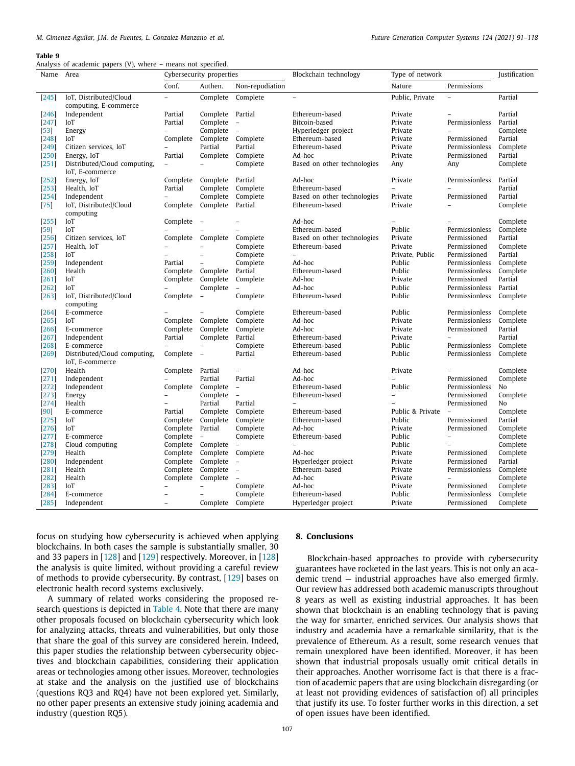Analysis of academic papers (V), where – means not specified.

| Name               | Area                                 | Cybersecurity properties |                            | Blockchain technology    | Type of network                               |                                    | Justification                            |                     |
|--------------------|--------------------------------------|--------------------------|----------------------------|--------------------------|-----------------------------------------------|------------------------------------|------------------------------------------|---------------------|
|                    |                                      | Conf.                    | Authen.                    | Non-repudiation          |                                               | Nature                             | Permissions                              |                     |
| $[245]$            | IoT, Distributed/Cloud               | $\overline{a}$           | Complete                   | Complete                 | $\overline{\phantom{0}}$                      | Public, Private                    | $\overline{\phantom{a}}$                 | Partial             |
|                    | computing, E-commerce                |                          |                            |                          |                                               |                                    |                                          |                     |
| $[246]$            | Independent                          | Partial                  | Complete Partial           |                          | Ethereum-based                                | Private                            |                                          | Partial             |
| $[247]$            | IoT                                  | Partial                  | Complete                   | $\sim$                   | Bitcoin-based                                 | Private                            | Permissionless                           | Partial             |
| $[53]$             | Energy                               |                          | Complete                   | $\overline{\phantom{a}}$ | Hyperledger project                           | Private                            |                                          | Complete            |
| [248]              | IoT                                  |                          | Complete Complete Complete |                          | Ethereum-based                                | Private                            | Permissioned                             | Partial             |
| $[249]$            | Citizen services, IoT                |                          | Partial                    | Partial                  | Ethereum-based                                | Private                            | Permissionless                           | Complete            |
| $[250]$            | Energy, IoT                          | Partial                  | Complete                   | Complete                 | Ad-hoc                                        | Private                            | Permissioned                             | Partial             |
| $[251]$            | Distributed/Cloud computing,         | $\overline{\phantom{a}}$ | $\overline{a}$             | Complete                 | Based on other technologies                   | Any                                | Any                                      | Complete            |
|                    | IoT, E-commerce                      |                          |                            |                          |                                               |                                    |                                          |                     |
| $[252]$            | Energy, IoT                          | Complete                 | Complete                   | Partial                  | Ad-hoc                                        | Private                            | Permissionless                           | Partial             |
| $[253]$            | Health, IoT                          | Partial                  | Complete                   | Complete                 | Ethereum-based                                | $\overline{a}$                     |                                          | Partial             |
| $[254]$            | Independent                          | $\overline{\phantom{a}}$ | Complete                   | Complete                 | Based on other technologies                   | Private                            | Permissioned                             | Partial             |
| $\left[ 75\right]$ | IoT, Distributed/Cloud               |                          | Complete Complete          | Partial                  | Ethereum-based                                | Private                            |                                          | Complete            |
|                    | computing                            |                          |                            |                          |                                               |                                    |                                          |                     |
| $\left[255\right]$ | IoT<br>IoT                           | Complete                 | $\overline{a}$             |                          | Ad-hoc<br>Ethereum-based                      | Public                             | Permissionless                           | Complete            |
| $[59]$             |                                      |                          | Complete Complete          |                          |                                               | Private                            | Permissioned                             | Complete<br>Partial |
| $[256]$<br>$[257]$ | Citizen services, IoT<br>Health, IoT |                          |                            | Complete<br>Complete     | Based on other technologies<br>Ethereum-based | Private                            | Permissioned                             | Complete            |
| $[258]$            | IoT                                  | $\overline{a}$           | $\overline{a}$             | Complete                 |                                               | Private, Public                    | Permissioned                             | Partial             |
| $[259]$            | Independent                          | Partial                  | $\overline{a}$             | Complete                 | Ad-hoc                                        | Public                             | Permissionless                           | Complete            |
| [260]              | Health                               |                          | Complete Complete          | Partial                  | Ethereum-based                                | Public                             | Permissionless                           | Complete            |
| $[261]$            | IoT                                  |                          | Complete Complete          | Complete                 | Ad-hoc                                        | Private                            | Permissioned                             | Partial             |
| $[262]$            | IoT                                  |                          | Complete                   | $\overline{\phantom{a}}$ | Ad-hoc                                        | Public                             | Permissionless                           | Partial             |
| $[263]$            | IoT, Distributed/Cloud<br>computing  | Complete                 | $\overline{a}$             | Complete                 | Ethereum-based                                | Public                             | Permissionless                           | Complete            |
| $[264]$            | E-commerce                           |                          |                            | Complete                 | Ethereum-based                                | Public                             | Permissionless                           | Complete            |
| $[265]$            | IoT                                  |                          | Complete Complete          | Complete                 | Ad-hoc                                        | Private                            | Permissionless                           | Complete            |
| $[266]$            | E-commerce                           |                          | Complete Complete          | Complete                 | Ad-hoc                                        | Private                            | Permissioned                             | Partial             |
| $[267]$            | Independent                          | Partial                  | Complete                   | Partial                  | Ethereum-based                                | Private                            |                                          | Partial             |
| $[268]$            | E-commerce                           |                          | $\overline{a}$             | Complete                 | Ethereum-based                                | Public                             | Permissionless                           | Complete            |
| $[269]$            | Distributed/Cloud computing,         | Complete                 | $\overline{a}$             | Partial                  | Ethereum-based                                | Public                             | Permissionless                           | Complete            |
|                    | IoT, E-commerce                      |                          |                            |                          |                                               |                                    |                                          |                     |
| [270]              | Health                               | Complete Partial         |                            | $\qquad \qquad -$        | Ad-hoc                                        | Private                            |                                          | Complete            |
| [271]              | Independent                          | $\overline{\phantom{a}}$ | Partial                    | Partial                  | Ad-hoc                                        | $\overline{\phantom{0}}$           | Permissioned                             | Complete            |
| $[272]$            | Independent                          | Complete                 | Complete                   | $\overline{\phantom{a}}$ | Ethereum-based                                | Public                             | Permissionless                           | No                  |
| $[273]$            | Energy                               | $\overline{\phantom{a}}$ | Complete                   | $\overline{\phantom{a}}$ | Ethereum-based                                | $\overline{\phantom{0}}$           | Permissioned                             | Complete            |
| $[274]$            | Health                               | $\qquad \qquad -$        | Partial                    | Partial                  | $\overline{\phantom{a}}$                      | $\overline{a}$<br>Public & Private | Permissioned<br>$\overline{\phantom{a}}$ | No                  |
| [90]<br>$[275]$    | E-commerce<br>IoT                    | Partial<br>Complete      | Complete<br>Complete       | Complete<br>Complete     | Ethereum-based<br>Ethereum-based              | Public                             | Permissioned                             | Complete<br>Partial |
| $[276]$            | IoT                                  | Complete                 | Partial                    | Complete                 | Ad-hoc                                        | Private                            | Permissioned                             | Complete            |
| $[277]$            | E-commerce                           | Complete                 | $\overline{\phantom{a}}$   | Complete                 | Ethereum-based                                | Public                             | $\overline{\phantom{a}}$                 | Complete            |
| $[278]$            | Cloud computing                      | Complete                 | Complete                   | $\overline{\phantom{a}}$ | $\overline{\phantom{0}}$                      | Public                             |                                          | Complete            |
| [279]              | Health                               | Complete                 | Complete Complete          |                          | Ad-hoc                                        | Private                            | Permissioned                             | Complete            |
| $[280]$            | Independent                          | Complete                 | Complete                   | $\overline{\phantom{a}}$ | Hyperledger project                           | Private                            | Permissioned                             | Partial             |
| $[281]$            | Health                               | Complete                 | Complete                   | $\overline{\phantom{a}}$ | Ethereum-based                                | Private                            | Permissionless                           | Complete            |
| [282]              | Health                               | Complete                 | Complete                   | $\overline{\phantom{a}}$ | Ad-hoc                                        | Private                            |                                          | Complete            |
| $[283]$            | IoT                                  | $\overline{a}$           | $\overline{a}$             | Complete                 | Ad-hoc                                        | Private                            | Permissioned                             | Complete            |
| $[284]$            | E-commerce                           | $\overline{a}$           |                            | Complete                 | Ethereum-based                                | Public                             | Permissionless                           | Complete            |
| $[285]$            | Independent                          | $\overline{\phantom{a}}$ |                            | Complete Complete        | Hyperledger project                           | Private                            | Permissioned                             | Complete            |
|                    |                                      |                          |                            |                          |                                               |                                    |                                          |                     |

focus on studying how cybersecurity is achieved when applying blockchains. In both cases the sample is substantially smaller, 30 and 33 papers in [\[128\]](#page-23-13) and [[129\]](#page-23-14) respectively. Moreover, in [\[128\]](#page-23-13) the analysis is quite limited, without providing a careful review of methods to provide cybersecurity. By contrast, [[129](#page-23-14)] bases on electronic health record systems exclusively.

A summary of related works considering the proposed research questions is depicted in [Table](#page-11-7) [4.](#page-11-7) Note that there are many other proposals focused on blockchain cybersecurity which look for analyzing attacks, threats and vulnerabilities, but only those that share the goal of this survey are considered herein. Indeed, this paper studies the relationship between cybersecurity objectives and blockchain capabilities, considering their application areas or technologies among other issues. Moreover, technologies at stake and the analysis on the justified use of blockchains (questions RQ3 and RQ4) have not been explored yet. Similarly, no other paper presents an extensive study joining academia and industry (question RQ5).

# **8. Conclusions**

<span id="page-16-0"></span>Blockchain-based approaches to provide with cybersecurity guarantees have rocketed in the last years. This is not only an academic trend — industrial approaches have also emerged firmly. Our review has addressed both academic manuscripts throughout 8 years as well as existing industrial approaches. It has been shown that blockchain is an enabling technology that is paving the way for smarter, enriched services. Our analysis shows that industry and academia have a remarkable similarity, that is the prevalence of Ethereum. As a result, some research venues that remain unexplored have been identified. Moreover, it has been shown that industrial proposals usually omit critical details in their approaches. Another worrisome fact is that there is a fraction of academic papers that are using blockchain disregarding (or at least not providing evidences of satisfaction of) all principles that justify its use. To foster further works in this direction, a set of open issues have been identified.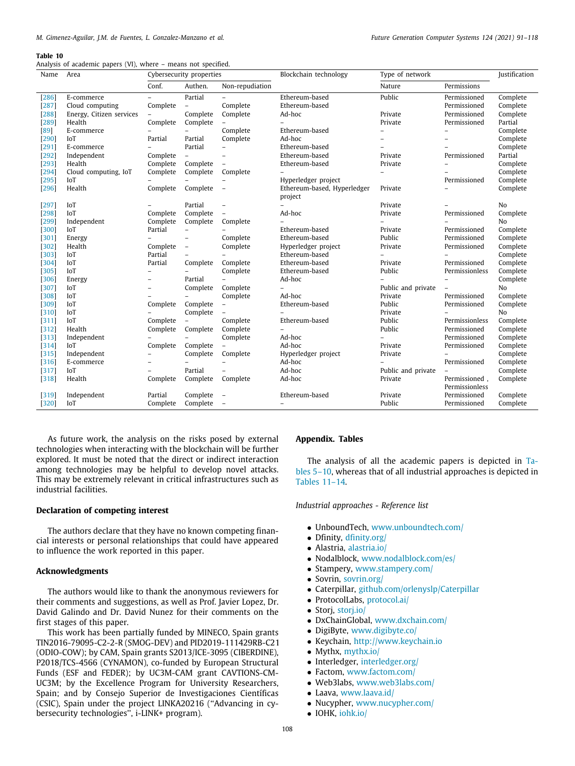<span id="page-17-1"></span>Analysis of academic papers (VI), where – means not specified.

| Name    | Area                     | Cybersecurity properties |                          | Blockchain technology    | Type of network                        |                          | Justification                   |          |
|---------|--------------------------|--------------------------|--------------------------|--------------------------|----------------------------------------|--------------------------|---------------------------------|----------|
|         |                          | Conf.                    | Authen.                  | Non-repudiation          |                                        | Nature                   | Permissions                     |          |
| $[286]$ | E-commerce               |                          | Partial                  |                          | Ethereum-based                         | Public                   | Permissioned                    | Complete |
| $[287]$ | Cloud computing          | Complete                 | $\overline{\phantom{a}}$ | Complete                 | Ethereum-based                         |                          | Permissioned                    | Complete |
| $[288]$ | Energy, Citizen services | $\overline{\phantom{m}}$ | Complete                 | Complete                 | Ad-hoc                                 | Private                  | Permissioned                    | Complete |
| $[289]$ | Health                   | Complete                 | Complete                 |                          |                                        | Private                  | Permissioned                    | Partial  |
| [89]    | E-commerce               |                          | $\overline{\phantom{0}}$ | Complete                 | Ethereum-based                         | $\overline{a}$           | $\overline{\phantom{0}}$        | Complete |
| [290]   | IoT                      | Partial                  | Partial                  | Complete                 | Ad-hoc                                 | -                        |                                 | Complete |
| $[291]$ | E-commerce               |                          | Partial                  |                          | Ethereum-based                         |                          |                                 | Complete |
| $[292]$ | Independent              | Complete                 | $\overline{\phantom{a}}$ |                          | Ethereum-based                         | Private                  | Permissioned                    | Partial  |
| $[293]$ | Health                   | Complete                 | Complete                 | $\overline{\phantom{0}}$ | Ethereum-based                         | Private                  |                                 | Complete |
| [294]   | Cloud computing, IoT     | Complete                 | Complete                 | Complete                 |                                        | $\overline{\phantom{0}}$ |                                 | Complete |
| $[295]$ | IoT                      |                          |                          |                          | Hyperledger project                    |                          | Permissioned                    | Complete |
| [296]   | Health                   | Complete                 | Complete                 | $\overline{\phantom{0}}$ | Ethereum-based, Hyperledger<br>project | Private                  |                                 | Complete |
| $[297]$ | IoT                      |                          | Partial                  |                          |                                        | Private                  |                                 | No       |
| [298]   | IoT                      | Complete                 | Complete                 |                          | Ad-hoc                                 | Private                  | Permissioned                    | Complete |
| $[299]$ | Independent              | Complete                 | Complete                 | Complete                 |                                        |                          |                                 | No       |
| $[300]$ | IoT                      | Partial                  | $\overline{\phantom{0}}$ |                          | Ethereum-based                         | Private                  | Permissioned                    | Complete |
| $[301]$ | Energy                   |                          | $\overline{\phantom{0}}$ | Complete                 | Ethereum-based                         | Public                   | Permissioned                    | Complete |
| $[302]$ | Health                   | Complete                 | $\overline{\phantom{a}}$ | Complete                 | Hyperledger project                    | Private                  | Permissioned                    | Complete |
| [303]   | IoT                      | Partial                  | $\overline{\phantom{0}}$ | $\overline{\phantom{0}}$ | Ethereum-based                         | $\overline{\phantom{0}}$ | $\overline{\phantom{0}}$        | Complete |
| $[304]$ | IoT                      | Partial                  | Complete                 | Complete                 | Ethereum-based                         | Private                  | Permissioned                    | Complete |
| 305     | IoT                      |                          |                          | Complete                 | Ethereum-based                         | Public                   | Permissionless                  | Complete |
| [306]   | Energy                   |                          | Partial                  | $\overline{\phantom{0}}$ | Ad-hoc                                 |                          |                                 | Complete |
| $[307]$ | IoT                      | $\overline{\phantom{0}}$ | Complete                 | Complete                 |                                        | Public and private       | $\overline{\phantom{0}}$        | No       |
| [308]   | IoT                      |                          |                          | Complete                 | Ad-hoc                                 | Private                  | Permissioned                    | Complete |
| [309]   | IoT                      | Complete                 | Complete                 | $\overline{\phantom{0}}$ | Ethereum-based                         | Public                   | Permissioned                    | Complete |
| $[310]$ | IoT                      |                          | Complete                 |                          |                                        | Private                  |                                 | No       |
| $[311]$ | IoT                      | Complete                 | $\overline{\phantom{a}}$ | Complete                 | Ethereum-based                         | Public                   | Permissionless                  | Complete |
| [312]   | Health                   | Complete                 | Complete                 | Complete                 |                                        | Public                   | Permissioned                    | Complete |
| [313]   | Independent              |                          |                          | Complete                 | Ad-hoc                                 | $\overline{a}$           | Permissioned                    | Complete |
| $[314]$ | IoT                      | Complete                 | Complete                 |                          | Ad-hoc                                 | Private                  | Permissioned                    | Complete |
| $[315]$ | Independent              |                          | Complete                 | Complete                 | Hyperledger project                    | Private                  |                                 | Complete |
| $[316]$ | E-commerce               |                          | $\overline{a}$           |                          | Ad-hoc                                 |                          | Permissioned                    | Complete |
| $[317]$ | IoT                      |                          | Partial                  |                          | Ad-hoc                                 | Public and private       |                                 | Complete |
| $[318]$ | Health                   | Complete                 | Complete                 | Complete                 | Ad-hoc                                 | Private                  | Permissioned.<br>Permissionless | Complete |
| $[319]$ | Independent              | Partial                  | Complete                 |                          | Ethereum-based                         | Private                  | Permissioned                    | Complete |
| $[320]$ | IoT                      | Complete                 | Complete                 | $\overline{a}$           | $\overline{a}$                         | Public                   | Permissioned                    | Complete |

As future work, the analysis on the risks posed by external technologies when interacting with the blockchain will be further explored. It must be noted that the direct or indirect interaction among technologies may be helpful to develop novel attacks. This may be extremely relevant in critical infrastructures such as industrial facilities.

# **Declaration of competing interest**

The authors declare that they have no known competing financial interests or personal relationships that could have appeared to influence the work reported in this paper.

# **Acknowledgments**

The authors would like to thank the anonymous reviewers for their comments and suggestions, as well as Prof. Javier Lopez, Dr. David Galindo and Dr. David Nunez for their comments on the first stages of this paper.

This work has been partially funded by MINECO, Spain grants TIN2016-79095-C2-2-R (SMOG-DEV) and PID2019-111429RB-C21 (ODIO-COW); by CAM, Spain grants S2013/ICE-3095 (CIBERDINE), P2018/TCS-4566 (CYNAMON), co-funded by European Structural Funds (ESF and FEDER); by UC3M-CAM grant CAVTIONS-CM-UC3M; by the Excellence Program for University Researchers, Spain; and by Consejo Superior de Investigaciones Científicas (CSIC), Spain under the project LINKA20216 (''Advancing in cybersecurity technologies'', i-LINK+ program).

# **Appendix. Tables**

<span id="page-17-0"></span>The analysis of all the academic papers is depicted in [Ta](#page-12-0)[bles](#page-12-0) [5](#page-12-0)–[10](#page-17-1), whereas that of all industrial approaches is depicted in [Tables](#page-18-0) [11](#page-18-0)[–14.](#page-20-6)

*Industrial approaches - Reference list*

- UnboundTech, [www.unboundtech.com/](http://www.unboundtech.com/)
- Dfinity, [dfinity.org/](https://dfinity.org/)
- Alastria, [alastria.io/](https://alastria.io/)
- Nodalblock, [www.nodalblock.com/es/](http://www.nodalblock.com/es/)
- Stampery, [www.stampery.com/](http://www.stampery.com/)
- Sovrin, [sovrin.org/](https://sovrin.org/)
- Caterpillar, [github.com/orlenyslp/Caterpillar](https://github.com/orlenyslp/Caterpillar)
- ProtocolLabs, [protocol.ai/](https://protocol.ai/)
- Storj, [storj.io/](https://www.storj.io/)
- DxChainGlobal, [www.dxchain.com/](http://www.dxchain.com/)
- DigiByte, [www.digibyte.co/](http://www.digibyte.co/)
- Keychain, <http://www.keychain.io>
- Mythx, [mythx.io/](https://mythx.io/)
- Interledger, [interledger.org/](https://interledger.org/)
- Factom, [www.factom.com/](http://www.factom.com/)
- Web3labs, [www.web3labs.com/](http://www.web3labs.com/)
- Laava, [www.laava.id/](http://www.laava.id/)
- Nucypher, [www.nucypher.com/](http://www.nucypher.com/)
- IOHK, [iohk.io/](https://iohk.io/)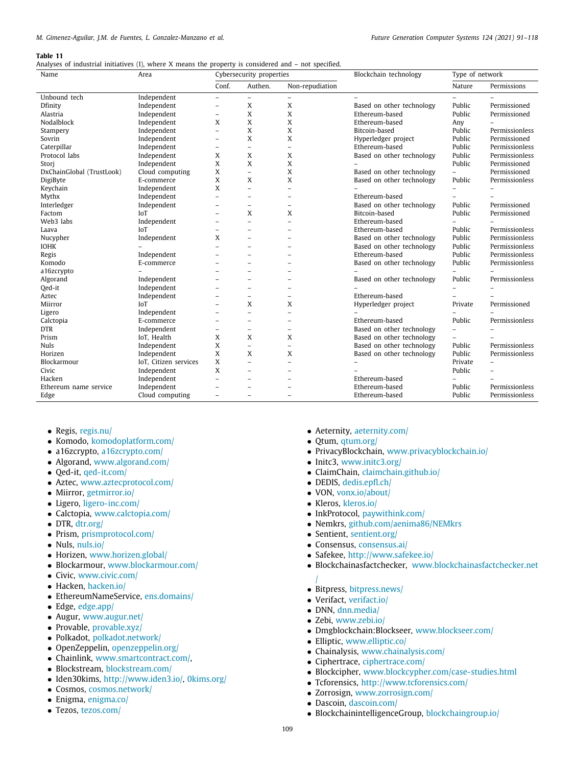# <span id="page-18-0"></span>Analyses of industrial initiatives (I), where X means the property is considered and – not specified.

| Name                      | Area                  | Cybersecurity properties |                          |                          | Blockchain technology     |                | Type of network          |  |
|---------------------------|-----------------------|--------------------------|--------------------------|--------------------------|---------------------------|----------------|--------------------------|--|
|                           |                       | Conf.                    | Authen.                  | Non-repudiation          |                           | Nature         | Permissions              |  |
| Unbound tech              | Independent           | $\qquad \qquad -$        | $\overline{a}$           | $\qquad \qquad -$        | $\overline{\phantom{0}}$  |                |                          |  |
| Dfinity                   | Independent           | $\qquad \qquad -$        | X                        | X                        | Based on other technology | Public         | Permissioned             |  |
| Alastria                  | Independent           | $\qquad \qquad -$        | X                        | X                        | Ethereum-based            | Public         | Permissioned             |  |
| Nodalblock                | Independent           | X                        | X                        | X                        | Ethereum-based            | Any            |                          |  |
| Stampery                  | Independent           | $\overline{a}$           | X                        | X                        | Bitcoin-based             | Public         | Permissionless           |  |
| Sovrin                    | Independent           | $\overline{\phantom{0}}$ | X                        | X                        | Hyperledger project       | Public         | Permissioned             |  |
| Caterpillar               | Independent           | $\overline{\phantom{0}}$ | $\overline{a}$           | $\overline{a}$           | Ethereum-based            | Public         | Permissionless           |  |
| Protocol labs             | Independent           | X                        | X                        | X                        | Based on other technology | Public         | Permissionless           |  |
| Stori                     | Independent           | X                        | X                        | X                        |                           | Public         | Permissioned             |  |
| DxChainGlobal (TrustLook) | Cloud computing       | X                        | $\overline{a}$           | X                        | Based on other technology |                | Permissioned             |  |
| DigiByte                  | E-commerce            | X                        | X                        | X                        | Based on other technology | Public         | Permissionless           |  |
| Keychain                  | Independent           | X                        | $\overline{a}$           | $\overline{a}$           |                           |                |                          |  |
| Mythx                     | Independent           | $\overline{\phantom{0}}$ | $\overline{\phantom{a}}$ | $\overline{\phantom{a}}$ | Ethereum-based            |                |                          |  |
| Interledger               | Independent           | $\overline{a}$           | $\overline{\phantom{a}}$ | $\overline{\phantom{0}}$ | Based on other technology | Public         | Permissioned             |  |
| Factom                    | IoT                   | -                        | X                        | X                        | Bitcoin-based             | Public         | Permissioned             |  |
| Web3 labs                 | Independent           | -                        | $\overline{a}$           | $\overline{\phantom{0}}$ | Ethereum-based            |                |                          |  |
| Laava                     | IoT                   | -                        | $\overline{\phantom{0}}$ | $\overline{\phantom{0}}$ | Ethereum-based            | Public         | Permissionless           |  |
| Nucypher                  | Independent           | X                        |                          | $\overline{\phantom{0}}$ | Based on other technology | Public         | Permissionless           |  |
| <b>IOHK</b>               |                       | $\equiv$                 | ۳                        | $\overline{\phantom{a}}$ | Based on other technology | Public         | Permissionless           |  |
| Regis                     | Independent           | $\overline{\phantom{0}}$ | $\overline{\phantom{0}}$ | $\overline{\phantom{0}}$ | Ethereum-based            | Public         | Permissionless           |  |
| Komodo                    | E-commerce            |                          |                          | $\overline{\phantom{0}}$ | Based on other technology | Public         | Permissionless           |  |
| a16zcrypto                |                       | $\overline{\phantom{0}}$ | $\overline{\phantom{0}}$ | $\overline{\phantom{0}}$ |                           |                |                          |  |
| Algorand                  | Independent           |                          | $\overline{\phantom{0}}$ | $\overline{\phantom{0}}$ | Based on other technology | Public         | Permissionless           |  |
| Qed-it                    | Independent           |                          |                          | $\overline{\phantom{0}}$ |                           |                |                          |  |
| Aztec                     | Independent           |                          | $\overline{\phantom{a}}$ | $\overline{\phantom{a}}$ | Ethereum-based            |                |                          |  |
| Miirror                   | <b>IoT</b>            |                          | X                        | X                        | Hyperledger project       | Private        | Permissioned             |  |
| Ligero                    | Independent           |                          | $\overline{a}$           | $\overline{\phantom{a}}$ |                           |                |                          |  |
| Calctopia                 | E-commerce            | $\overline{\phantom{0}}$ | $\overline{\phantom{a}}$ |                          | Ethereum-based            | Public         | Permissionless           |  |
| <b>DTR</b>                | Independent           | $\qquad \qquad -$        | $\overline{\phantom{0}}$ | $\overline{a}$           | Based on other technology | $\overline{a}$ |                          |  |
| Prism                     | IoT, Health           | X                        | X                        | X                        | Based on other technology | $\overline{a}$ |                          |  |
| <b>Nuls</b>               | Independent           | X                        | $\overline{a}$           | $\overline{\phantom{0}}$ | Based on other technology | Public         | Permissionless           |  |
| Horizen                   | Independent           | X                        | X                        | X                        | Based on other technology | Public         | Permissionless           |  |
| Blockarmour               | IoT, Citizen services | X                        | $\overline{a}$           | $\overline{a}$           |                           | Private        | $\overline{\phantom{0}}$ |  |
| Civic                     | Independent           | X                        | $\overline{a}$           | $\overline{\phantom{a}}$ |                           | Public         |                          |  |
| Hacken                    | Independent           | $\overline{\phantom{0}}$ | $\overline{\phantom{a}}$ | $\overline{a}$           | Ethereum-based            |                |                          |  |
| Ethereum name service     | Independent           | $\overline{a}$           | $\overline{\phantom{a}}$ | $\overline{\phantom{0}}$ | Ethereum-based            | Public         | Permissionless           |  |
| Edge                      | Cloud computing       | $\overline{a}$           | $\overline{\phantom{a}}$ | $\overline{\phantom{a}}$ | Ethereum-based            | Public         | Permissionless           |  |

- Regis, [regis.nu/](https://www.regis.nu/)
- Komodo, [komodoplatform.com/](https://komodoplatform.com/en/)
- a16zcrypto, [a16zcrypto.com/](https://a16z.com/crypto/)
- Algorand, [www.algorand.com/](http://www.algorand.com/)
- Qed-it, [qed-it.com/](https://qed-it.com/)
- Aztec, [www.aztecprotocol.com/](http://www.aztecprotocol.com/)
- Miirror, [getmirror.io/](https://www.getmirror.io/)
- Ligero, [ligero-inc.com/](https://ligero-inc.com/)
- Calctopia, [www.calctopia.com/](http://www.calctopia.com/)
- DTR, [dtr.org/](https://dtr.org/)
- Prism, [prismprotocol.com/](https://prismprotocol.com/)
- Nuls, [nuls.io/](https://nuls.io/)
- Horizen, [www.horizen.global/](http://www.horizen.global/)
- Blockarmour, [www.blockarmour.com/](http://www.blockarmour.com/)
- Civic, [www.civic.com/](http://www.civic.com/)
- Hacken, [hacken.io/](https://hacken.io/)
- EthereumNameService, [ens.domains/](https://ens.domains/)
- Edge, [edge.app/](https://edge.app/)
- Augur, [www.augur.net/](http://www.augur.net/)
- Provable, [provable.xyz/](https://provable.xyz/)
- Polkadot, [polkadot.network/](https://polkadot.network/)
- OpenZeppelin, [openzeppelin.org/](https://openzeppelin.com/contracts/)
- Chainlink, [www.smartcontract.com/](http://www.smartcontract.com/),
- Blockstream, [blockstream.com/](https://blockstream.com/)
- Iden30kims, <http://www.iden3.io/>, [0kims.org/](https://0kims.org/)
- Cosmos, [cosmos.network/](https://cosmos.network/.org)
- Enigma, [enigma.co/](https://www.enigma.co/)
- Tezos, [tezos.com/](https://tezos.com/)
- Aeternity, [aeternity.com/](https://aeternity.com/)
- Qtum, [qtum.org/](https://qtum.org/en)
- PrivacyBlockchain, [www.privacyblockchain.io/](http://www.privacyblockchain.io/)
- Initc3, [www.initc3.org/](http://www.initc3.org/)
- ClaimChain, [claimchain.github.io/](https://claimchain.github.io/)
- DEDIS, [dedis.epfl.ch/](https://www.epfl.ch/labs/dedis/)
- VON, [vonx.io/about/](https://vonx.io/about/)
- Kleros, [kleros.io/](https://kleros.io/)
- InkProtocol, [paywithink.com/](https://paywithink.com/)
- Nemkrs, [github.com/aenima86/NEMkrs](https://github.com/aenima86/NEMkrs)
- Sentient, [sentient.org/](https://sentient.org/)
- Consensus, [consensus.ai/](https://consensus.ai/)
- Safekee, <http://www.safekee.io/>
- Blockchainasfactchecker, [www.blockchainasfactchecker.net](http://www.blockchainasfactchecker.net/)
- [/](http://www.blockchainasfactchecker.net/)
- Bitpress, [bitpress.news/](https://www.bitpress.news/)
- Verifact, [verifact.io/](https://verifact.io/)
- DNN, [dnn.media/](https://dnn.media/)
- Zebi, [www.zebi.io/](http://www.zebi.io/)
- Dmgblockchain:Blockseer, [www.blockseer.com/](http://www.blockseer.com/)
- Elliptic, [www.elliptic.co/](http://www.elliptic.co/)
- Chainalysis, [www.chainalysis.com/](http://www.chainalysis.com/)
- Ciphertrace, [ciphertrace.com/](https://ciphertrace.com/)
- Blockcipher, [www.blockcypher.com/case-studies.html](https://www.blockcypher.com/case-studies.html)
- Tcforensics, <http://www.tcforensics.com/>
- Zorrosign, [www.zorrosign.com/](http://www.zorrosign.com/)
- Dascoin, [dascoin.com/](https://grnpower.io/)
- BlockchainintelligenceGroup, [blockchaingroup.io/](https://blockchaingroup.io/)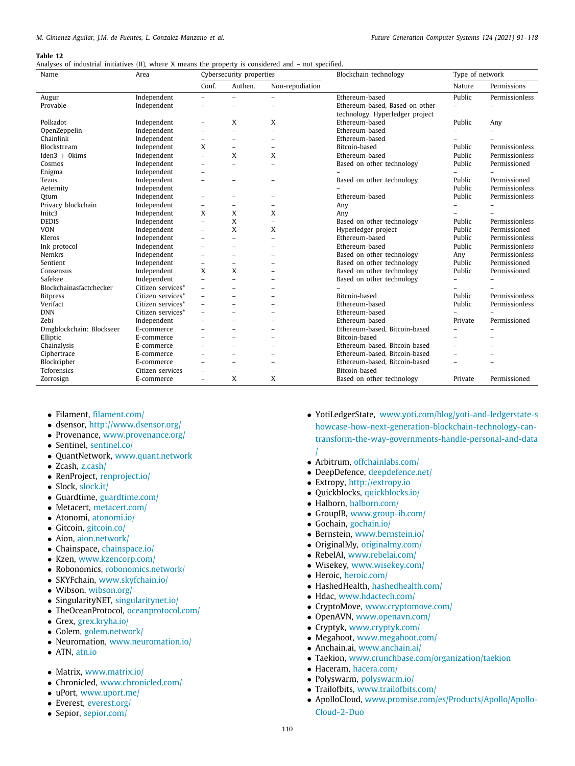# Analyses of industrial initiatives (II), where X means the property is considered and – not specified.

| Name                     | Area              | Cybersecurity properties |                          |                          | Blockchain technology           | Type of network          |                          |  |
|--------------------------|-------------------|--------------------------|--------------------------|--------------------------|---------------------------------|--------------------------|--------------------------|--|
|                          |                   | Conf.                    | Authen.                  | Non-repudiation          |                                 | Nature                   | Permissions              |  |
| Augur                    | Independent       | $\overline{\phantom{0}}$ |                          | $\overline{\phantom{0}}$ | Ethereum-based                  | Public                   | Permissionless           |  |
| Provable                 | Independent       |                          |                          |                          | Ethereum-based, Based on other  |                          |                          |  |
|                          |                   |                          |                          |                          | technology, Hyperledger project |                          |                          |  |
| Polkadot                 | Independent       | $\overline{\phantom{0}}$ | X                        | X                        | Ethereum-based                  | Public                   | Any                      |  |
| OpenZeppelin             | Independent       | $\overline{\phantom{0}}$ | ۳                        | $\overline{\phantom{a}}$ | Ethereum-based                  |                          |                          |  |
| Chainlink                | Independent       | $\overline{\phantom{0}}$ |                          | $\overline{a}$           | Ethereum-based                  |                          |                          |  |
| Blockstream              | Independent       | X                        |                          | $\overline{a}$           | Bitcoin-based                   | Public                   | Permissionless           |  |
| $Iden3 + 0kims$          | Independent       | $\overline{a}$           | X                        | X                        | Ethereum-based                  | Public                   | Permissionless           |  |
| Cosmos                   | Independent       | $\overline{\phantom{0}}$ | ۳                        | $\overline{a}$           | Based on other technology       | Public                   | Permissioned             |  |
| Enigma                   | Independent       | ۰                        |                          |                          |                                 |                          |                          |  |
| Tezos                    | Independent       | $\overline{\phantom{0}}$ |                          | $\overline{\phantom{0}}$ | Based on other technology       | Public                   | Permissioned             |  |
| Aeternity                | Independent       |                          |                          |                          |                                 | Public                   | Permissionless           |  |
| Otum                     | Independent       | $\qquad \qquad -$        | $\overline{\phantom{0}}$ | $\overline{\phantom{0}}$ | Ethereum-based                  | Public                   | Permissionless           |  |
| Privacy blockchain       | Independent       | $\qquad \qquad -$        | $\overline{\phantom{0}}$ | $\overline{\phantom{a}}$ | Any                             |                          |                          |  |
| Initc <sub>3</sub>       | Independent       | X                        | X                        | X                        | Any                             |                          |                          |  |
| <b>DEDIS</b>             | Independent       | $\overline{\phantom{0}}$ | X                        | $\overline{\phantom{0}}$ | Based on other technology       | Public                   | Permissionless           |  |
| <b>VON</b>               | Independent       | $\overline{\phantom{0}}$ | X                        | X                        | Hyperledger project             | Public                   | Permissioned             |  |
| Kleros                   | Independent       | $\overline{a}$           |                          | $\overline{a}$           | Ethereum-based                  | Public                   | Permissionless           |  |
| Ink protocol             | Independent       | $\overline{a}$           | $\overline{\phantom{0}}$ | $\overline{a}$           | Ethereum-based                  | Public                   | Permissionless           |  |
| Nemkrs                   | Independent       | $\overline{\phantom{a}}$ | $\overline{\phantom{0}}$ | $\overline{\phantom{0}}$ | Based on other technology       | Any                      | Permissionless           |  |
| Sentient                 | Independent       | $\overline{a}$           | $\overline{\phantom{0}}$ | $\overline{\phantom{0}}$ | Based on other technology       | Public                   | Permissioned             |  |
| Consensus                | Independent       | X                        | X                        | $\overline{\phantom{0}}$ | Based on other technology       | Public                   | Permissioned             |  |
| Safekee                  | Independent       | $\overline{\phantom{0}}$ |                          | ۰                        | Based on other technology       |                          |                          |  |
| Blockchainasfactchecker  | Citizen services* | $\overline{a}$           |                          |                          |                                 |                          |                          |  |
| <b>Bitpress</b>          | Citizen services* | $\overline{\phantom{0}}$ |                          | $\overline{\phantom{0}}$ | Bitcoin-based                   | Public                   | Permissionless           |  |
| Verifact                 | Citizen services* | $\overline{\phantom{0}}$ |                          | $\overline{\phantom{m}}$ | Ethereum-based                  | Public                   | Permissionless           |  |
| <b>DNN</b>               | Citizen services* |                          |                          |                          | Ethereum-based                  |                          |                          |  |
| Zebi                     | Independent       | $\overline{a}$           |                          | $\overline{\phantom{0}}$ | Ethereum-based                  | Private                  | Permissioned             |  |
| Dmgblockchain: Blockseer | E-commerce        | $\overline{\phantom{0}}$ |                          | $\overline{\phantom{0}}$ | Ethereum-based, Bitcoin-based   |                          |                          |  |
| Elliptic                 | E-commerce        | $\overline{\phantom{0}}$ |                          | $\overline{\phantom{a}}$ | Bitcoin-based                   |                          |                          |  |
| Chainalysis              | E-commerce        | $\overline{\phantom{0}}$ | ۳                        | $\overline{a}$           | Ethereum-based. Bitcoin-based   | $\overline{\phantom{0}}$ |                          |  |
| Ciphertrace              | E-commerce        | $\overline{\phantom{a}}$ | $\overline{\phantom{0}}$ | $\overline{\phantom{a}}$ | Ethereum-based, Bitcoin-based   | ۳                        |                          |  |
| Blockcipher              | E-commerce        | $\overline{\phantom{0}}$ | $\overline{\phantom{0}}$ | $\overline{\phantom{0}}$ | Ethereum-based, Bitcoin-based   | -                        | $\overline{\phantom{0}}$ |  |
| Tcforensics              | Citizen services  | $\overline{\phantom{a}}$ | $\overline{\phantom{0}}$ | $\overline{\phantom{0}}$ | Bitcoin-based                   |                          |                          |  |
| Zorrosign                | E-commerce        | $\overline{\phantom{a}}$ | X                        | X                        | Based on other technology       | Private                  | Permissioned             |  |

- Filament, [filament.com/](https://www.buckleymedia.com/filament.html)
- dsensor, <http://www.dsensor.org/>
- Provenance, [www.provenance.org/](http://www.provenance.org/)
- Sentinel, [sentinel.co/](https://sentinel.co/)
- QuantNetwork, [www.quant.network](http://www.quant.network)
- Zcash, [z.cash/](https://z.cash/)
- RenProject, [renproject.io/](https://renproject.io/)
- Slock, [slock.it/](https://slock.it/)
- Guardtime, [guardtime.com/](https://guardtime.com/)
- Metacert, [metacert.com/](https://metacert.com/)
- Atonomi, [atonomi.io/](https://atonomi.io/)
- Gitcoin, [gitcoin.co/](https://gitcoin.co/)
- Aion, [aion.network/](https://aion.theoan.com/)
- Chainspace, [chainspace.io/](https://chainspace.io/)
- Kzen, [www.kzencorp.com/](http://www.kzencorp.com/)
- Robonomics, [robonomics.network/](https://robonomics.network/)
- SKYFchain, [www.skyfchain.io/](http://www.skyfchain.io/)
- Wibson, [wibson.org/](https://wibson.org/)
- SingularityNET, [singularitynet.io/](https://singularitynet.io/)
- TheOceanProtocol, [oceanprotocol.com/](https://oceanprotocol.com/)
- Grex, [grex.kryha.io/](https://grex.kryha.io/)
- Golem, [golem.network/](https://www.golem.network/)
- Neuromation, [www.neuromation.io/](http://www.neuromation.io/)
- ATN, [atn.io](https://atn.io/)
- Matrix, [www.matrix.io/](http://www.matrix.io/)
- Chronicled, [www.chronicled.com/](http://www.chronicled.com/)
- uPort, [www.uport.me/](http://www.uport.me/)
- Everest, [everest.org/](https://www.everest.org/)
- Sepior, [sepior.com/](https://sepior.com/)
- YotiLedgerState, [www.yoti.com/blog/yoti-and-ledgerstate-s](http://www.yoti.com/blog/yoti-and-ledgerstate-showcase-how-next-generation-blockchain-technology-can-transform-the-way-governments-handle-personal-and-data/) [howcase-how-next-generation-blockchain-technology-can](http://www.yoti.com/blog/yoti-and-ledgerstate-showcase-how-next-generation-blockchain-technology-can-transform-the-way-governments-handle-personal-and-data/)[transform-the-way-governments-handle-personal-and-data](http://www.yoti.com/blog/yoti-and-ledgerstate-showcase-how-next-generation-blockchain-technology-can-transform-the-way-governments-handle-personal-and-data/) [/](http://www.yoti.com/blog/yoti-and-ledgerstate-showcase-how-next-generation-blockchain-technology-can-transform-the-way-governments-handle-personal-and-data/)
- Arbitrum, [offchainlabs.com/](https://offchainlabs.com/)
- DeepDefence, [deepdefence.net/](https://quickblocks.io/)
- Extropy, <http://extropy.io>
- Quickblocks, [quickblocks.io/](https://quickblocks.io/)
- Halborn, [halborn.com/](https://halborn.com/)
- GroupIB, [www.group-ib.com/](http://www.group-ib.com/)
- Gochain, [gochain.io/](https://gochain.io/)
- Bernstein, [www.bernstein.io/](http://www.bernstein.io/)
- OriginalMy, [originalmy.com/](https://originalmy.com/)
- RebelAI, [www.rebelai.com/](http://www.rebelai.com/)
- Wisekey, [www.wisekey.com/](http://www.wisekey.com/)
- Heroic, [heroic.com/](https://heroic.com/)
- HashedHealth, [hashedhealth.com/](https://hashedhealth.com/)
- Hdac, [www.hdactech.com/](http://www.hdactech.com/)
- CryptoMove, [www.cryptomove.com/](http://www.cryptomove.com/)
- OpenAVN, [www.openavn.com/](http://www.openavn.com/)
- Cryptyk, [www.cryptyk.com/](http://www.cryptyk.com/)
- Megahoot, [www.megahoot.com/](http://www.megahoot.com/)
- Anchain.ai, [www.anchain.ai/](http://www.anchain.ai/)
- Taekion, [www.crunchbase.com/organization/taekion](http://www.crunchbase.com/organization/taekion)
- Haceram, [hacera.com/](https://hacera.com/)
- Polyswarm, [polyswarm.io/](https://polyswarm.io/)
- Trailofbits, [www.trailofbits.com/](http://www.trailofbits.com/)
- ApolloCloud, [www.promise.com/es/Products/Apollo/Apollo-](http://www.promise.com/es/Products/Apollo/Apollo-Cloud-2-Duo)[Cloud-2-Duo](http://www.promise.com/es/Products/Apollo/Apollo-Cloud-2-Duo)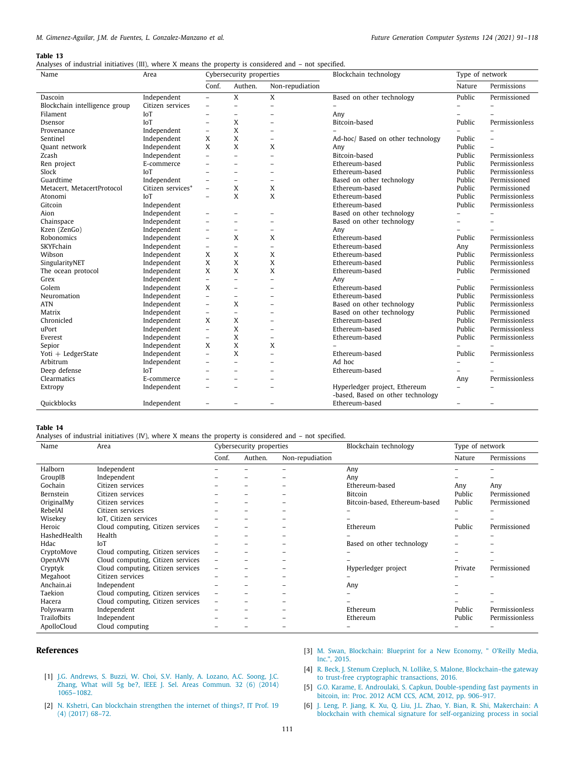|  |  | Analyses of industrial initiatives (III), where X means the property is considered and – not specified. |  |  |  |  |  |  |
|--|--|---------------------------------------------------------------------------------------------------------|--|--|--|--|--|--|
|  |  |                                                                                                         |  |  |  |  |  |  |

| Name                          | Area              | Cybersecurity properties |                          |                          | Blockchain technology                                              | Type of network          |                |  |
|-------------------------------|-------------------|--------------------------|--------------------------|--------------------------|--------------------------------------------------------------------|--------------------------|----------------|--|
|                               |                   | Conf.                    | Authen.                  | Non-repudiation          |                                                                    | Nature                   | Permissions    |  |
| Dascoin                       | Independent       | $\overline{\phantom{a}}$ | X                        | X                        | Based on other technology                                          | Public                   | Permissioned   |  |
| Blockchain intelligence group | Citizen services  | $\overline{\phantom{0}}$ | $\overline{a}$           | $\overline{a}$           | $\overline{\phantom{0}}$                                           |                          |                |  |
| Filament                      | IoT               | $\equiv$                 | $\equiv$                 | $\overline{\phantom{a}}$ | Any                                                                |                          |                |  |
| Dsensor                       | <b>IoT</b>        | $\overline{\phantom{0}}$ | X                        | $\overline{\phantom{a}}$ | Bitcoin-based                                                      | Public                   | Permissionless |  |
| Provenance                    | Independent       | $\overline{\phantom{0}}$ | X                        | $\overline{\phantom{0}}$ |                                                                    |                          |                |  |
| Sentinel                      | Independent       | X                        | X                        | $\overline{\phantom{0}}$ | Ad-hoc/ Based on other technology                                  | Public                   | $\overline{a}$ |  |
| Quant network                 | Independent       | X                        | X                        | X                        | Any                                                                | Public                   |                |  |
| Zcash                         | Independent       | $\overline{\phantom{0}}$ | $\overline{\phantom{0}}$ | $\overline{\phantom{0}}$ | Bitcoin-based                                                      | Public                   | Permissionless |  |
| Ren project                   | E-commerce        |                          | $\overline{a}$           | ۳                        | Ethereum-based                                                     | Public                   | Permissionless |  |
| Slock                         | <b>IoT</b>        |                          |                          | $\overline{\phantom{a}}$ | Ethereum-based                                                     | Public                   | Permissionless |  |
| Guardtime                     | Independent       | $\equiv$                 | $\overline{a}$           | $\overline{\phantom{a}}$ | Based on other technology                                          | Public                   | Permissioned   |  |
| Metacert. MetacertProtocol    | Citizen services* | $\overline{\phantom{a}}$ | X                        | X                        | Ethereum-based                                                     | Public                   | Permissioned   |  |
| Atonomi                       | <b>IoT</b>        | $\overline{\phantom{0}}$ | X                        | X                        | Ethereum-based                                                     | Public                   | Permissionless |  |
| Gitcoin                       | Independent       |                          |                          |                          | Ethereum-based                                                     | Public                   | Permissionless |  |
| Aion                          | Independent       | $\overline{\phantom{0}}$ | ۳                        | ۰                        | Based on other technology                                          |                          |                |  |
| Chainspace                    | Independent       | $\overline{\phantom{a}}$ | $\overline{a}$           | $\overline{\phantom{0}}$ | Based on other technology                                          |                          |                |  |
| Kzen (ZenGo)                  | Independent       | $\overline{\phantom{0}}$ | $\overline{\phantom{0}}$ | $\overline{\phantom{0}}$ | Any                                                                |                          |                |  |
| Robonomics                    | Independent       | $\overline{\phantom{0}}$ | X                        | X                        | Ethereum-based                                                     | Public                   | Permissionless |  |
| SKYFchain                     | Independent       | $\overline{\phantom{0}}$ | $\overline{\phantom{0}}$ | $\overline{\phantom{a}}$ | Ethereum-based                                                     | Any                      | Permissionless |  |
| Wibson                        | Independent       | X                        | X                        | X                        | Ethereum-based                                                     | Public                   | Permissionless |  |
| SingularityNET                | Independent       | X                        | X                        | X                        | Ethereum-based                                                     | Public                   | Permissionless |  |
| The ocean protocol            | Independent       | X                        | X                        | X                        | Ethereum-based                                                     | Public                   | Permissioned   |  |
| Grex                          | Independent       | $\qquad \qquad -$        | $\overline{\phantom{0}}$ | $\overline{\phantom{0}}$ | Any                                                                |                          |                |  |
| Golem                         | Independent       | X                        | $\overline{\phantom{0}}$ | $\overline{\phantom{0}}$ | Ethereum-based                                                     | Public                   | Permissionless |  |
| Neuromation                   | Independent       | $\overline{\phantom{0}}$ | $\overline{\phantom{0}}$ | ۰                        | Ethereum-based                                                     | Public                   | Permissionless |  |
| <b>ATN</b>                    | Independent       | $\overline{\phantom{0}}$ | X                        | ۳                        | Based on other technology                                          | Public                   | Permissionless |  |
| Matrix                        | Independent       | $\overline{\phantom{0}}$ | $\overline{a}$           | $\equiv$                 | Based on other technology                                          | Public                   | Permissioned   |  |
| Chronicled                    | Independent       | X                        | X                        | $\overline{\phantom{0}}$ | Ethereum-based                                                     | Public                   | Permissionless |  |
| uPort                         | Independent       | $\overline{\phantom{0}}$ | X                        | $\overline{\phantom{0}}$ | Ethereum-based                                                     | Public                   | Permissionless |  |
| Everest                       | Independent       | $\overline{\phantom{0}}$ | X                        | $\overline{\phantom{0}}$ | Ethereum-based                                                     | Public                   | Permissionless |  |
| Sepior                        | Independent       | X                        | X                        | X                        |                                                                    |                          |                |  |
| Yoti $+$ LedgerState          | Independent       | $\overline{a}$           | X                        | $\overline{a}$           | Ethereum-based                                                     | Public                   | Permissionless |  |
| Arbitrum                      | Independent       | $\overline{\phantom{0}}$ | $\overline{a}$           | $\overline{\phantom{0}}$ | Ad hoc                                                             |                          |                |  |
| Deep defense                  | IoT               | $\overline{\phantom{0}}$ | $\overline{\phantom{0}}$ | $\overline{\phantom{a}}$ | Ethereum-based                                                     | $\overline{\phantom{a}}$ |                |  |
| Clearmatics                   | E-commerce        | $\overline{\phantom{0}}$ | $\overline{a}$           | $\overline{\phantom{a}}$ |                                                                    | Any                      | Permissionless |  |
| Extropy                       | Independent       |                          |                          |                          | Hyperledger project, Ethereum<br>-based, Based on other technology |                          |                |  |
| Quickblocks                   | Independent       | -                        | $\overline{\phantom{0}}$ |                          | Ethereum-based                                                     | $\overline{\phantom{0}}$ |                |  |

#### **Table 14**

<span id="page-20-6"></span>Analyses of industrial initiatives (IV), where X means the property is considered and – not specified.

| Name         | Area                              | Cybersecurity properties |                                     |  | Blockchain technology         | Type of network |                |  |
|--------------|-----------------------------------|--------------------------|-------------------------------------|--|-------------------------------|-----------------|----------------|--|
|              |                                   |                          | Authen.<br>Conf.<br>Non-repudiation |  |                               | Nature          | Permissions    |  |
| Halborn      | Independent                       |                          |                                     |  | Any                           |                 |                |  |
| GroupIB      | Independent                       |                          |                                     |  | Any                           |                 |                |  |
| Gochain      | Citizen services                  |                          |                                     |  | Ethereum-based                | Any             | Any            |  |
| Bernstein    | Citizen services                  |                          |                                     |  | Bitcoin                       | Public          | Permissioned   |  |
| OriginalMy   | Citizen services                  |                          |                                     |  | Bitcoin-based, Ethereum-based | Public          | Permissioned   |  |
| RebelAI      | Citizen services                  |                          |                                     |  |                               |                 |                |  |
| Wisekey      | IoT, Citizen services             |                          |                                     |  |                               |                 |                |  |
| Heroic       | Cloud computing, Citizen services |                          |                                     |  | Ethereum                      | Public          | Permissioned   |  |
| HashedHealth | Health                            |                          |                                     |  |                               |                 |                |  |
| Hdac         | IoT                               |                          |                                     |  | Based on other technology     |                 |                |  |
| CryptoMove   | Cloud computing, Citizen services |                          |                                     |  |                               |                 |                |  |
| OpenAVN      | Cloud computing, Citizen services |                          |                                     |  |                               |                 |                |  |
| Cryptyk      | Cloud computing, Citizen services |                          |                                     |  | Hyperledger project           | Private         | Permissioned   |  |
| Megahoot     | Citizen services                  |                          |                                     |  |                               |                 |                |  |
| Anchain.ai   | Independent                       |                          |                                     |  | Any                           |                 |                |  |
| Taekion      | Cloud computing, Citizen services |                          |                                     |  |                               |                 |                |  |
| Hacera       | Cloud computing, Citizen services |                          |                                     |  |                               |                 |                |  |
| Polyswarm    | Independent                       |                          |                                     |  | Ethereum                      | Public          | Permissionless |  |
| Trailofbits  | Independent                       |                          |                                     |  | Ethereum                      | Public          | Permissionless |  |
| ApolloCloud  | Cloud computing                   |                          |                                     |  |                               |                 |                |  |

# **References**

[1065–1082.](http://refhub.elsevier.com/S0167-739X(21)00157-6/sb1)

- <span id="page-20-2"></span>[3] [M. Swan, Blockchain: Blueprint for a New Economy, " O'Reilly Media,](http://refhub.elsevier.com/S0167-739X(21)00157-6/sb3) [Inc.", 2015.](http://refhub.elsevier.com/S0167-739X(21)00157-6/sb3)
- <span id="page-20-3"></span>[4] [R. Beck, J. Stenum Czepluch, N. Lollike, S. Malone, Blockchain–the gateway](http://refhub.elsevier.com/S0167-739X(21)00157-6/sb4) [to trust-free cryptographic transactions, 2016.](http://refhub.elsevier.com/S0167-739X(21)00157-6/sb4)
- <span id="page-20-4"></span>[5] [G.O. Karame, E. Androulaki, S. Capkun, Double-spending fast payments in](http://refhub.elsevier.com/S0167-739X(21)00157-6/sb5) [bitcoin, in: Proc. 2012 ACM CCS, ACM, 2012, pp. 906–917.](http://refhub.elsevier.com/S0167-739X(21)00157-6/sb5)
- <span id="page-20-1"></span>[2] [N. Kshetri, Can blockchain strengthen the internet of things?, IT Prof. 19](http://refhub.elsevier.com/S0167-739X(21)00157-6/sb2) [\(4\) \(2017\) 68–72.](http://refhub.elsevier.com/S0167-739X(21)00157-6/sb2)

<span id="page-20-0"></span>[1] [J.G. Andrews, S. Buzzi, W. Choi, S.V. Hanly, A. Lozano, A.C. Soong, J.C.](http://refhub.elsevier.com/S0167-739X(21)00157-6/sb1) [Zhang, What will 5g be?, IEEE J. Sel. Areas Commun. 32 \(6\) \(2014\)](http://refhub.elsevier.com/S0167-739X(21)00157-6/sb1)

> <span id="page-20-5"></span>[6] [J. Leng, P. Jiang, K. Xu, Q. Liu, J.L. Zhao, Y. Bian, R. Shi, Makerchain: A](http://refhub.elsevier.com/S0167-739X(21)00157-6/sb6) [blockchain with chemical signature for self-organizing process in social](http://refhub.elsevier.com/S0167-739X(21)00157-6/sb6)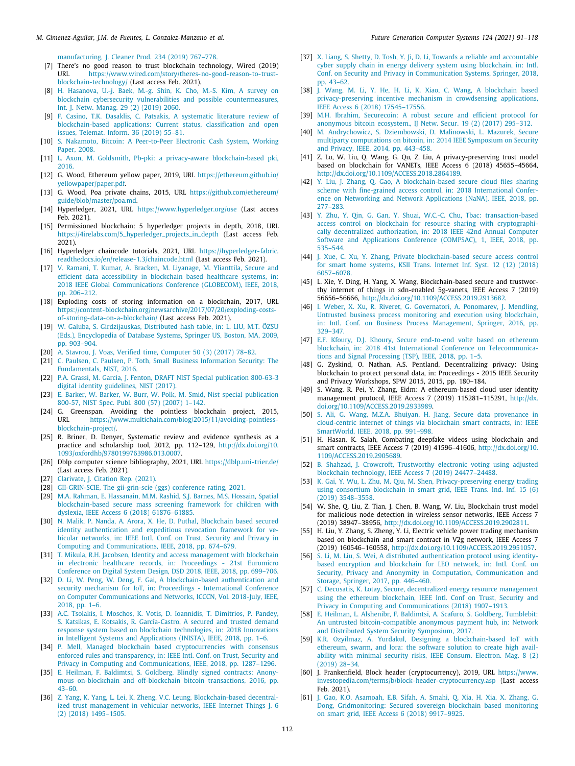#### *M. Gimenez-Aguilar, J.M. de Fuentes, L. Gonzalez-Manzano et al. Future Generation Computer Systems 124 (2021) 91–118*

[manufacturing, J. Cleaner Prod. 234 \(2019\) 767–778.](http://refhub.elsevier.com/S0167-739X(21)00157-6/sb6)

- <span id="page-21-0"></span>[7] There's no good reason to trust blockchain technology, Wired (2019) URL [https://www.wired.com/story/theres-no-good-reason-to-trust](https://www.wired.com/story/theres-no-good-reason-to-trust-blockchain-technology/)[blockchain-technology/](https://www.wired.com/story/theres-no-good-reason-to-trust-blockchain-technology/) (Last access Feb. 2021).
- <span id="page-21-1"></span>[8] [H. Hasanova, U.-j. Baek, M.-g. Shin, K. Cho, M.-S. Kim, A survey on](http://refhub.elsevier.com/S0167-739X(21)00157-6/sb8) [blockchain cybersecurity vulnerabilities and possible countermeasures,](http://refhub.elsevier.com/S0167-739X(21)00157-6/sb8) [Int. J. Netw. Manag. 29 \(2\) \(2019\) 2060.](http://refhub.elsevier.com/S0167-739X(21)00157-6/sb8)
- <span id="page-21-2"></span>[9] [F. Casino, T.K. Dasaklis, C. Patsakis, A systematic literature review of](http://refhub.elsevier.com/S0167-739X(21)00157-6/sb9) [blockchain-based applications: Current status, classification and open](http://refhub.elsevier.com/S0167-739X(21)00157-6/sb9) [issues, Telemat. Inform. 36 \(2019\) 55–81.](http://refhub.elsevier.com/S0167-739X(21)00157-6/sb9)
- <span id="page-21-3"></span>[10] [S. Nakamoto, Bitcoin: A Peer-to-Peer Electronic Cash System, Working](http://refhub.elsevier.com/S0167-739X(21)00157-6/sb10) [Paper, 2008.](http://refhub.elsevier.com/S0167-739X(21)00157-6/sb10)
- <span id="page-21-4"></span>[11] [L. Axon, M. Goldsmith, Pb-pki: a privacy-aware blockchain-based pki,](http://refhub.elsevier.com/S0167-739X(21)00157-6/sb11) [2016.](http://refhub.elsevier.com/S0167-739X(21)00157-6/sb11)
- <span id="page-21-5"></span>[12] G. Wood, Ethereum yellow paper, 2019, URL [https://ethereum.github.io/](https://ethereum.github.io/yellowpaper/paper.pdf) [yellowpaper/paper.pdf](https://ethereum.github.io/yellowpaper/paper.pdf).
- <span id="page-21-6"></span>[13] G. Wood, Poa private chains, 2015, URL [https://github.com/ethereum/](https://github.com/ethereum/guide/blob/master/poa.md) [guide/blob/master/poa.md](https://github.com/ethereum/guide/blob/master/poa.md).
- <span id="page-21-7"></span>[14] Hyperledger, 2021, URL <https://www.hyperledger.org/use> (Last access Feb. 2021).
- <span id="page-21-8"></span>[15] Permissioned blockchain: 5 hyperledger projects in depth, 2018, URL [https://4irelabs.com/5\\_hyperledger\\_projects\\_in\\_depth](https://4irelabs.com/5_hyperledger_projects_in_depth) (Last access Feb. 2021).
- <span id="page-21-9"></span>[16] Hyperledger chaincode tutorials, 2021, URL [https://hyperledger-fabric.](https://hyperledger-fabric.readthedocs.io/en/release-1.3/chaincode.html) [readthedocs.io/en/release-1.3/chaincode.html](https://hyperledger-fabric.readthedocs.io/en/release-1.3/chaincode.html) (Last access Feb. 2021).
- <span id="page-21-10"></span>[17] [V. Ramani, T. Kumar, A. Bracken, M. Liyanage, M. Ylianttila, Secure and](http://refhub.elsevier.com/S0167-739X(21)00157-6/sb17) [efficient data accessibility in blockchain based healthcare systems, in:](http://refhub.elsevier.com/S0167-739X(21)00157-6/sb17) [2018 IEEE Global Communications Conference \(GLOBECOM\), IEEE, 2018,](http://refhub.elsevier.com/S0167-739X(21)00157-6/sb17) [pp. 206–212.](http://refhub.elsevier.com/S0167-739X(21)00157-6/sb17)
- <span id="page-21-11"></span>[18] Exploding costs of storing information on a blockchain, 2017, URL [https://content-blockchain.org/newsarchive/2017/07/20/exploding-costs](https://content-blockchain.org/newsarchive/2017/07/20/exploding-costs-of-storing-data-on-a-blockchain/)[of-storing-data-on-a-blockchain/](https://content-blockchain.org/newsarchive/2017/07/20/exploding-costs-of-storing-data-on-a-blockchain/) (Last access Feb. 2021).
- <span id="page-21-12"></span>[19] [W. Galuba, S. Girdzijauskas, Distributed hash table, in: L. LIU, M.T. ÖZSU](http://refhub.elsevier.com/S0167-739X(21)00157-6/sb19) [\(Eds.\), Encyclopedia of Database Systems, Springer US, Boston, MA, 2009,](http://refhub.elsevier.com/S0167-739X(21)00157-6/sb19) [pp. 903–904.](http://refhub.elsevier.com/S0167-739X(21)00157-6/sb19)
- <span id="page-21-13"></span>[20] [A. Stavrou, J. Voas, Verified time, Computer 50 \(3\) \(2017\) 78–82.](http://refhub.elsevier.com/S0167-739X(21)00157-6/sb20)
- <span id="page-21-14"></span>[21] [C. Paulsen, C. Paulsen, P. Toth, Small Business Information Security: The](http://refhub.elsevier.com/S0167-739X(21)00157-6/sb21) [Fundamentals, NIST, 2016.](http://refhub.elsevier.com/S0167-739X(21)00157-6/sb21)
- <span id="page-21-15"></span>[22] [P.A. Grassi, M. Garcia, J. Fenton, DRAFT NIST Special publication 800-63-3](http://refhub.elsevier.com/S0167-739X(21)00157-6/sb22) [digital identity guidelines, NIST \(2017\).](http://refhub.elsevier.com/S0167-739X(21)00157-6/sb22)
- <span id="page-21-16"></span>[23] [E. Barker, W. Barker, W. Burr, W. Polk, M. Smid, Nist special publication](http://refhub.elsevier.com/S0167-739X(21)00157-6/sb23) [800-57, NIST Spec. Publ. 800 \(57\) \(2007\) 1–142.](http://refhub.elsevier.com/S0167-739X(21)00157-6/sb23)
- <span id="page-21-17"></span>[24] G. Greenspan, Avoiding the pointless blockchain project, 2015, URL [https://www.multichain.com/blog/2015/11/avoiding-pointless](https://www.multichain.com/blog/2015/11/avoiding-pointless-blockchain-project/)[blockchain-project/.](https://www.multichain.com/blog/2015/11/avoiding-pointless-blockchain-project/)
- <span id="page-21-18"></span>[25] R. Briner, D. Denyer, Systematic review and evidence synthesis as a practice and scholarship tool, 2012, pp. 112–129, [http://dx.doi.org/10.](http://dx.doi.org/10.1093/oxfordhb/9780199763986.013.0007) [1093/oxfordhb/9780199763986.013.0007.](http://dx.doi.org/10.1093/oxfordhb/9780199763986.013.0007)
- <span id="page-21-19"></span>[26] Dblp computer science bibliography, 2021, URL <https://dblp.uni-trier.de/> (Last access Feb. 2021).
- <span id="page-21-20"></span>[27] [Clarivate, J. Citation Rep. \(2021\).](http://refhub.elsevier.com/S0167-739X(21)00157-6/sb27)
- <span id="page-21-21"></span>[28] [GII-GRIN-SCIE, The gii-grin-scie \(ggs\) conference rating, 2021.](http://refhub.elsevier.com/S0167-739X(21)00157-6/sb28)
- <span id="page-21-22"></span>[29] [M.A. Rahman, E. Hassanain, M.M. Rashid, S.J. Barnes, M.S. Hossain, Spatial](http://refhub.elsevier.com/S0167-739X(21)00157-6/sb29) [blockchain-based secure mass screening framework for children with](http://refhub.elsevier.com/S0167-739X(21)00157-6/sb29) [dyslexia, IEEE Access 6 \(2018\) 61876–61885.](http://refhub.elsevier.com/S0167-739X(21)00157-6/sb29)
- <span id="page-21-23"></span>[30] [N. Malik, P. Nanda, A. Arora, X. He, D. Puthal, Blockchain based secured](http://refhub.elsevier.com/S0167-739X(21)00157-6/sb30) [identity authentication and expeditious revocation framework for ve](http://refhub.elsevier.com/S0167-739X(21)00157-6/sb30)[hicular networks, in: IEEE Intl. Conf. on Trust, Security and Privacy in](http://refhub.elsevier.com/S0167-739X(21)00157-6/sb30) [Computing and Communications, IEEE, 2018, pp. 674–679.](http://refhub.elsevier.com/S0167-739X(21)00157-6/sb30)
- <span id="page-21-24"></span>[31] [T. Mikula, R.H. Jacobsen, Identity and access management with blockchain](http://refhub.elsevier.com/S0167-739X(21)00157-6/sb31) [in electronic healthcare records, in: Proceedings - 21st Euromicro](http://refhub.elsevier.com/S0167-739X(21)00157-6/sb31) [Conference on Digital System Design, DSD 2018, IEEE, 2018, pp. 699–706.](http://refhub.elsevier.com/S0167-739X(21)00157-6/sb31)
- <span id="page-21-25"></span>[32] [D. Li, W. Peng, W. Deng, F. Gai, A blockchain-based authentication and](http://refhub.elsevier.com/S0167-739X(21)00157-6/sb32) [security mechanism for IoT, in: Proceedings - International Conference](http://refhub.elsevier.com/S0167-739X(21)00157-6/sb32) [on Computer Communications and Networks, ICCCN, Vol. 2018-July, IEEE,](http://refhub.elsevier.com/S0167-739X(21)00157-6/sb32) [2018, pp. 1–6.](http://refhub.elsevier.com/S0167-739X(21)00157-6/sb32)
- <span id="page-21-26"></span>[33] [A.C. Tsolakis, I. Moschos, K. Votis, D. Ioannidis, T. Dimitrios, P. Pandey,](http://refhub.elsevier.com/S0167-739X(21)00157-6/sb33) [S. Katsikas, E. Kotsakis, R. García-Castro, A secured and trusted demand](http://refhub.elsevier.com/S0167-739X(21)00157-6/sb33) [response system based on blockchain technologies, in: 2018 Innovations](http://refhub.elsevier.com/S0167-739X(21)00157-6/sb33) [in Intelligent Systems and Applications \(INISTA\), IEEE, 2018, pp. 1–6.](http://refhub.elsevier.com/S0167-739X(21)00157-6/sb33)
- <span id="page-21-27"></span>[34] [P. Mell, Managed blockchain based cryptocurrencies with consensus](http://refhub.elsevier.com/S0167-739X(21)00157-6/sb34) [enforced rules and transparency, in: IEEE Intl. Conf. on Trust, Security and](http://refhub.elsevier.com/S0167-739X(21)00157-6/sb34) [Privacy in Computing and Communications, IEEE, 2018, pp. 1287–1296.](http://refhub.elsevier.com/S0167-739X(21)00157-6/sb34)
- <span id="page-21-28"></span>[35] [E. Heilman, F. Baldimtsi, S. Goldberg, Blindly signed contracts: Anony](http://refhub.elsevier.com/S0167-739X(21)00157-6/sb35)[mous on-blockchain and off-blockchain bitcoin transactions, 2016, pp.](http://refhub.elsevier.com/S0167-739X(21)00157-6/sb35) [43–60.](http://refhub.elsevier.com/S0167-739X(21)00157-6/sb35)
- <span id="page-21-29"></span>[36] [Z. Yang, K. Yang, L. Lei, K. Zheng, V.C. Leung, Blockchain-based decentral](http://refhub.elsevier.com/S0167-739X(21)00157-6/sb36)[ized trust management in vehicular networks, IEEE Internet Things J. 6](http://refhub.elsevier.com/S0167-739X(21)00157-6/sb36) [\(2\) \(2018\) 1495–1505.](http://refhub.elsevier.com/S0167-739X(21)00157-6/sb36)
- <span id="page-21-30"></span>[37] [X. Liang, S. Shetty, D. Tosh, Y. Ji, D. Li, Towards a reliable and accountable](http://refhub.elsevier.com/S0167-739X(21)00157-6/sb37) [cyber supply chain in energy delivery system using blockchain, in: Intl.](http://refhub.elsevier.com/S0167-739X(21)00157-6/sb37) [Conf. on Security and Privacy in Communication Systems, Springer, 2018,](http://refhub.elsevier.com/S0167-739X(21)00157-6/sb37) [pp. 43–62.](http://refhub.elsevier.com/S0167-739X(21)00157-6/sb37)
- <span id="page-21-31"></span>[38] [J. Wang, M. Li, Y. He, H. Li, K. Xiao, C. Wang, A blockchain based](http://refhub.elsevier.com/S0167-739X(21)00157-6/sb38) [privacy-preserving incentive mechanism in crowdsensing applications,](http://refhub.elsevier.com/S0167-739X(21)00157-6/sb38) [IEEE Access 6 \(2018\) 17545–17556.](http://refhub.elsevier.com/S0167-739X(21)00157-6/sb38)
- <span id="page-21-32"></span>[39] [M.H. Ibrahim, Securecoin: A robust secure and efficient protocol for](http://refhub.elsevier.com/S0167-739X(21)00157-6/sb39) [anonymous bitcoin ecosystem., IJ Netw. Secur. 19 \(2\) \(2017\) 295–312.](http://refhub.elsevier.com/S0167-739X(21)00157-6/sb39)
- <span id="page-21-33"></span>[40] [M. Andrychowicz, S. Dziembowski, D. Malinowski, L. Mazurek, Secure](http://refhub.elsevier.com/S0167-739X(21)00157-6/sb40) [multiparty computations on bitcoin, in: 2014 IEEE Symposium on Security](http://refhub.elsevier.com/S0167-739X(21)00157-6/sb40) [and Privacy, IEEE, 2014, pp. 443–458.](http://refhub.elsevier.com/S0167-739X(21)00157-6/sb40)
- <span id="page-21-34"></span>[41] Z. Lu, W. Liu, Q. Wang, G. Qu, Z. Liu, A privacy-preserving trust model based on blockchain for VANETs, IEEE Access 6 (2018) 45655–45664, [http://dx.doi.org/10.1109/ACCESS.2018.2864189.](http://dx.doi.org/10.1109/ACCESS.2018.2864189)
- <span id="page-21-54"></span>[42] Y. Liu, J. Zhang, O. Gao, A blockchain-based secure cloud files sharing [scheme with fine-grained access control, in: 2018 International Confer](http://refhub.elsevier.com/S0167-739X(21)00157-6/sb42)[ence on Networking and Network Applications \(NaNA\), IEEE, 2018, pp.](http://refhub.elsevier.com/S0167-739X(21)00157-6/sb42) [277–283.](http://refhub.elsevier.com/S0167-739X(21)00157-6/sb42)
- <span id="page-21-35"></span>[43] [Y. Zhu, Y. Qin, G. Gan, Y. Shuai, W.C.-C. Chu, Tbac: transaction-based](http://refhub.elsevier.com/S0167-739X(21)00157-6/sb43) [access control on blockchain for resource sharing with cryptographi](http://refhub.elsevier.com/S0167-739X(21)00157-6/sb43)[cally decentralized authorization, in: 2018 IEEE 42nd Annual Computer](http://refhub.elsevier.com/S0167-739X(21)00157-6/sb43) [Software and Applications Conference \(COMPSAC\), 1, IEEE, 2018, pp.](http://refhub.elsevier.com/S0167-739X(21)00157-6/sb43) [535–544.](http://refhub.elsevier.com/S0167-739X(21)00157-6/sb43)
- <span id="page-21-36"></span>[44] [J. Xue, C. Xu, Y. Zhang, Private blockchain-based secure access control](http://refhub.elsevier.com/S0167-739X(21)00157-6/sb44) [for smart home systems, KSII Trans. Internet Inf. Syst. 12 \(12\) \(2018\)](http://refhub.elsevier.com/S0167-739X(21)00157-6/sb44) [6057–6078.](http://refhub.elsevier.com/S0167-739X(21)00157-6/sb44)
- <span id="page-21-37"></span>[45] L. Xie, Y. Ding, H. Yang, X. Wang, Blockchain-based secure and trustworthy internet of things in sdn-enabled 5g-vanets, IEEE Access 7 (2019) 56656–56666, <http://dx.doi.org/10.1109/ACCESS.2019.2913682>.
- <span id="page-21-38"></span>[46] [I. Weber, X. Xu, R. Riveret, G. Governatori, A. Ponomarev, J. Mendling,](http://refhub.elsevier.com/S0167-739X(21)00157-6/sb46) [Untrusted business process monitoring and execution using blockchain,](http://refhub.elsevier.com/S0167-739X(21)00157-6/sb46) [in: Intl. Conf. on Business Process Management, Springer, 2016, pp.](http://refhub.elsevier.com/S0167-739X(21)00157-6/sb46) [329–347.](http://refhub.elsevier.com/S0167-739X(21)00157-6/sb46)
- <span id="page-21-39"></span>[47] [E.F. Kfoury, D.J. Khoury, Secure end-to-end volte based on ethereum](http://refhub.elsevier.com/S0167-739X(21)00157-6/sb47) [blockchain, in: 2018 41st International Conference on Telecommunica](http://refhub.elsevier.com/S0167-739X(21)00157-6/sb47)[tions and Signal Processing \(TSP\), IEEE, 2018, pp. 1–5.](http://refhub.elsevier.com/S0167-739X(21)00157-6/sb47)
- <span id="page-21-40"></span>[48] G. Zyskind, O. Nathan, A.S. Pentland, Decentralizing privacy: Using blockchain to protect personal data, in: Proceedings - 2015 IEEE Security and Privacy Workshops, SPW 2015, 2015, pp. 180–184.
- <span id="page-21-41"></span>[49] S. Wang, R. Pei, Y. Zhang, Eidm: A ethereum-based cloud user identity management protocol, IEEE Access 7 (2019) 115281–115291, [http://dx.](http://dx.doi.org/10.1109/ACCESS.2019.2933989) [doi.org/10.1109/ACCESS.2019.2933989.](http://dx.doi.org/10.1109/ACCESS.2019.2933989)
- <span id="page-21-42"></span>[50] [S. Ali, G. Wang, M.Z.A. Bhuiyan, H. Jiang, Secure data provenance in](http://refhub.elsevier.com/S0167-739X(21)00157-6/sb50) [cloud-centric internet of things via blockchain smart contracts, in: IEEE](http://refhub.elsevier.com/S0167-739X(21)00157-6/sb50) [SmartWorld, IEEE, 2018, pp. 991–998.](http://refhub.elsevier.com/S0167-739X(21)00157-6/sb50)
- <span id="page-21-43"></span>[51] H. Hasan, K. Salah, Combating deepfake videos using blockchain and smart contracts, IEEE Access 7 (2019) 41596–41606, [http://dx.doi.org/10.](http://dx.doi.org/10.1109/ACCESS.2019.2905689) [1109/ACCESS.2019.2905689.](http://dx.doi.org/10.1109/ACCESS.2019.2905689)
- <span id="page-21-44"></span>[52] [B. Shahzad, J. Crowcroft, Trustworthy electronic voting using adjusted](http://refhub.elsevier.com/S0167-739X(21)00157-6/sb52) [blockchain technology, IEEE Access 7 \(2019\) 24477–24488.](http://refhub.elsevier.com/S0167-739X(21)00157-6/sb52)
- <span id="page-21-45"></span>[53] [K. Gai, Y. Wu, L. Zhu, M. Qiu, M. Shen, Privacy-preserving energy trading](http://refhub.elsevier.com/S0167-739X(21)00157-6/sb53) [using consortium blockchain in smart grid, IEEE Trans. Ind. Inf. 15 \(6\)](http://refhub.elsevier.com/S0167-739X(21)00157-6/sb53) [\(2019\) 3548–3558.](http://refhub.elsevier.com/S0167-739X(21)00157-6/sb53)
- <span id="page-21-46"></span>[54] W. She, Q. Liu, Z. Tian, J. Chen, B. Wang, W. Liu, Blockchain trust model for malicious node detection in wireless sensor networks, IEEE Access 7 (2019) 38947–38956, <http://dx.doi.org/10.1109/ACCESS.2019.2902811>.
- <span id="page-21-47"></span>[55] H. Liu, Y. Zhang, S. Zheng, Y. Li, Electric vehicle power trading mechanism based on blockchain and smart contract in V2g network, IEEE Access 7 (2019) 160546–160558, <http://dx.doi.org/10.1109/ACCESS.2019.2951057>.
- <span id="page-21-48"></span>[56] [S. Li, M. Liu, S. Wei, A distributed authentication protocol using identity](http://refhub.elsevier.com/S0167-739X(21)00157-6/sb56)[based encryption and blockchain for LEO network, in: Intl. Conf. on](http://refhub.elsevier.com/S0167-739X(21)00157-6/sb56) [Security, Privacy and Anonymity in Computation, Communication and](http://refhub.elsevier.com/S0167-739X(21)00157-6/sb56) [Storage, Springer, 2017, pp. 446–460.](http://refhub.elsevier.com/S0167-739X(21)00157-6/sb56)
- <span id="page-21-49"></span>[57] [C. Decusatis, K. Lotay, Secure, decentralized energy resource management](http://refhub.elsevier.com/S0167-739X(21)00157-6/sb57) [using the ethereum blockchain, IEEE Intl. Conf on Trust, Security and](http://refhub.elsevier.com/S0167-739X(21)00157-6/sb57) [Privacy in Computing and Communications \(2018\) 1907–1913.](http://refhub.elsevier.com/S0167-739X(21)00157-6/sb57)
- <span id="page-21-50"></span>[58] [E. Heilman, L. Alshenibr, F. Baldimtsi, A. Scafuro, S. Goldberg, Tumblebit:](http://refhub.elsevier.com/S0167-739X(21)00157-6/sb58) [An untrusted bitcoin-compatible anonymous payment hub, in: Network](http://refhub.elsevier.com/S0167-739X(21)00157-6/sb58) [and Distributed System Security Symposium, 2017.](http://refhub.elsevier.com/S0167-739X(21)00157-6/sb58)
- <span id="page-21-51"></span>[59] [K.R. Ozyilmaz, A. Yurdakul, Designing a blockchain-based IoT with](http://refhub.elsevier.com/S0167-739X(21)00157-6/sb59) [ethereum, swarm, and lora: the software solution to create high avail](http://refhub.elsevier.com/S0167-739X(21)00157-6/sb59)[ability with minimal security risks, IEEE Consum. Electron. Mag. 8 \(2\)](http://refhub.elsevier.com/S0167-739X(21)00157-6/sb59) [\(2019\) 28–34.](http://refhub.elsevier.com/S0167-739X(21)00157-6/sb59)
- <span id="page-21-52"></span>[60] J. Frankenfield, Block header (cryptocurrency), 2019, URL [https://www.](https://www.investopedia.com/terms/b/block-header-cryptocurrency.asp) [investopedia.com/terms/b/block-header-cryptocurrency.asp](https://www.investopedia.com/terms/b/block-header-cryptocurrency.asp) (Last access Feb. 2021).
- <span id="page-21-53"></span>[61] [J. Gao, K.O. Asamoah, E.B. Sifah, A. Smahi, Q. Xia, H. Xia, X. Zhang, G.](http://refhub.elsevier.com/S0167-739X(21)00157-6/sb61) [Dong, Gridmonitoring: Secured sovereign blockchain based monitoring](http://refhub.elsevier.com/S0167-739X(21)00157-6/sb61) [on smart grid, IEEE Access 6 \(2018\) 9917–9925.](http://refhub.elsevier.com/S0167-739X(21)00157-6/sb61)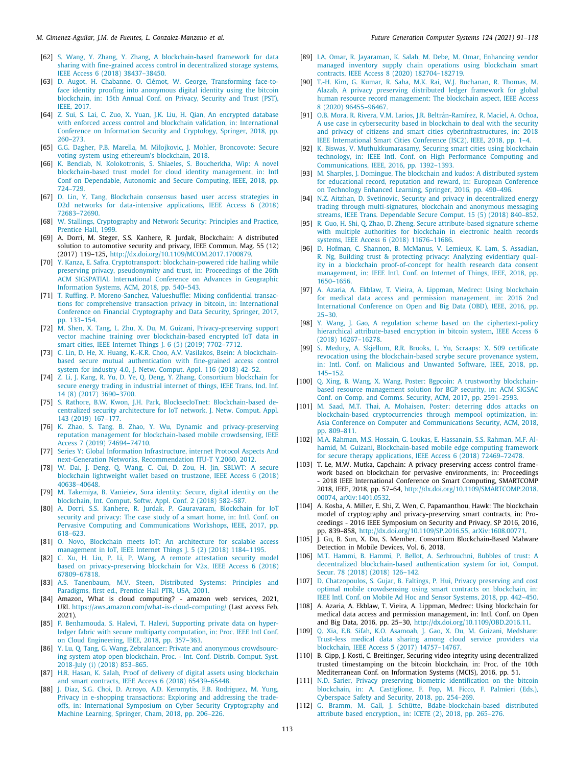#### *M. Gimenez-Aguilar, J.M. de Fuentes, L. Gonzalez-Manzano et al. Future Generation Computer Systems 124 (2021) 91–118*

- <span id="page-22-0"></span>[62] [S. Wang, Y. Zhang, Y. Zhang, A blockchain-based framework for data](http://refhub.elsevier.com/S0167-739X(21)00157-6/sb62) [sharing with fine-grained access control in decentralized storage systems,](http://refhub.elsevier.com/S0167-739X(21)00157-6/sb62) [IEEE Access 6 \(2018\) 38437–38450.](http://refhub.elsevier.com/S0167-739X(21)00157-6/sb62)
- <span id="page-22-1"></span>[63] [D. Augot, H. Chabanne, O. Clémot, W. George, Transforming face-to](http://refhub.elsevier.com/S0167-739X(21)00157-6/sb63)[face identity proofing into anonymous digital identity using the bitcoin](http://refhub.elsevier.com/S0167-739X(21)00157-6/sb63) [blockchain, in: 15th Annual Conf. on Privacy, Security and Trust \(PST\),](http://refhub.elsevier.com/S0167-739X(21)00157-6/sb63) [IEEE, 2017.](http://refhub.elsevier.com/S0167-739X(21)00157-6/sb63)
- <span id="page-22-2"></span>[64] [Z. Sui, S. Lai, C. Zuo, X. Yuan, J.K. Liu, H. Qian, An encrypted database](http://refhub.elsevier.com/S0167-739X(21)00157-6/sb64) [with enforced access control and blockchain validation, in: International](http://refhub.elsevier.com/S0167-739X(21)00157-6/sb64) [Conference on Information Security and Cryptology, Springer, 2018, pp.](http://refhub.elsevier.com/S0167-739X(21)00157-6/sb64) [260–273.](http://refhub.elsevier.com/S0167-739X(21)00157-6/sb64)
- <span id="page-22-3"></span>[65] [G.G. Dagher, P.B. Marella, M. Milojkovic, J. Mohler, Broncovote: Secure](http://refhub.elsevier.com/S0167-739X(21)00157-6/sb65) [voting system using ethereum's blockchain, 2018.](http://refhub.elsevier.com/S0167-739X(21)00157-6/sb65)
- <span id="page-22-4"></span>[66] [K. Bendiab, N. Kolokotronis, S. Shiaeles, S. Boucherkha, Wip: A novel](http://refhub.elsevier.com/S0167-739X(21)00157-6/sb66) [blockchain-based trust model for cloud identity management, in: Intl](http://refhub.elsevier.com/S0167-739X(21)00157-6/sb66) [Conf on Dependable, Autonomic and Secure Computing, IEEE, 2018, pp.](http://refhub.elsevier.com/S0167-739X(21)00157-6/sb66) [724–729.](http://refhub.elsevier.com/S0167-739X(21)00157-6/sb66)
- <span id="page-22-5"></span>[67] [D. Lin, Y. Tang, Blockchain consensus based user access strategies in](http://refhub.elsevier.com/S0167-739X(21)00157-6/sb67) [D2d networks for data-intensive applications, IEEE Access 6 \(2018\)](http://refhub.elsevier.com/S0167-739X(21)00157-6/sb67) [72683–72690.](http://refhub.elsevier.com/S0167-739X(21)00157-6/sb67)
- <span id="page-22-6"></span>[68] [W. Stallings, Cryptography and Network Security: Principles and Practice,](http://refhub.elsevier.com/S0167-739X(21)00157-6/sb68) [Prentice Hall, 1999.](http://refhub.elsevier.com/S0167-739X(21)00157-6/sb68)
- <span id="page-22-7"></span>[69] A. Dorri, M. Steger, S.S. Kanhere, R. Jurdak, Blockchain: A distributed solution to automotive security and privacy, IEEE Commun. Mag. 55 (12) (2017) 119–125, <http://dx.doi.org/10.1109/MCOM.2017.1700879>.
- <span id="page-22-8"></span>[70] [Y. Kanza, E. Safra, Cryptotransport: blockchain-powered ride hailing while](http://refhub.elsevier.com/S0167-739X(21)00157-6/sb70) [preserving privacy, pseudonymity and trust, in: Proceedings of the 26th](http://refhub.elsevier.com/S0167-739X(21)00157-6/sb70) [ACM SIGSPATIAL International Conference on Advances in Geographic](http://refhub.elsevier.com/S0167-739X(21)00157-6/sb70) [Information Systems, ACM, 2018, pp. 540–543.](http://refhub.elsevier.com/S0167-739X(21)00157-6/sb70)
- <span id="page-22-9"></span>[71] [T. Ruffing, P. Moreno-Sanchez, Valueshuffle: Mixing confidential transac](http://refhub.elsevier.com/S0167-739X(21)00157-6/sb71)[tions for comprehensive transaction privacy in bitcoin, in: International](http://refhub.elsevier.com/S0167-739X(21)00157-6/sb71) [Conference on Financial Cryptography and Data Security, Springer, 2017,](http://refhub.elsevier.com/S0167-739X(21)00157-6/sb71) [pp. 133–154.](http://refhub.elsevier.com/S0167-739X(21)00157-6/sb71)
- <span id="page-22-10"></span>[72] [M. Shen, X. Tang, L. Zhu, X. Du, M. Guizani, Privacy-preserving support](http://refhub.elsevier.com/S0167-739X(21)00157-6/sb72) [vector machine training over blockchain-based encrypted IoT data in](http://refhub.elsevier.com/S0167-739X(21)00157-6/sb72) [smart cities, IEEE Internet Things J. 6 \(5\) \(2019\) 7702–7712.](http://refhub.elsevier.com/S0167-739X(21)00157-6/sb72)
- <span id="page-22-11"></span>[73] [C. Lin, D. He, X. Huang, K.-K.R. Choo, A.V. Vasilakos, Bsein: A blockchain](http://refhub.elsevier.com/S0167-739X(21)00157-6/sb73)[based secure mutual authentication with fine-grained access control](http://refhub.elsevier.com/S0167-739X(21)00157-6/sb73) [system for industry 4.0, J. Netw. Comput. Appl. 116 \(2018\) 42–52.](http://refhub.elsevier.com/S0167-739X(21)00157-6/sb73)
- <span id="page-22-12"></span>[74] [Z. Li, J. Kang, R. Yu, D. Ye, Q. Deng, Y. Zhang, Consortium blockchain for](http://refhub.elsevier.com/S0167-739X(21)00157-6/sb74) [secure energy trading in industrial internet of things, IEEE Trans. Ind. Inf.](http://refhub.elsevier.com/S0167-739X(21)00157-6/sb74) [14 \(8\) \(2017\) 3690–3700.](http://refhub.elsevier.com/S0167-739X(21)00157-6/sb74)
- <span id="page-22-13"></span>[75] [S. Rathore, B.W. Kwon, J.H. Park, BlocksecIoTnet: Blockchain-based de](http://refhub.elsevier.com/S0167-739X(21)00157-6/sb75)[centralized security architecture for IoT network, J. Netw. Comput. Appl.](http://refhub.elsevier.com/S0167-739X(21)00157-6/sb75) [143 \(2019\) 167–177.](http://refhub.elsevier.com/S0167-739X(21)00157-6/sb75)
- <span id="page-22-14"></span>[76] [K. Zhao, S. Tang, B. Zhao, Y. Wu, Dynamic and privacy-preserving](http://refhub.elsevier.com/S0167-739X(21)00157-6/sb76) [reputation management for blockchain-based mobile crowdsensing, IEEE](http://refhub.elsevier.com/S0167-739X(21)00157-6/sb76) [Access 7 \(2019\) 74694–74710.](http://refhub.elsevier.com/S0167-739X(21)00157-6/sb76)
- <span id="page-22-15"></span>[77] [Series Y: Global Information Infrastructure, internet Protocol Aspects And](http://refhub.elsevier.com/S0167-739X(21)00157-6/sb77) [next-Generation Networks, Recommendation ITU-T Y.2060, 2012.](http://refhub.elsevier.com/S0167-739X(21)00157-6/sb77)
- <span id="page-22-16"></span>[78] [W. Dai, J. Deng, Q. Wang, C. Cui, D. Zou, H. Jin, SBLWT: A secure](http://refhub.elsevier.com/S0167-739X(21)00157-6/sb78) [blockchain lightweight wallet based on trustzone, IEEE Access 6 \(2018\)](http://refhub.elsevier.com/S0167-739X(21)00157-6/sb78) [40638–40648.](http://refhub.elsevier.com/S0167-739X(21)00157-6/sb78)
- <span id="page-22-17"></span>[79] [M. Takemiya, B. Vanieiev, Sora identity: Secure, digital identity on the](http://refhub.elsevier.com/S0167-739X(21)00157-6/sb79) [blockchain, Int. Comput. Softw. Appl. Conf. 2 \(2018\) 582–587.](http://refhub.elsevier.com/S0167-739X(21)00157-6/sb79)
- <span id="page-22-18"></span>[80] [A. Dorri, S.S. Kanhere, R. Jurdak, P. Gauravaram, Blockchain for IoT](http://refhub.elsevier.com/S0167-739X(21)00157-6/sb80) [security and privacy: The case study of a smart home, in: Intl. Conf. on](http://refhub.elsevier.com/S0167-739X(21)00157-6/sb80) [Pervasive Computing and Communications Workshops, IEEE, 2017, pp.](http://refhub.elsevier.com/S0167-739X(21)00157-6/sb80) [618–623.](http://refhub.elsevier.com/S0167-739X(21)00157-6/sb80)
- <span id="page-22-19"></span>[81] [O. Novo, Blockchain meets IoT: An architecture for scalable access](http://refhub.elsevier.com/S0167-739X(21)00157-6/sb81) [management in IoT, IEEE Internet Things J. 5 \(2\) \(2018\) 1184–1195.](http://refhub.elsevier.com/S0167-739X(21)00157-6/sb81)
- <span id="page-22-20"></span>[82] [C. Xu, H. Liu, P. Li, P. Wang, A remote attestation security model](http://refhub.elsevier.com/S0167-739X(21)00157-6/sb82) [based on privacy-preserving blockchain for V2x, IEEE Access 6 \(2018\)](http://refhub.elsevier.com/S0167-739X(21)00157-6/sb82) [67809–67818.](http://refhub.elsevier.com/S0167-739X(21)00157-6/sb82)
- <span id="page-22-21"></span>[83] [A.S. Tanenbaum, M.V. Steen, Distributed Systems: Principles and](http://refhub.elsevier.com/S0167-739X(21)00157-6/sb83) [Paradigms, first ed., Prentice Hall PTR, USA, 2001.](http://refhub.elsevier.com/S0167-739X(21)00157-6/sb83)
- <span id="page-22-22"></span>[84] Amazon, What is cloud computing? - amazon web services, 2021, URL [https://aws.amazon.com/what- is-cloud-computing/](https://aws.amazon.com/what-is-cloud-computing/) (Last access Feb. 2021).
- <span id="page-22-23"></span>[85] [F. Benhamouda, S. Halevi, T. Halevi, Supporting private data on hyper](http://refhub.elsevier.com/S0167-739X(21)00157-6/sb85)[ledger fabric with secure multiparty computation, in: Proc. IEEE Intl Conf.](http://refhub.elsevier.com/S0167-739X(21)00157-6/sb85) [on Cloud Engineering, IEEE, 2018, pp. 357–363.](http://refhub.elsevier.com/S0167-739X(21)00157-6/sb85)
- <span id="page-22-24"></span>[86] [Y. Lu, Q. Tang, G. Wang, Zebralancer: Private and anonymous crowdsourc](http://refhub.elsevier.com/S0167-739X(21)00157-6/sb86)[ing system atop open blockchain, Proc. - Int. Conf. Distrib. Comput. Syst.](http://refhub.elsevier.com/S0167-739X(21)00157-6/sb86) [2018-July \(i\) \(2018\) 853–865.](http://refhub.elsevier.com/S0167-739X(21)00157-6/sb86)
- <span id="page-22-25"></span>[87] [H.R. Hasan, K. Salah, Proof of delivery of digital assets using blockchain](http://refhub.elsevier.com/S0167-739X(21)00157-6/sb87) [and smart contracts, IEEE Access 6 \(2018\) 65439–65448.](http://refhub.elsevier.com/S0167-739X(21)00157-6/sb87)
- <span id="page-22-26"></span>[88] [J. Diaz, S.G. Choi, D. Arroyo, A.D. Keromytis, F.B. Rodriguez, M. Yung,](http://refhub.elsevier.com/S0167-739X(21)00157-6/sb88) [Privacy in e-shopping transactions: Exploring and addressing the trade](http://refhub.elsevier.com/S0167-739X(21)00157-6/sb88)[offs, in: International Symposium on Cyber Security Cryptography and](http://refhub.elsevier.com/S0167-739X(21)00157-6/sb88) [Machine Learning, Springer, Cham, 2018, pp. 206–226.](http://refhub.elsevier.com/S0167-739X(21)00157-6/sb88)
- <span id="page-22-27"></span>[89] [I.A. Omar, R. Jayaraman, K. Salah, M. Debe, M. Omar, Enhancing vendor](http://refhub.elsevier.com/S0167-739X(21)00157-6/sb89) [managed inventory supply chain operations using blockchain smart](http://refhub.elsevier.com/S0167-739X(21)00157-6/sb89) [contracts, IEEE Access 8 \(2020\) 182704–182719.](http://refhub.elsevier.com/S0167-739X(21)00157-6/sb89)
- <span id="page-22-28"></span>[90] [T.-H. Kim, G. Kumar, R. Saha, M.K. Rai, W.J. Buchanan, R. Thomas, M.](http://refhub.elsevier.com/S0167-739X(21)00157-6/sb90) [Alazab, A privacy preserving distributed ledger framework for global](http://refhub.elsevier.com/S0167-739X(21)00157-6/sb90) [human resource record management: The blockchain aspect, IEEE Access](http://refhub.elsevier.com/S0167-739X(21)00157-6/sb90) [8 \(2020\) 96455–96467.](http://refhub.elsevier.com/S0167-739X(21)00157-6/sb90)
- <span id="page-22-29"></span>[91] [O.B. Mora, R. Rivera, V.M. Larios, J.R. Beltrán-Ramírez, R. Maciel, A. Ochoa,](http://refhub.elsevier.com/S0167-739X(21)00157-6/sb91) [A use case in cybersecurity based in blockchain to deal with the security](http://refhub.elsevier.com/S0167-739X(21)00157-6/sb91) [and privacy of citizens and smart cities cyberinfrastructures, in: 2018](http://refhub.elsevier.com/S0167-739X(21)00157-6/sb91) [IEEE International Smart Cities Conference \(ISC2\), IEEE, 2018, pp. 1–4.](http://refhub.elsevier.com/S0167-739X(21)00157-6/sb91)
- <span id="page-22-30"></span>[92] [K. Biswas, V. Muthukkumarasamy, Securing smart cities using blockchain](http://refhub.elsevier.com/S0167-739X(21)00157-6/sb92) [technology, in: IEEE Intl. Conf. on High Performance Computing and](http://refhub.elsevier.com/S0167-739X(21)00157-6/sb92) [Communications, IEEE, 2016, pp. 1392–1393.](http://refhub.elsevier.com/S0167-739X(21)00157-6/sb92)
- <span id="page-22-31"></span>[93] [M. Sharples, J. Domingue, The blockchain and kudos: A distributed system](http://refhub.elsevier.com/S0167-739X(21)00157-6/sb93) [for educational record, reputation and reward, in: European Conference](http://refhub.elsevier.com/S0167-739X(21)00157-6/sb93) [on Technology Enhanced Learning, Springer, 2016, pp. 490–496.](http://refhub.elsevier.com/S0167-739X(21)00157-6/sb93)
- <span id="page-22-32"></span>[94] [N.Z. Aitzhan, D. Svetinovic, Security and privacy in decentralized energy](http://refhub.elsevier.com/S0167-739X(21)00157-6/sb94) [trading through multi-signatures, blockchain and anonymous messaging](http://refhub.elsevier.com/S0167-739X(21)00157-6/sb94) [streams, IEEE Trans. Dependable Secure Comput. 15 \(5\) \(2018\) 840–852.](http://refhub.elsevier.com/S0167-739X(21)00157-6/sb94)
- <span id="page-22-33"></span>[95] [R. Guo, H. Shi, Q. Zhao, D. Zheng, Secure attribute-based signature scheme](http://refhub.elsevier.com/S0167-739X(21)00157-6/sb95) [with multiple authorities for blockchain in electronic health records](http://refhub.elsevier.com/S0167-739X(21)00157-6/sb95) [systems, IEEE Access 6 \(2018\) 11676–11686.](http://refhub.elsevier.com/S0167-739X(21)00157-6/sb95)
- <span id="page-22-34"></span>[96] [D. Hofman, C. Shannon, B. McManus, V. Lemieux, K. Lam, S. Assadian,](http://refhub.elsevier.com/S0167-739X(21)00157-6/sb96) [R. Ng, Building trust & protecting privacy: Analyzing evidentiary qual](http://refhub.elsevier.com/S0167-739X(21)00157-6/sb96)[ity in a blockchain proof-of-concept for health research data consent](http://refhub.elsevier.com/S0167-739X(21)00157-6/sb96) [management, in: IEEE Intl. Conf. on Internet of Things, IEEE, 2018, pp.](http://refhub.elsevier.com/S0167-739X(21)00157-6/sb96) [1650–1656.](http://refhub.elsevier.com/S0167-739X(21)00157-6/sb96)
- <span id="page-22-35"></span>[97] [A. Azaria, A. Ekblaw, T. Vieira, A. Lippman, Medrec: Using blockchain](http://refhub.elsevier.com/S0167-739X(21)00157-6/sb97) [for medical data access and permission management, in: 2016 2nd](http://refhub.elsevier.com/S0167-739X(21)00157-6/sb97) [International Conference on Open and Big Data \(OBD\), IEEE, 2016, pp.](http://refhub.elsevier.com/S0167-739X(21)00157-6/sb97) [25–30.](http://refhub.elsevier.com/S0167-739X(21)00157-6/sb97)
- <span id="page-22-36"></span>[98] [Y. Wang, J. Gao, A regulation scheme based on the ciphertext-policy](http://refhub.elsevier.com/S0167-739X(21)00157-6/sb98) [hierarchical attribute-based encryption in bitcoin system, IEEE Access 6](http://refhub.elsevier.com/S0167-739X(21)00157-6/sb98) [\(2018\) 16267–16278.](http://refhub.elsevier.com/S0167-739X(21)00157-6/sb98)
- <span id="page-22-37"></span>[99] [S. Medury, A. Skjellum, R.R. Brooks, L. Yu, Scraaps: X. 509 certificate](http://refhub.elsevier.com/S0167-739X(21)00157-6/sb99) [revocation using the blockchain-based scrybe secure provenance system,](http://refhub.elsevier.com/S0167-739X(21)00157-6/sb99) [in: Intl. Conf. on Malicious and Unwanted Software, IEEE, 2018, pp.](http://refhub.elsevier.com/S0167-739X(21)00157-6/sb99) [145–152.](http://refhub.elsevier.com/S0167-739X(21)00157-6/sb99)
- <span id="page-22-38"></span>[100] [Q. Xing, B. Wang, X. Wang, Poster: Bgpcoin: A trustworthy blockchain](http://refhub.elsevier.com/S0167-739X(21)00157-6/sb100)[based resource management solution for BGP security, in: ACM SIGSAC](http://refhub.elsevier.com/S0167-739X(21)00157-6/sb100) [Conf. on Comp. and Comms. Security, ACM, 2017, pp. 2591–2593.](http://refhub.elsevier.com/S0167-739X(21)00157-6/sb100)
- <span id="page-22-39"></span>[101] [M. Saad, M.T. Thai, A. Mohaisen, Poster: deterring ddos attacks on](http://refhub.elsevier.com/S0167-739X(21)00157-6/sb101) [blockchain-based cryptocurrencies through mempool optimization, in:](http://refhub.elsevier.com/S0167-739X(21)00157-6/sb101) [Asia Conference on Computer and Communications Security, ACM, 2018,](http://refhub.elsevier.com/S0167-739X(21)00157-6/sb101) [pp. 809–811.](http://refhub.elsevier.com/S0167-739X(21)00157-6/sb101)
- <span id="page-22-40"></span>[102] [M.A. Rahman, M.S. Hossain, G. Loukas, E. Hassanain, S.S. Rahman, M.F. Al](http://refhub.elsevier.com/S0167-739X(21)00157-6/sb102)[hamid, M. Guizani, Blockchain-based mobile edge computing framework](http://refhub.elsevier.com/S0167-739X(21)00157-6/sb102) [for secure therapy applications, IEEE Access 6 \(2018\) 72469–72478.](http://refhub.elsevier.com/S0167-739X(21)00157-6/sb102)
- <span id="page-22-41"></span>[103] T. Le, M.W. Mutka, Capchain: A privacy preserving access control framework based on blockchain for pervasive environments, in: Proceedings - 2018 IEEE International Conference on Smart Computing, SMARTCOMP 2018, IEEE, 2018, pp. 57–64, [http://dx.doi.org/10.1109/SMARTCOMP.2018.](http://dx.doi.org/10.1109/SMARTCOMP.2018.00074) [00074,](http://dx.doi.org/10.1109/SMARTCOMP.2018.00074) [arXiv:1401.0532.](http://arxiv.org/abs/1401.0532)
- <span id="page-22-42"></span>[104] A. Kosba, A. Miller, E. Shi, Z. Wen, C. Papamanthou, Hawk: The blockchain model of cryptography and privacy-preserving smart contracts, in: Proceedings - 2016 IEEE Symposium on Security and Privacy, SP 2016, 2016, pp. 839–858, <http://dx.doi.org/10.1109/SP.2016.55>, [arXiv:1608.00771](http://arxiv.org/abs/1608.00771).
- <span id="page-22-43"></span>[105] J. Gu, B. Sun, X. Du, S. Member, Consortium Blockchain-Based Malware Detection in Mobile Devices, Vol. 6, 2018.
- <span id="page-22-44"></span>[106] [M.T. Hammi, B. Hammi, P. Bellot, A. Serhrouchni, Bubbles of trust: A](http://refhub.elsevier.com/S0167-739X(21)00157-6/sb106) [decentralized blockchain-based authentication system for iot, Comput.](http://refhub.elsevier.com/S0167-739X(21)00157-6/sb106) [Secur. 78 \(2018\) \(2018\) 126–142.](http://refhub.elsevier.com/S0167-739X(21)00157-6/sb106)
- <span id="page-22-50"></span>[107] [D. Chatzopoulos, S. Gujar, B. Faltings, P. Hui, Privacy preserving and cost](http://refhub.elsevier.com/S0167-739X(21)00157-6/sb107) [optimal mobile crowdsensing using smart contracts on blockchain, in:](http://refhub.elsevier.com/S0167-739X(21)00157-6/sb107) [IEEE Intl. Conf. on Mobile Ad Hoc and Sensor Systems, 2018, pp. 442–450.](http://refhub.elsevier.com/S0167-739X(21)00157-6/sb107)
- <span id="page-22-45"></span>[108] A. Azaria, A. Ekblaw, T. Vieira, A. Lippman, Medrec: Using blockchain for medical data access and permission management, in: Intl. Conf. on Open and Big Data, 2016, pp. 25–30, <http://dx.doi.org/10.1109/OBD.2016.11>.
- <span id="page-22-46"></span>[109] [Q. Xia, E.B. Sifah, K.O. Asamoah, J. Gao, X. Du, M. Guizani, Medshare:](http://refhub.elsevier.com/S0167-739X(21)00157-6/sb109) [Trust-less medical data sharing among cloud service providers via](http://refhub.elsevier.com/S0167-739X(21)00157-6/sb109) [blockchain, IEEE Access 5 \(2017\) 14757–14767.](http://refhub.elsevier.com/S0167-739X(21)00157-6/sb109)
- <span id="page-22-47"></span>[110] B. Gipp, J. Kosti, C. Breitinger, Securing video integrity using decentralized trusted timestamping on the bitcoin blockchain, in: Proc. of the 10th Mediterranean Conf. on Information Systems (MCIS), 2016, pp. 51.
- <span id="page-22-48"></span>[111] [N.D. Sarier, Privacy preserving biometric identification on the bitcoin](http://refhub.elsevier.com/S0167-739X(21)00157-6/sb111) [blockchain, in: A. Castiglione, F. Pop, M. Ficco, F. Palmieri \(Eds.\),](http://refhub.elsevier.com/S0167-739X(21)00157-6/sb111) [Cyberspace Safety and Security, 2018, pp. 254–269.](http://refhub.elsevier.com/S0167-739X(21)00157-6/sb111)
- <span id="page-22-49"></span>[112] [G. Bramm, M. Gall, J. Schütte, Bdabe-blockchain-based distributed](http://refhub.elsevier.com/S0167-739X(21)00157-6/sb112) [attribute based encryption., in: ICETE \(2\), 2018, pp. 265–276.](http://refhub.elsevier.com/S0167-739X(21)00157-6/sb112)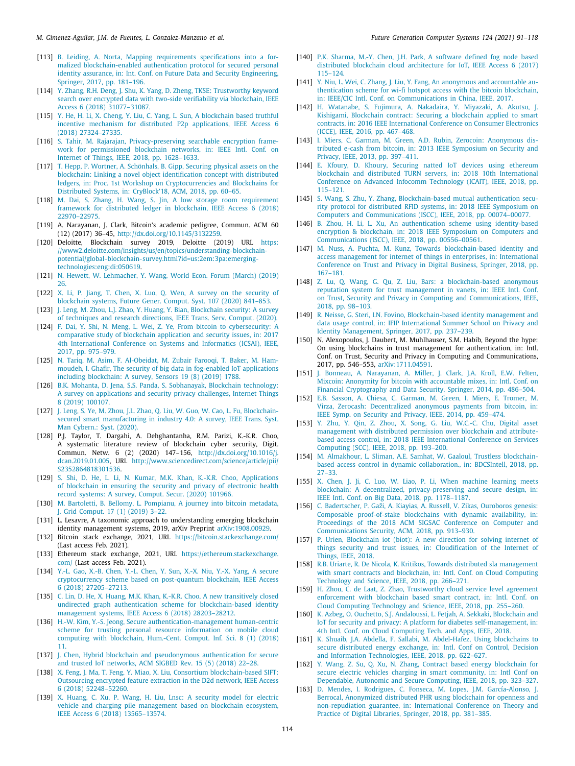- <span id="page-23-0"></span>[113] [B. Leiding, A. Norta, Mapping requirements specifications into a for](http://refhub.elsevier.com/S0167-739X(21)00157-6/sb113)[malized blockchain-enabled authentication protocol for secured personal](http://refhub.elsevier.com/S0167-739X(21)00157-6/sb113) [identity assurance, in: Int. Conf. on Future Data and Security Engineering,](http://refhub.elsevier.com/S0167-739X(21)00157-6/sb113) [Springer, 2017, pp. 181–196.](http://refhub.elsevier.com/S0167-739X(21)00157-6/sb113)
- <span id="page-23-1"></span>[114] [Y. Zhang, R.H. Deng, J. Shu, K. Yang, D. Zheng, TKSE: Trustworthy keyword](http://refhub.elsevier.com/S0167-739X(21)00157-6/sb114) [search over encrypted data with two-side verifiability via blockchain, IEEE](http://refhub.elsevier.com/S0167-739X(21)00157-6/sb114) [Access 6 \(2018\) 31077–31087.](http://refhub.elsevier.com/S0167-739X(21)00157-6/sb114)
- <span id="page-23-2"></span>[115] [Y. He, H. Li, X. Cheng, Y. Liu, C. Yang, L. Sun, A blockchain based truthful](http://refhub.elsevier.com/S0167-739X(21)00157-6/sb115) [incentive mechanism for distributed P2p applications, IEEE Access 6](http://refhub.elsevier.com/S0167-739X(21)00157-6/sb115) [\(2018\) 27324–27335.](http://refhub.elsevier.com/S0167-739X(21)00157-6/sb115)
- <span id="page-23-3"></span>[116] [S. Tahir, M. Rajarajan, Privacy-preserving searchable encryption frame](http://refhub.elsevier.com/S0167-739X(21)00157-6/sb116)[work for permissioned blockchain networks, in: IEEE Intl. Conf. on](http://refhub.elsevier.com/S0167-739X(21)00157-6/sb116) [Internet of Things, IEEE, 2018, pp. 1628–1633.](http://refhub.elsevier.com/S0167-739X(21)00157-6/sb116)
- <span id="page-23-4"></span>[117] [T. Hepp, P. Wortner, A. Schönhals, B. Gipp, Securing physical assets on the](http://refhub.elsevier.com/S0167-739X(21)00157-6/sb117) [blockchain: Linking a novel object identification concept with distributed](http://refhub.elsevier.com/S0167-739X(21)00157-6/sb117) [ledgers, in: Proc. 1st Workshop on Cryptocurrencies and Blockchains for](http://refhub.elsevier.com/S0167-739X(21)00157-6/sb117) [Distributed Systems, in: CryBlock'18, ACM, 2018, pp. 60–65.](http://refhub.elsevier.com/S0167-739X(21)00157-6/sb117)
- <span id="page-23-5"></span>[118] [M. Dai, S. Zhang, H. Wang, S. Jin, A low storage room requirement](http://refhub.elsevier.com/S0167-739X(21)00157-6/sb118) [framework for distributed ledger in blockchain, IEEE Access 6 \(2018\)](http://refhub.elsevier.com/S0167-739X(21)00157-6/sb118) [22970–22975.](http://refhub.elsevier.com/S0167-739X(21)00157-6/sb118)
- <span id="page-23-6"></span>[119] A. Narayanan, J. Clark, Bitcoin's academic pedigree, Commun. ACM 60 (12) (2017) 36–45, <http://dx.doi.org/10.1145/3132259>.
- <span id="page-23-15"></span>[120] Deloitte, Blockchain survey 2019, Deloitte (2019) URL [https:](https://www2.deloitte.com/insights/us/en/topics/understanding-blockchain-potential/global-blockchain-survey.html?id=us:2em:3pa:emerging-technologies:eng:di:050619) [//www2.deloitte.com/insights/us/en/topics/understanding-blockchain](https://www2.deloitte.com/insights/us/en/topics/understanding-blockchain-potential/global-blockchain-survey.html?id=us:2em:3pa:emerging-technologies:eng:di:050619)[potential/global-blockchain-survey.html?id=us:2em:3pa:emerging](https://www2.deloitte.com/insights/us/en/topics/understanding-blockchain-potential/global-blockchain-survey.html?id=us:2em:3pa:emerging-technologies:eng:di:050619)[technologies:eng:di:050619](https://www2.deloitte.com/insights/us/en/topics/understanding-blockchain-potential/global-blockchain-survey.html?id=us:2em:3pa:emerging-technologies:eng:di:050619).
- <span id="page-23-16"></span>[121] [N. Hewett, W. Lehmacher, Y. Wang, World Econ. Forum \(March\) \(2019\)](http://refhub.elsevier.com/S0167-739X(21)00157-6/sb121) [26.](http://refhub.elsevier.com/S0167-739X(21)00157-6/sb121)
- <span id="page-23-7"></span>[122] [X. Li, P. Jiang, T. Chen, X. Luo, Q. Wen, A survey on the security of](http://refhub.elsevier.com/S0167-739X(21)00157-6/sb122) [blockchain systems, Future Gener. Comput. Syst. 107 \(2020\) 841–853.](http://refhub.elsevier.com/S0167-739X(21)00157-6/sb122)
- <span id="page-23-8"></span>[123] [J. Leng, M. Zhou, L.J. Zhao, Y. Huang, Y. Bian, Blockchain security: A survey](http://refhub.elsevier.com/S0167-739X(21)00157-6/sb123) [of techniques and research directions, IEEE Trans. Serv. Comput. \(2020\).](http://refhub.elsevier.com/S0167-739X(21)00157-6/sb123)
- <span id="page-23-9"></span>[124] [F. Dai, Y. Shi, N. Meng, L. Wei, Z. Ye, From bitcoin to cybersecurity: A](http://refhub.elsevier.com/S0167-739X(21)00157-6/sb124) [comparative study of blockchain application and security issues, in: 2017](http://refhub.elsevier.com/S0167-739X(21)00157-6/sb124) [4th International Conference on Systems and Informatics \(ICSAI\), IEEE,](http://refhub.elsevier.com/S0167-739X(21)00157-6/sb124) [2017, pp. 975–979.](http://refhub.elsevier.com/S0167-739X(21)00157-6/sb124)
- <span id="page-23-10"></span>[125] [N. Tariq, M. Asim, F. Al-Obeidat, M. Zubair Farooqi, T. Baker, M. Ham](http://refhub.elsevier.com/S0167-739X(21)00157-6/sb125)[moudeh, I. Ghafir, The security of big data in fog-enabled IoT applications](http://refhub.elsevier.com/S0167-739X(21)00157-6/sb125) [including blockchain: A survey, Sensors 19 \(8\) \(2019\) 1788.](http://refhub.elsevier.com/S0167-739X(21)00157-6/sb125)
- <span id="page-23-11"></span>[126] [B.K. Mohanta, D. Jena, S.S. Panda, S. Sobhanayak, Blockchain technology:](http://refhub.elsevier.com/S0167-739X(21)00157-6/sb126) [A survey on applications and security privacy challenges, Internet Things](http://refhub.elsevier.com/S0167-739X(21)00157-6/sb126) [8 \(2019\) 100107.](http://refhub.elsevier.com/S0167-739X(21)00157-6/sb126)
- <span id="page-23-12"></span>[127] J. Leng, S. Ye, M. Zhou, J.L. Zhao, O. Liu, W. Guo, W. Cao, L. Fu, Blockchain[secured smart manufacturing in industry 4.0: A survey, IEEE Trans. Syst.](http://refhub.elsevier.com/S0167-739X(21)00157-6/sb127) [Man Cybern.: Syst. \(2020\).](http://refhub.elsevier.com/S0167-739X(21)00157-6/sb127)
- <span id="page-23-13"></span>[128] P.J. Taylor, T. Dargahi, A. Dehghantanha, R.M. Parizi, K.-K.R. Choo, A systematic literature review of blockchain cyber security, Digit. Commun. Netw. 6 (2) (2020) 147–156, [http://dx.doi.org/10.1016/j.](http://dx.doi.org/10.1016/j.dcan.2019.01.005) [dcan.2019.01.005,](http://dx.doi.org/10.1016/j.dcan.2019.01.005) URL [http://www.sciencedirect.com/science/article/pii/](http://www.sciencedirect.com/science/article/pii/S2352864818301536) [S2352864818301536.](http://www.sciencedirect.com/science/article/pii/S2352864818301536)
- <span id="page-23-14"></span>[129] [S. Shi, D. He, L. Li, N. Kumar, M.K. Khan, K.-K.R. Choo, Applications](http://refhub.elsevier.com/S0167-739X(21)00157-6/sb129) [of blockchain in ensuring the security and privacy of electronic health](http://refhub.elsevier.com/S0167-739X(21)00157-6/sb129) [record systems: A survey, Comput. Secur. \(2020\) 101966.](http://refhub.elsevier.com/S0167-739X(21)00157-6/sb129)
- <span id="page-23-17"></span>[130] [M. Bartoletti, B. Bellomy, L. Pompianu, A journey into bitcoin metadata,](http://refhub.elsevier.com/S0167-739X(21)00157-6/sb130) [J. Grid Comput. 17 \(1\) \(2019\) 3–22.](http://refhub.elsevier.com/S0167-739X(21)00157-6/sb130)
- <span id="page-23-18"></span>[131] L. Lesavre, A taxonomic approach to understanding emerging blockchain identity management systems, 2019, arXiv Preprint [arXiv:1908.00929.](http://arxiv.org/abs/1908.00929)
- <span id="page-23-19"></span>[132] Bitcoin stack exchange, 2021, URL <https://bitcoin.stackexchange.com/> (Last access Feb. 2021).
- <span id="page-23-20"></span>[133] Ethereum stack exchange, 2021, URL [https://ethereum.stackexchange.](https://ethereum.stackexchange.com/) [com/](https://ethereum.stackexchange.com/) (Last access Feb. 2021).
- <span id="page-23-21"></span>[134] [Y.-L. Gao, X.-B. Chen, Y.-L. Chen, Y. Sun, X.-X. Niu, Y.-X. Yang, A secure](http://refhub.elsevier.com/S0167-739X(21)00157-6/sb134) [cryptocurrency scheme based on post-quantum blockchain, IEEE Access](http://refhub.elsevier.com/S0167-739X(21)00157-6/sb134) [6 \(2018\) 27205–27213.](http://refhub.elsevier.com/S0167-739X(21)00157-6/sb134)
- <span id="page-23-22"></span>[135] [C. Lin, D. He, X. Huang, M.K. Khan, K.-K.R. Choo, A new transitively closed](http://refhub.elsevier.com/S0167-739X(21)00157-6/sb135) [undirected graph authentication scheme for blockchain-based identity](http://refhub.elsevier.com/S0167-739X(21)00157-6/sb135) [management systems, IEEE Access 6 \(2018\) 28203–28212.](http://refhub.elsevier.com/S0167-739X(21)00157-6/sb135)
- <span id="page-23-23"></span>[136] [H.-W. Kim, Y.-S. Jeong, Secure authentication-management human-centric](http://refhub.elsevier.com/S0167-739X(21)00157-6/sb136) [scheme for trusting personal resource information on mobile cloud](http://refhub.elsevier.com/S0167-739X(21)00157-6/sb136) [computing with blockchain, Hum.-Cent. Comput. Inf. Sci. 8 \(1\) \(2018\)](http://refhub.elsevier.com/S0167-739X(21)00157-6/sb136) [11.](http://refhub.elsevier.com/S0167-739X(21)00157-6/sb136)
- <span id="page-23-24"></span>[137] [J. Chen, Hybrid blockchain and pseudonymous authentication for secure](http://refhub.elsevier.com/S0167-739X(21)00157-6/sb137) [and trusted IoT networks, ACM SIGBED Rev. 15 \(5\) \(2018\) 22–28.](http://refhub.elsevier.com/S0167-739X(21)00157-6/sb137)
- <span id="page-23-25"></span>[138] [X. Feng, J. Ma, T. Feng, Y. Miao, X. Liu, Consortium blockchain-based SIFT:](http://refhub.elsevier.com/S0167-739X(21)00157-6/sb138) [Outsourcing encrypted feature extraction in the D2d network, IEEE Access](http://refhub.elsevier.com/S0167-739X(21)00157-6/sb138) [6 \(2018\) 52248–52260.](http://refhub.elsevier.com/S0167-739X(21)00157-6/sb138)
- <span id="page-23-26"></span>[139] [X. Huang, C. Xu, P. Wang, H. Liu, Lnsc: A security model for electric](http://refhub.elsevier.com/S0167-739X(21)00157-6/sb139) [vehicle and charging pile management based on blockchain ecosystem,](http://refhub.elsevier.com/S0167-739X(21)00157-6/sb139) [IEEE Access 6 \(2018\) 13565–13574.](http://refhub.elsevier.com/S0167-739X(21)00157-6/sb139)
- <span id="page-23-27"></span>[140] [P.K. Sharma, M.-Y. Chen, J.H. Park, A software defined fog node based](http://refhub.elsevier.com/S0167-739X(21)00157-6/sb140) [distributed blockchain cloud architecture for IoT, IEEE Access 6 \(2017\)](http://refhub.elsevier.com/S0167-739X(21)00157-6/sb140) [115–124.](http://refhub.elsevier.com/S0167-739X(21)00157-6/sb140)
- <span id="page-23-28"></span>[141] [Y. Niu, L. Wei, C. Zhang, J. Liu, Y. Fang, An anonymous and accountable au](http://refhub.elsevier.com/S0167-739X(21)00157-6/sb141)[thentication scheme for wi-fi hotspot access with the bitcoin blockchain,](http://refhub.elsevier.com/S0167-739X(21)00157-6/sb141) [in: IEEE/CIC Intl. Conf. on Communications in China, IEEE, 2017.](http://refhub.elsevier.com/S0167-739X(21)00157-6/sb141)
- <span id="page-23-29"></span>[142] [H. Watanabe, S. Fujimura, A. Nakadaira, Y. Miyazaki, A. Akutsu, J.](http://refhub.elsevier.com/S0167-739X(21)00157-6/sb142) [Kishigami, Blockchain contract: Securing a blockchain applied to smart](http://refhub.elsevier.com/S0167-739X(21)00157-6/sb142) [contracts, in: 2016 IEEE International Conference on Consumer Electronics](http://refhub.elsevier.com/S0167-739X(21)00157-6/sb142) [\(ICCE\), IEEE, 2016, pp. 467–468.](http://refhub.elsevier.com/S0167-739X(21)00157-6/sb142)
- <span id="page-23-30"></span>[143] [I. Miers, C. Garman, M. Green, A.D. Rubin, Zerocoin: Anonymous dis](http://refhub.elsevier.com/S0167-739X(21)00157-6/sb143)[tributed e-cash from bitcoin, in: 2013 IEEE Symposium on Security and](http://refhub.elsevier.com/S0167-739X(21)00157-6/sb143) [Privacy, IEEE, 2013, pp. 397–411.](http://refhub.elsevier.com/S0167-739X(21)00157-6/sb143)
- <span id="page-23-31"></span>[144] [E. Kfoury, D. Khoury, Securing natted IoT devices using ethereum](http://refhub.elsevier.com/S0167-739X(21)00157-6/sb144) [blockchain and distributed TURN servers, in: 2018 10th International](http://refhub.elsevier.com/S0167-739X(21)00157-6/sb144) [Conference on Advanced Infocomm Technology \(ICAIT\), IEEE, 2018, pp.](http://refhub.elsevier.com/S0167-739X(21)00157-6/sb144) [115–121.](http://refhub.elsevier.com/S0167-739X(21)00157-6/sb144)
- <span id="page-23-32"></span>[145] [S. Wang, S. Zhu, Y. Zhang, Blockchain-based mutual authentication secu](http://refhub.elsevier.com/S0167-739X(21)00157-6/sb145)[rity protocol for distributed RFID systems, in: 2018 IEEE Symposium on](http://refhub.elsevier.com/S0167-739X(21)00157-6/sb145) [Computers and Communications \(ISCC\), IEEE, 2018, pp. 00074–00077.](http://refhub.elsevier.com/S0167-739X(21)00157-6/sb145)
- <span id="page-23-33"></span>[146] [B. Zhou, H. Li, L. Xu, An authentication scheme using identity-based](http://refhub.elsevier.com/S0167-739X(21)00157-6/sb146) [encryption & blockchain, in: 2018 IEEE Symposium on Computers and](http://refhub.elsevier.com/S0167-739X(21)00157-6/sb146) [Communications \(ISCC\), IEEE, 2018, pp. 00556–00561.](http://refhub.elsevier.com/S0167-739X(21)00157-6/sb146)
- <span id="page-23-34"></span>[147] [M. Nuss, A. Puchta, M. Kunz, Towards blockchain-based identity and](http://refhub.elsevier.com/S0167-739X(21)00157-6/sb147) [access management for internet of things in enterprises, in: International](http://refhub.elsevier.com/S0167-739X(21)00157-6/sb147) [Conference on Trust and Privacy in Digital Business, Springer, 2018, pp.](http://refhub.elsevier.com/S0167-739X(21)00157-6/sb147) [167–181.](http://refhub.elsevier.com/S0167-739X(21)00157-6/sb147)
- <span id="page-23-35"></span>[148] [Z. Lu, Q. Wang, G. Qu, Z. Liu, Bars: a blockchain-based anonymous](http://refhub.elsevier.com/S0167-739X(21)00157-6/sb148) [reputation system for trust management in vanets, in: IEEE Intl. Conf.](http://refhub.elsevier.com/S0167-739X(21)00157-6/sb148) [on Trust, Security and Privacy in Computing and Communications, IEEE,](http://refhub.elsevier.com/S0167-739X(21)00157-6/sb148) [2018, pp. 98–103.](http://refhub.elsevier.com/S0167-739X(21)00157-6/sb148)
- <span id="page-23-36"></span>[149] [R. Neisse, G. Steri, I.N. Fovino, Blockchain-based identity management and](http://refhub.elsevier.com/S0167-739X(21)00157-6/sb149) [data usage control, in: IFIP International Summer School on Privacy and](http://refhub.elsevier.com/S0167-739X(21)00157-6/sb149) [Identity Management, Springer, 2017, pp. 237–239.](http://refhub.elsevier.com/S0167-739X(21)00157-6/sb149)
- <span id="page-23-37"></span>[150] N. Alexopoulos, J. Daubert, M. Muhlhauser, S.M. Habib, Beyond the hype: On using blockchains in trust management for authentication, in: Intl. Conf. on Trust, Security and Privacy in Computing and Communications, 2017, pp. 546–553, [arXiv:1711.04591](http://arxiv.org/abs/1711.04591).
- <span id="page-23-38"></span>[151] [J. Bonneau, A. Narayanan, A. Miller, J. Clark, J.A. Kroll, E.W. Felten,](http://refhub.elsevier.com/S0167-739X(21)00157-6/sb151) [Mixcoin: Anonymity for bitcoin with accountable mixes, in: Intl. Conf. on](http://refhub.elsevier.com/S0167-739X(21)00157-6/sb151) [Financial Cryptography and Data Security, Springer, 2014, pp. 486–504.](http://refhub.elsevier.com/S0167-739X(21)00157-6/sb151)
- <span id="page-23-39"></span>[152] [E.B. Sasson, A. Chiesa, C. Garman, M. Green, I. Miers, E. Tromer, M.](http://refhub.elsevier.com/S0167-739X(21)00157-6/sb152) [Virza, Zerocash: Decentralized anonymous payments from bitcoin, in:](http://refhub.elsevier.com/S0167-739X(21)00157-6/sb152) [IEEE Symp. on Security and Privacy, IEEE, 2014, pp. 459–474.](http://refhub.elsevier.com/S0167-739X(21)00157-6/sb152)
- <span id="page-23-40"></span>[153] [Y. Zhu, Y. Qin, Z. Zhou, X. Song, G. Liu, W.C.-C. Chu, Digital asset](http://refhub.elsevier.com/S0167-739X(21)00157-6/sb153) [management with distributed permission over blockchain and attribute](http://refhub.elsevier.com/S0167-739X(21)00157-6/sb153)[based access control, in: 2018 IEEE International Conference on Services](http://refhub.elsevier.com/S0167-739X(21)00157-6/sb153) [Computing \(SCC\), IEEE, 2018, pp. 193–200.](http://refhub.elsevier.com/S0167-739X(21)00157-6/sb153)
- <span id="page-23-41"></span>[154] [M. Almakhour, L. Sliman, A.E. Samhat, W. Gaaloul, Trustless blockchain](http://refhub.elsevier.com/S0167-739X(21)00157-6/sb154)[based access control in dynamic collaboration., in: BDCSIntell, 2018, pp.](http://refhub.elsevier.com/S0167-739X(21)00157-6/sb154) [27–33.](http://refhub.elsevier.com/S0167-739X(21)00157-6/sb154)
- <span id="page-23-42"></span>[155] [X. Chen, J. Ji, C. Luo, W. Liao, P. Li, When machine learning meets](http://refhub.elsevier.com/S0167-739X(21)00157-6/sb155) [blockchain: A decentralized, privacy-preserving and secure design, in:](http://refhub.elsevier.com/S0167-739X(21)00157-6/sb155) [IEEE Intl. Conf. on Big Data, 2018, pp. 1178–1187.](http://refhub.elsevier.com/S0167-739X(21)00157-6/sb155)
- <span id="page-23-43"></span>[156] [C. Badertscher, P. Gaži, A. Kiayias, A. Russell, V. Zikas, Ouroboros genesis:](http://refhub.elsevier.com/S0167-739X(21)00157-6/sb156) [Composable proof-of-stake blockchains with dynamic availability, in:](http://refhub.elsevier.com/S0167-739X(21)00157-6/sb156) [Proceedings of the 2018 ACM SIGSAC Conference on Computer and](http://refhub.elsevier.com/S0167-739X(21)00157-6/sb156) [Communications Security, ACM, 2018, pp. 913–930.](http://refhub.elsevier.com/S0167-739X(21)00157-6/sb156)
- <span id="page-23-44"></span>[157] [P. Urien, Blockchain iot \(biot\): A new direction for solving internet of](http://refhub.elsevier.com/S0167-739X(21)00157-6/sb157) [things security and trust issues, in: Cloudification of the Internet of](http://refhub.elsevier.com/S0167-739X(21)00157-6/sb157) [Things, IEEE, 2018.](http://refhub.elsevier.com/S0167-739X(21)00157-6/sb157)
- <span id="page-23-45"></span>[158] [R.B. Uriarte, R. De Nicola, K. Kritikos, Towards distributed sla management](http://refhub.elsevier.com/S0167-739X(21)00157-6/sb158) [with smart contracts and blockchain, in: Intl. Conf. on Cloud Computing](http://refhub.elsevier.com/S0167-739X(21)00157-6/sb158) [Technology and Science, IEEE, 2018, pp. 266–271.](http://refhub.elsevier.com/S0167-739X(21)00157-6/sb158)
- <span id="page-23-46"></span>[159] [H. Zhou, C. de Laat, Z. Zhao, Trustworthy cloud service level agreement](http://refhub.elsevier.com/S0167-739X(21)00157-6/sb159) [enforcement with blockchain based smart contract, in: Intl. Conf. on](http://refhub.elsevier.com/S0167-739X(21)00157-6/sb159) [Cloud Computing Technology and Science, IEEE, 2018, pp. 255–260.](http://refhub.elsevier.com/S0167-739X(21)00157-6/sb159)
- <span id="page-23-47"></span>[160] [K. Azbeg, O. Ouchetto, S.J. Andaloussi, L. Fetjah, A. Sekkaki, Blockchain and](http://refhub.elsevier.com/S0167-739X(21)00157-6/sb160) [IoT for security and privacy: A platform for diabetes self-management, in:](http://refhub.elsevier.com/S0167-739X(21)00157-6/sb160) [4th Intl. Conf. on Cloud Computing Tech. and Apps, IEEE, 2018.](http://refhub.elsevier.com/S0167-739X(21)00157-6/sb160)
- <span id="page-23-48"></span>[161] [K. Shuaib, J.A. Abdella, F. Sallabi, M. Abdel-Hafez, Using blockchains to](http://refhub.elsevier.com/S0167-739X(21)00157-6/sb161) [secure distributed energy exchange, in: Intl. Conf on Control, Decision](http://refhub.elsevier.com/S0167-739X(21)00157-6/sb161) [and Information Technologies, IEEE, 2018, pp. 622–627.](http://refhub.elsevier.com/S0167-739X(21)00157-6/sb161)
- <span id="page-23-49"></span>[162] [Y. Wang, Z. Su, Q. Xu, N. Zhang, Contract based energy blockchain for](http://refhub.elsevier.com/S0167-739X(21)00157-6/sb162) [secure electric vehicles charging in smart community, in: Intl Conf on](http://refhub.elsevier.com/S0167-739X(21)00157-6/sb162) [Dependable, Autonomic and Secure Computing, IEEE, 2018, pp. 323–327.](http://refhub.elsevier.com/S0167-739X(21)00157-6/sb162)
- <span id="page-23-50"></span>[163] [D. Mendes, I. Rodrigues, C. Fonseca, M. Lopes, J.M. García-Alonso, J.](http://refhub.elsevier.com/S0167-739X(21)00157-6/sb163) [Berrocal, Anonymized distributed PHR using blockchain for openness and](http://refhub.elsevier.com/S0167-739X(21)00157-6/sb163) [non-repudiation guarantee, in: International Conference on Theory and](http://refhub.elsevier.com/S0167-739X(21)00157-6/sb163) [Practice of Digital Libraries, Springer, 2018, pp. 381–385.](http://refhub.elsevier.com/S0167-739X(21)00157-6/sb163)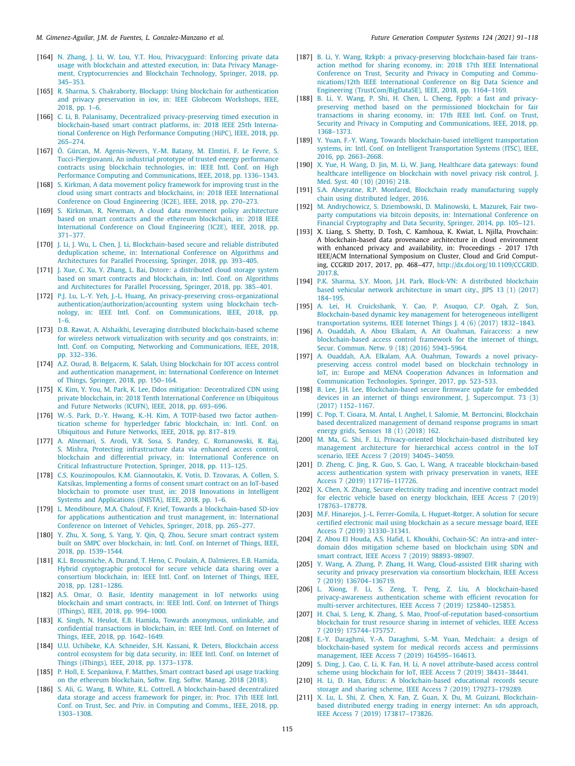- <span id="page-24-0"></span>[164] N. Zhang, I. Li, W. Lou, Y.T. Hou, Privacyguard: Enforcing private data [usage with blockchain and attested execution, in: Data Privacy Manage](http://refhub.elsevier.com/S0167-739X(21)00157-6/sb164)[ment, Cryptocurrencies and Blockchain Technology, Springer, 2018, pp.](http://refhub.elsevier.com/S0167-739X(21)00157-6/sb164) [345–353.](http://refhub.elsevier.com/S0167-739X(21)00157-6/sb164)
- <span id="page-24-1"></span>[165] [R. Sharma, S. Chakraborty, Blockapp: Using blockchain for authentication](http://refhub.elsevier.com/S0167-739X(21)00157-6/sb165) [and privacy preservation in iov, in: IEEE Globecom Workshops, IEEE,](http://refhub.elsevier.com/S0167-739X(21)00157-6/sb165) [2018, pp. 1–6.](http://refhub.elsevier.com/S0167-739X(21)00157-6/sb165)
- <span id="page-24-2"></span>[166] [C. Li, B. Palanisamy, Decentralized privacy-preserving timed execution in](http://refhub.elsevier.com/S0167-739X(21)00157-6/sb166) [blockchain-based smart contract platforms, in: 2018 IEEE 25th Interna](http://refhub.elsevier.com/S0167-739X(21)00157-6/sb166)[tional Conference on High Performance Computing \(HiPC\), IEEE, 2018, pp.](http://refhub.elsevier.com/S0167-739X(21)00157-6/sb166) [265–274.](http://refhub.elsevier.com/S0167-739X(21)00157-6/sb166)
- <span id="page-24-3"></span>[167] [Ö. Gürcan, M. Agenis-Nevers, Y.-M. Batany, M. Elmtiri, F. Le Fevre, S.](http://refhub.elsevier.com/S0167-739X(21)00157-6/sb167) [Tucci-Piergiovanni, An industrial prototype of trusted energy performance](http://refhub.elsevier.com/S0167-739X(21)00157-6/sb167) [contracts using blockchain technologies, in: IEEE Intl. Conf. on High](http://refhub.elsevier.com/S0167-739X(21)00157-6/sb167) [Performance Computing and Communications, IEEE, 2018, pp. 1336–1343.](http://refhub.elsevier.com/S0167-739X(21)00157-6/sb167)
- <span id="page-24-4"></span>[168] [S. Kirkman, A data movement policy framework for improving trust in the](http://refhub.elsevier.com/S0167-739X(21)00157-6/sb168) [cloud using smart contracts and blockchains, in: 2018 IEEE International](http://refhub.elsevier.com/S0167-739X(21)00157-6/sb168) [Conference on Cloud Engineering \(IC2E\), IEEE, 2018, pp. 270–273.](http://refhub.elsevier.com/S0167-739X(21)00157-6/sb168)
- <span id="page-24-5"></span>[169] [S. Kirkman, R. Newman, A cloud data movement policy architecture](http://refhub.elsevier.com/S0167-739X(21)00157-6/sb169) [based on smart contracts and the ethereum blockchain, in: 2018 IEEE](http://refhub.elsevier.com/S0167-739X(21)00157-6/sb169) [International Conference on Cloud Engineering \(IC2E\), IEEE, 2018, pp.](http://refhub.elsevier.com/S0167-739X(21)00157-6/sb169) [371–377.](http://refhub.elsevier.com/S0167-739X(21)00157-6/sb169)
- <span id="page-24-6"></span>[170] [J. Li, J. Wu, L. Chen, J. Li, Blockchain-based secure and reliable distributed](http://refhub.elsevier.com/S0167-739X(21)00157-6/sb170) [deduplication scheme, in: International Conference on Algorithms and](http://refhub.elsevier.com/S0167-739X(21)00157-6/sb170) [Architectures for Parallel Processing, Springer, 2018, pp. 393–405.](http://refhub.elsevier.com/S0167-739X(21)00157-6/sb170)
- <span id="page-24-7"></span>[171] [J. Xue, C. Xu, Y. Zhang, L. Bai, Dstore: a distributed cloud storage system](http://refhub.elsevier.com/S0167-739X(21)00157-6/sb171) [based on smart contracts and blockchain, in: Intl. Conf. on Algorithms](http://refhub.elsevier.com/S0167-739X(21)00157-6/sb171) [and Architectures for Parallel Processing, Springer, 2018, pp. 385–401.](http://refhub.elsevier.com/S0167-739X(21)00157-6/sb171)
- <span id="page-24-8"></span>[172] [P.J. Lu, L.-Y. Yeh, J.-L. Huang, An privacy-preserving cross-organizational](http://refhub.elsevier.com/S0167-739X(21)00157-6/sb172) [authentication/authorization/accounting system using blockchain tech](http://refhub.elsevier.com/S0167-739X(21)00157-6/sb172)[nology, in: IEEE Intl. Conf. on Communications, IEEE, 2018, pp.](http://refhub.elsevier.com/S0167-739X(21)00157-6/sb172) [1–6.](http://refhub.elsevier.com/S0167-739X(21)00157-6/sb172)
- <span id="page-24-9"></span>[173] [D.B. Rawat, A. Alshaikhi, Leveraging distributed blockchain-based scheme](http://refhub.elsevier.com/S0167-739X(21)00157-6/sb173) [for wireless network virtualization with security and qos constraints, in:](http://refhub.elsevier.com/S0167-739X(21)00157-6/sb173) [Intl. Conf. on Computing, Networking and Communications, IEEE, 2018,](http://refhub.elsevier.com/S0167-739X(21)00157-6/sb173) [pp. 332–336.](http://refhub.elsevier.com/S0167-739X(21)00157-6/sb173)
- <span id="page-24-10"></span>[174] [A.Z. Ourad, B. Belgacem, K. Salah, Using blockchain for IOT access control](http://refhub.elsevier.com/S0167-739X(21)00157-6/sb174) [and authentication management, in: International Conference on Internet](http://refhub.elsevier.com/S0167-739X(21)00157-6/sb174) [of Things, Springer, 2018, pp. 150–164.](http://refhub.elsevier.com/S0167-739X(21)00157-6/sb174)
- <span id="page-24-11"></span>[175] [K. Kim, Y. You, M. Park, K. Lee, Ddos mitigation: Decentralized CDN using](http://refhub.elsevier.com/S0167-739X(21)00157-6/sb175) [private blockchain, in: 2018 Tenth International Conference on Ubiquitous](http://refhub.elsevier.com/S0167-739X(21)00157-6/sb175) [and Future Networks \(ICUFN\), IEEE, 2018, pp. 693–696.](http://refhub.elsevier.com/S0167-739X(21)00157-6/sb175)
- <span id="page-24-12"></span>[176] [W.-S. Park, D.-Y. Hwang, K.-H. Kim, A TOTP-based two factor authen](http://refhub.elsevier.com/S0167-739X(21)00157-6/sb176)[tication scheme for hyperledger fabric blockchain, in: Intl. Conf. on](http://refhub.elsevier.com/S0167-739X(21)00157-6/sb176) [Ubiquitous and Future Networks, IEEE, 2018, pp. 817–819.](http://refhub.elsevier.com/S0167-739X(21)00157-6/sb176)
- <span id="page-24-13"></span>[177] [A. Alnemari, S. Arodi, V.R. Sosa, S. Pandey, C. Romanowski, R. Raj,](http://refhub.elsevier.com/S0167-739X(21)00157-6/sb177) [S. Mishra, Protecting infrastructure data via enhanced access control,](http://refhub.elsevier.com/S0167-739X(21)00157-6/sb177) [blockchain and differential privacy, in: International Conference on](http://refhub.elsevier.com/S0167-739X(21)00157-6/sb177) [Critical Infrastructure Protection, Springer, 2018, pp. 113–125.](http://refhub.elsevier.com/S0167-739X(21)00157-6/sb177)
- <span id="page-24-14"></span>[178] [C.S. Kouzinopoulos, K.M. Giannoutakis, K. Votis, D. Tzovaras, A. Collen, S.](http://refhub.elsevier.com/S0167-739X(21)00157-6/sb178) [Katsikas, Implementing a forms of consent smart contract on an IoT-based](http://refhub.elsevier.com/S0167-739X(21)00157-6/sb178) [blockchain to promote user trust, in: 2018 Innovations in Intelligent](http://refhub.elsevier.com/S0167-739X(21)00157-6/sb178) [Systems and Applications \(INISTA\), IEEE, 2018, pp. 1–6.](http://refhub.elsevier.com/S0167-739X(21)00157-6/sb178)
- <span id="page-24-15"></span>[179] [L. Mendiboure, M.A. Chalouf, F. Krief, Towards a blockchain-based SD-iov](http://refhub.elsevier.com/S0167-739X(21)00157-6/sb179) [for applications authentication and trust management, in: International](http://refhub.elsevier.com/S0167-739X(21)00157-6/sb179) [Conference on Internet of Vehicles, Springer, 2018, pp. 265–277.](http://refhub.elsevier.com/S0167-739X(21)00157-6/sb179)
- <span id="page-24-16"></span>[180] [Y. Zhu, X. Song, S. Yang, Y. Qin, Q. Zhou, Secure smart contract system](http://refhub.elsevier.com/S0167-739X(21)00157-6/sb180) [built on SMPC over blockchain, in: Intl. Conf. on Internet of Things, IEEE,](http://refhub.elsevier.com/S0167-739X(21)00157-6/sb180) [2018, pp. 1539–1544.](http://refhub.elsevier.com/S0167-739X(21)00157-6/sb180)
- <span id="page-24-17"></span>[181] [K.L. Brousmiche, A. Durand, T. Heno, C. Poulain, A. Dalmieres, E.B. Hamida,](http://refhub.elsevier.com/S0167-739X(21)00157-6/sb181) [Hybrid cryptographic protocol for secure vehicle data sharing over a](http://refhub.elsevier.com/S0167-739X(21)00157-6/sb181) [consortium blockchain, in: IEEE Intl. Conf. on Internet of Things, IEEE,](http://refhub.elsevier.com/S0167-739X(21)00157-6/sb181) [2018, pp. 1281–1286.](http://refhub.elsevier.com/S0167-739X(21)00157-6/sb181)
- <span id="page-24-18"></span>[182] [A.S. Omar, O. Basir, Identity management in IoT networks using](http://refhub.elsevier.com/S0167-739X(21)00157-6/sb182) [blockchain and smart contracts, in: IEEE Intl. Conf. on Internet of Things](http://refhub.elsevier.com/S0167-739X(21)00157-6/sb182) [\(IThings\), IEEE, 2018, pp. 994–1000.](http://refhub.elsevier.com/S0167-739X(21)00157-6/sb182)
- <span id="page-24-19"></span>[183] [K. Singh, N. Heulot, E.B. Hamida, Towards anonymous, unlinkable, and](http://refhub.elsevier.com/S0167-739X(21)00157-6/sb183) [confidential transactions in blockchain, in: IEEE Intl. Conf. on Internet of](http://refhub.elsevier.com/S0167-739X(21)00157-6/sb183) [Things, IEEE, 2018, pp. 1642–1649.](http://refhub.elsevier.com/S0167-739X(21)00157-6/sb183)
- <span id="page-24-20"></span>[184] [U.U. Uchibeke, K.A. Schneider, S.H. Kassani, R. Deters, Blockchain access](http://refhub.elsevier.com/S0167-739X(21)00157-6/sb184) [control ecosystem for big data security, in: IEEE Intl. Conf. on Internet of](http://refhub.elsevier.com/S0167-739X(21)00157-6/sb184) [Things \(iThings\), IEEE, 2018, pp. 1373–1378.](http://refhub.elsevier.com/S0167-739X(21)00157-6/sb184)
- <span id="page-24-21"></span>[185] [P. Holl, E. Scepankova, F. Matthes, Smart contract based api usage tracking](http://refhub.elsevier.com/S0167-739X(21)00157-6/sb185) [on the ethereum blockchain, Softw. Eng. Softw. Manag. 2018 \(2018\).](http://refhub.elsevier.com/S0167-739X(21)00157-6/sb185)
- <span id="page-24-22"></span>[186] [S. Ali, G. Wang, B. White, R.L. Cottrell, A blockchain-based decentralized](http://refhub.elsevier.com/S0167-739X(21)00157-6/sb186) [data storage and access framework for pinger, in: Proc. 17th IEEE Intl.](http://refhub.elsevier.com/S0167-739X(21)00157-6/sb186) [Conf. on Trust, Sec. and Priv. in Computing and Comms., IEEE, 2018, pp.](http://refhub.elsevier.com/S0167-739X(21)00157-6/sb186) [1303–1308.](http://refhub.elsevier.com/S0167-739X(21)00157-6/sb186)
- <span id="page-24-23"></span>[187] [B. Li, Y. Wang, Rzkpb: a privacy-preserving blockchain-based fair trans](http://refhub.elsevier.com/S0167-739X(21)00157-6/sb187)[action method for sharing economy, in: 2018 17th IEEE International](http://refhub.elsevier.com/S0167-739X(21)00157-6/sb187) [Conference on Trust, Security and Privacy in Computing and Commu](http://refhub.elsevier.com/S0167-739X(21)00157-6/sb187)[nications/12th IEEE International Conference on Big Data Science and](http://refhub.elsevier.com/S0167-739X(21)00157-6/sb187) [Engineering \(TrustCom/BigDataSE\), IEEE, 2018, pp. 1164–1169.](http://refhub.elsevier.com/S0167-739X(21)00157-6/sb187)
- <span id="page-24-24"></span>[188] [B. Li, Y. Wang, P. Shi, H. Chen, L. Cheng, Fppb: a fast and privacy](http://refhub.elsevier.com/S0167-739X(21)00157-6/sb188)[preserving method based on the permissioned blockchain for fair](http://refhub.elsevier.com/S0167-739X(21)00157-6/sb188) [transactions in sharing economy, in: 17th IEEE Intl. Conf. on Trust,](http://refhub.elsevier.com/S0167-739X(21)00157-6/sb188) [Security and Privacy in Computing and Communications, IEEE, 2018, pp.](http://refhub.elsevier.com/S0167-739X(21)00157-6/sb188) [1368–1373.](http://refhub.elsevier.com/S0167-739X(21)00157-6/sb188)
- <span id="page-24-25"></span>[189] [Y. Yuan, F.-Y. Wang, Towards blockchain-based intelligent transportation](http://refhub.elsevier.com/S0167-739X(21)00157-6/sb189) [systems, in: Intl. Conf. on Intelligent Transportation Systems \(ITSC\), IEEE,](http://refhub.elsevier.com/S0167-739X(21)00157-6/sb189) [2016, pp. 2663–2668.](http://refhub.elsevier.com/S0167-739X(21)00157-6/sb189)
- <span id="page-24-26"></span>[190] [X. Yue, H. Wang, D. Jin, M. Li, W. Jiang, Healthcare data gateways: found](http://refhub.elsevier.com/S0167-739X(21)00157-6/sb190) [healthcare intelligence on blockchain with novel privacy risk control, J.](http://refhub.elsevier.com/S0167-739X(21)00157-6/sb190) [Med. Syst. 40 \(10\) \(2016\) 218.](http://refhub.elsevier.com/S0167-739X(21)00157-6/sb190)
- <span id="page-24-27"></span>[191] [S.A. Abeyratne, R.P. Monfared, Blockchain ready manufacturing supply](http://refhub.elsevier.com/S0167-739X(21)00157-6/sb191) [chain using distributed ledger, 2016.](http://refhub.elsevier.com/S0167-739X(21)00157-6/sb191)
- <span id="page-24-28"></span>[192] [M. Andrychowicz, S. Dziembowski, D. Malinowski, Ł. Mazurek, Fair two](http://refhub.elsevier.com/S0167-739X(21)00157-6/sb192)[party computations via bitcoin deposits, in: International Conference on](http://refhub.elsevier.com/S0167-739X(21)00157-6/sb192) [Financial Cryptography and Data Security, Springer, 2014, pp. 105–121.](http://refhub.elsevier.com/S0167-739X(21)00157-6/sb192)
- <span id="page-24-29"></span>[193] X. Liang, S. Shetty, D. Tosh, C. Kamhoua, K. Kwiat, L. Njilla, Provchain: A blockchain-based data provenance architecture in cloud environment with enhanced privacy and availability, in: Proceedings - 2017 17th IEEE/ACM International Symposium on Cluster, Cloud and Grid Computing, CCGRID 2017, 2017, pp. 468–477, [http://dx.doi.org/10.1109/CCGRID.](http://dx.doi.org/10.1109/CCGRID.2017.8) [2017.8](http://dx.doi.org/10.1109/CCGRID.2017.8).
- <span id="page-24-30"></span>[194] [P.K. Sharma, S.Y. Moon, J.H. Park, Block-VN: A distributed blockchain](http://refhub.elsevier.com/S0167-739X(21)00157-6/sb194) [based vehicular network architecture in smart city., JIPS 13 \(1\) \(2017\)](http://refhub.elsevier.com/S0167-739X(21)00157-6/sb194) [184–195.](http://refhub.elsevier.com/S0167-739X(21)00157-6/sb194)
- <span id="page-24-31"></span>[195] [A. Lei, H. Cruickshank, Y. Cao, P. Asuquo, C.P. Ogah, Z. Sun,](http://refhub.elsevier.com/S0167-739X(21)00157-6/sb195) [Blockchain-based dynamic key management for heterogeneous intelligent](http://refhub.elsevier.com/S0167-739X(21)00157-6/sb195) [transportation systems, IEEE Internet Things J. 4 \(6\) \(2017\) 1832–1843.](http://refhub.elsevier.com/S0167-739X(21)00157-6/sb195)
- <span id="page-24-32"></span>[196] [A. Ouaddah, A. Abou Elkalam, A. Ait Ouahman, Fairaccess: a new](http://refhub.elsevier.com/S0167-739X(21)00157-6/sb196) [blockchain-based access control framework for the internet of things,](http://refhub.elsevier.com/S0167-739X(21)00157-6/sb196) [Secur. Commun. Netw. 9 \(18\) \(2016\) 5943–5964.](http://refhub.elsevier.com/S0167-739X(21)00157-6/sb196)
- <span id="page-24-33"></span>[197] [A. Ouaddah, A.A. Elkalam, A.A. Ouahman, Towards a novel privacy](http://refhub.elsevier.com/S0167-739X(21)00157-6/sb197)[preserving access control model based on blockchain technology in](http://refhub.elsevier.com/S0167-739X(21)00157-6/sb197) [IoT, in: Europe and MENA Cooperation Advances in Information and](http://refhub.elsevier.com/S0167-739X(21)00157-6/sb197) [Communication Technologies, Springer, 2017, pp. 523–533.](http://refhub.elsevier.com/S0167-739X(21)00157-6/sb197)
- <span id="page-24-34"></span>[198] [B. Lee, J.H. Lee, Blockchain-based secure firmware update for embedded](http://refhub.elsevier.com/S0167-739X(21)00157-6/sb198) [devices in an internet of things environment, J. Supercomput. 73 \(3\)](http://refhub.elsevier.com/S0167-739X(21)00157-6/sb198) [\(2017\) 1152–1167.](http://refhub.elsevier.com/S0167-739X(21)00157-6/sb198)
- <span id="page-24-35"></span>[199] [C. Pop, T. Cioara, M. Antal, I. Anghel, I. Salomie, M. Bertoncini, Blockchain](http://refhub.elsevier.com/S0167-739X(21)00157-6/sb199) [based decentralized management of demand response programs in smart](http://refhub.elsevier.com/S0167-739X(21)00157-6/sb199) [energy grids, Sensors 18 \(1\) \(2018\) 162.](http://refhub.elsevier.com/S0167-739X(21)00157-6/sb199)
- <span id="page-24-36"></span>[200] [M. Ma, G. Shi, F. Li, Privacy-oriented blockchain-based distributed key](http://refhub.elsevier.com/S0167-739X(21)00157-6/sb200) [management architecture for hierarchical access control in the IoT](http://refhub.elsevier.com/S0167-739X(21)00157-6/sb200) [scenario, IEEE Access 7 \(2019\) 34045–34059.](http://refhub.elsevier.com/S0167-739X(21)00157-6/sb200)
- <span id="page-24-37"></span>[201] [D. Zheng, C. Jing, R. Guo, S. Gao, L. Wang, A traceable blockchain-based](http://refhub.elsevier.com/S0167-739X(21)00157-6/sb201) [access authentication system with privacy preservation in vanets, IEEE](http://refhub.elsevier.com/S0167-739X(21)00157-6/sb201) [Access 7 \(2019\) 117716–117726.](http://refhub.elsevier.com/S0167-739X(21)00157-6/sb201)
- <span id="page-24-38"></span>[202] [X. Chen, X. Zhang, Secure electricity trading and incentive contract model](http://refhub.elsevier.com/S0167-739X(21)00157-6/sb202) [for electric vehicle based on energy blockchain, IEEE Access 7 \(2019\)](http://refhub.elsevier.com/S0167-739X(21)00157-6/sb202) [178763–178778.](http://refhub.elsevier.com/S0167-739X(21)00157-6/sb202)
- <span id="page-24-39"></span>[203] [M.F. Hinarejos, J.-L. Ferrer-Gomila, L. Huguet-Rotger, A solution for secure](http://refhub.elsevier.com/S0167-739X(21)00157-6/sb203) [certified electronic mail using blockchain as a secure message board, IEEE](http://refhub.elsevier.com/S0167-739X(21)00157-6/sb203) [Access 7 \(2019\) 31330–31341.](http://refhub.elsevier.com/S0167-739X(21)00157-6/sb203)
- <span id="page-24-40"></span>[204] [Z. Abou El Houda, A.S. Hafid, L. Khoukhi, Cochain-SC: An intra-and inter](http://refhub.elsevier.com/S0167-739X(21)00157-6/sb204)[domain ddos mitigation scheme based on blockchain using SDN and](http://refhub.elsevier.com/S0167-739X(21)00157-6/sb204) [smart contract, IEEE Access 7 \(2019\) 98893–98907.](http://refhub.elsevier.com/S0167-739X(21)00157-6/sb204)
- <span id="page-24-41"></span>[205] [Y. Wang, A. Zhang, P. Zhang, H. Wang, Cloud-assisted EHR sharing with](http://refhub.elsevier.com/S0167-739X(21)00157-6/sb205) [security and privacy preservation via consortium blockchain, IEEE Access](http://refhub.elsevier.com/S0167-739X(21)00157-6/sb205) [7 \(2019\) 136704–136719.](http://refhub.elsevier.com/S0167-739X(21)00157-6/sb205)
- <span id="page-24-42"></span>[206] [L. Xiong, F. Li, S. Zeng, T. Peng, Z. Liu, A blockchain-based](http://refhub.elsevier.com/S0167-739X(21)00157-6/sb206) [privacy-awareness authentication scheme with efficient revocation for](http://refhub.elsevier.com/S0167-739X(21)00157-6/sb206) [multi-server architectures, IEEE Access 7 \(2019\) 125840–125853.](http://refhub.elsevier.com/S0167-739X(21)00157-6/sb206)
- <span id="page-24-43"></span>[207] [H. Chai, S. Leng, K. Zhang, S. Mao, Proof-of-reputation based-consortium](http://refhub.elsevier.com/S0167-739X(21)00157-6/sb207) [blockchain for trust resource sharing in internet of vehicles, IEEE Access](http://refhub.elsevier.com/S0167-739X(21)00157-6/sb207) [7 \(2019\) 175744–175757.](http://refhub.elsevier.com/S0167-739X(21)00157-6/sb207)
- <span id="page-24-44"></span>[208] [E.-Y. Daraghmi, Y.-A. Daraghmi, S.-M. Yuan, Medchain: a design of](http://refhub.elsevier.com/S0167-739X(21)00157-6/sb208) [blockchain-based system for medical records access and permissions](http://refhub.elsevier.com/S0167-739X(21)00157-6/sb208) [management, IEEE Access 7 \(2019\) 164595–164613.](http://refhub.elsevier.com/S0167-739X(21)00157-6/sb208)
- <span id="page-24-45"></span>[209] [S. Ding, J. Cao, C. Li, K. Fan, H. Li, A novel attribute-based access control](http://refhub.elsevier.com/S0167-739X(21)00157-6/sb209) [scheme using blockchain for IoT, IEEE Access 7 \(2019\) 38431–38441.](http://refhub.elsevier.com/S0167-739X(21)00157-6/sb209)
- <span id="page-24-46"></span>[210] [H. Li, D. Han, Edurss: A blockchain-based educational records secure](http://refhub.elsevier.com/S0167-739X(21)00157-6/sb210) [storage and sharing scheme, IEEE Access 7 \(2019\) 179273–179289.](http://refhub.elsevier.com/S0167-739X(21)00157-6/sb210)
- <span id="page-24-47"></span>[211] [X. Lu, L. Shi, Z. Chen, X. Fan, Z. Guan, X. Du, M. Guizani, Blockchain](http://refhub.elsevier.com/S0167-739X(21)00157-6/sb211)[based distributed energy trading in energy internet: An sdn approach,](http://refhub.elsevier.com/S0167-739X(21)00157-6/sb211) [IEEE Access 7 \(2019\) 173817–173826.](http://refhub.elsevier.com/S0167-739X(21)00157-6/sb211)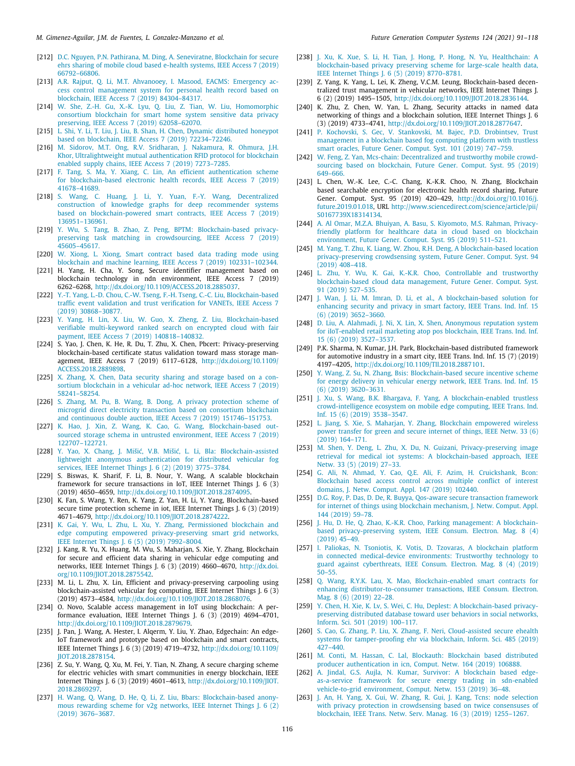- <span id="page-25-0"></span>[212] [D.C. Nguyen, P.N. Pathirana, M. Ding, A. Seneviratne, Blockchain for secure](http://refhub.elsevier.com/S0167-739X(21)00157-6/sb212) [ehrs sharing of mobile cloud based e-health systems, IEEE Access 7 \(2019\)](http://refhub.elsevier.com/S0167-739X(21)00157-6/sb212) [66792–66806.](http://refhub.elsevier.com/S0167-739X(21)00157-6/sb212)
- <span id="page-25-1"></span>[213] [A.R. Rajput, Q. Li, M.T. Ahvanooey, I. Masood, EACMS: Emergency ac](http://refhub.elsevier.com/S0167-739X(21)00157-6/sb213)[cess control management system for personal health record based on](http://refhub.elsevier.com/S0167-739X(21)00157-6/sb213) [blockchain, IEEE Access 7 \(2019\) 84304–84317.](http://refhub.elsevier.com/S0167-739X(21)00157-6/sb213)
- <span id="page-25-2"></span>[214] [W. She, Z.-H. Gu, X.-K. Lyu, Q. Liu, Z. Tian, W. Liu, Homomorphic](http://refhub.elsevier.com/S0167-739X(21)00157-6/sb214) [consortium blockchain for smart home system sensitive data privacy](http://refhub.elsevier.com/S0167-739X(21)00157-6/sb214) [preserving, IEEE Access 7 \(2019\) 62058–62070.](http://refhub.elsevier.com/S0167-739X(21)00157-6/sb214)
- <span id="page-25-3"></span>[215] [L. Shi, Y. Li, T. Liu, J. Liu, B. Shan, H. Chen, Dynamic distributed honeypot](http://refhub.elsevier.com/S0167-739X(21)00157-6/sb215) [based on blockchain, IEEE Access 7 \(2019\) 72234–72246.](http://refhub.elsevier.com/S0167-739X(21)00157-6/sb215)
- <span id="page-25-4"></span>[216] [M. Sidorov, M.T. Ong, R.V. Sridharan, J. Nakamura, R. Ohmura, J.H.](http://refhub.elsevier.com/S0167-739X(21)00157-6/sb216) [Khor, Ultralightweight mutual authentication RFID protocol for blockchain](http://refhub.elsevier.com/S0167-739X(21)00157-6/sb216) [enabled supply chains, IEEE Access 7 \(2019\) 7273–7285.](http://refhub.elsevier.com/S0167-739X(21)00157-6/sb216)
- <span id="page-25-5"></span>[217] [F. Tang, S. Ma, Y. Xiang, C. Lin, An efficient authentication scheme](http://refhub.elsevier.com/S0167-739X(21)00157-6/sb217) [for blockchain-based electronic health records, IEEE Access 7 \(2019\)](http://refhub.elsevier.com/S0167-739X(21)00157-6/sb217) [41678–41689.](http://refhub.elsevier.com/S0167-739X(21)00157-6/sb217)
- <span id="page-25-6"></span>[218] [S. Wang, C. Huang, J. Li, Y. Yuan, F.-Y. Wang, Decentralized](http://refhub.elsevier.com/S0167-739X(21)00157-6/sb218) [construction of knowledge graphs for deep recommender systems](http://refhub.elsevier.com/S0167-739X(21)00157-6/sb218) [based on blockchain-powered smart contracts, IEEE Access 7 \(2019\)](http://refhub.elsevier.com/S0167-739X(21)00157-6/sb218) [136951–136961.](http://refhub.elsevier.com/S0167-739X(21)00157-6/sb218)
- <span id="page-25-7"></span>[219] Y. Wu, S. Tang, B. Zhao, Z. Peng, BPTM: Blockchain-based privacy [preserving task matching in crowdsourcing, IEEE Access 7 \(2019\)](http://refhub.elsevier.com/S0167-739X(21)00157-6/sb219) [45605–45617.](http://refhub.elsevier.com/S0167-739X(21)00157-6/sb219)
- <span id="page-25-8"></span>[220] [W. Xiong, L. Xiong, Smart contract based data trading mode using](http://refhub.elsevier.com/S0167-739X(21)00157-6/sb220) [blockchain and machine learning, IEEE Access 7 \(2019\) 102331–102344.](http://refhub.elsevier.com/S0167-739X(21)00157-6/sb220)
- <span id="page-25-9"></span>[221] H. Yang, H. Cha, Y. Song, Secure identifier management based on blockchain technology in ndn environment, IEEE Access 7 (2019) 6262–6268, [http://dx.doi.org/10.1109/ACCESS.2018.2885037.](http://dx.doi.org/10.1109/ACCESS.2018.2885037)
- <span id="page-25-10"></span>[222] [Y.-T. Yang, L.-D. Chou, C.-W. Tseng, F.-H. Tseng, C.-C. Liu, Blockchain-based](http://refhub.elsevier.com/S0167-739X(21)00157-6/sb222) [traffic event validation and trust verification for VANETs, IEEE Access 7](http://refhub.elsevier.com/S0167-739X(21)00157-6/sb222) [\(2019\) 30868–30877.](http://refhub.elsevier.com/S0167-739X(21)00157-6/sb222)
- <span id="page-25-11"></span>[223] [Y. Yang, H. Lin, X. Liu, W. Guo, X. Zheng, Z. Liu, Blockchain-based](http://refhub.elsevier.com/S0167-739X(21)00157-6/sb223) [verifiable multi-keyword ranked search on encrypted cloud with fair](http://refhub.elsevier.com/S0167-739X(21)00157-6/sb223) [payment, IEEE Access 7 \(2019\) 140818–140832.](http://refhub.elsevier.com/S0167-739X(21)00157-6/sb223)
- <span id="page-25-12"></span>[224] S. Yao, J. Chen, K. He, R. Du, T. Zhu, X. Chen, Pbcert: Privacy-preserving blockchain-based certificate status validation toward mass storage management, IEEE Access 7 (2019) 6117–6128, [http://dx.doi.org/10.1109/](http://dx.doi.org/10.1109/ACCESS.2018.2889898) [ACCESS.2018.2889898](http://dx.doi.org/10.1109/ACCESS.2018.2889898).
- <span id="page-25-13"></span>[225] [X. Zhang, X. Chen, Data security sharing and storage based on a con](http://refhub.elsevier.com/S0167-739X(21)00157-6/sb225)[sortium blockchain in a vehicular ad-hoc network, IEEE Access 7 \(2019\)](http://refhub.elsevier.com/S0167-739X(21)00157-6/sb225) [58241–58254.](http://refhub.elsevier.com/S0167-739X(21)00157-6/sb225)
- <span id="page-25-14"></span>[226] [S. Zhang, M. Pu, B. Wang, B. Dong, A privacy protection scheme of](http://refhub.elsevier.com/S0167-739X(21)00157-6/sb226) [microgrid direct electricity transaction based on consortium blockchain](http://refhub.elsevier.com/S0167-739X(21)00157-6/sb226) [and continuous double auction, IEEE Access 7 \(2019\) 151746–151753.](http://refhub.elsevier.com/S0167-739X(21)00157-6/sb226)
- <span id="page-25-15"></span>[227] [K. Hao, J. Xin, Z. Wang, K. Cao, G. Wang, Blockchain-based out](http://refhub.elsevier.com/S0167-739X(21)00157-6/sb227)[sourced storage schema in untrusted environment, IEEE Access 7 \(2019\)](http://refhub.elsevier.com/S0167-739X(21)00157-6/sb227) [122707–122721.](http://refhub.elsevier.com/S0167-739X(21)00157-6/sb227)
- <span id="page-25-16"></span>[228] [Y. Yao, X. Chang, J. Mišić, V.B. Mišić, L. Li, Bla: Blockchain-assisted](http://refhub.elsevier.com/S0167-739X(21)00157-6/sb228) [lightweight anonymous authentication for distributed vehicular fog](http://refhub.elsevier.com/S0167-739X(21)00157-6/sb228) [services, IEEE Internet Things J. 6 \(2\) \(2019\) 3775–3784.](http://refhub.elsevier.com/S0167-739X(21)00157-6/sb228)
- <span id="page-25-17"></span>[229] S. Biswas, K. Sharif, F. Li, B. Nour, Y. Wang, A scalable blockchain framework for secure transactions in IoT, IEEE Internet Things J. 6 (3) (2019) 4650–4659, <http://dx.doi.org/10.1109/JIOT.2018.2874095>.
- <span id="page-25-18"></span>[230] K. Fan, S. Wang, Y. Ren, K. Yang, Z. Yan, H. Li, Y. Yang, Blockchain-based secure time protection scheme in iot, IEEE Internet Things J. 6 (3) (2019) 4671–4679, <http://dx.doi.org/10.1109/JIOT.2018.2874222>.
- <span id="page-25-19"></span>[231] [K. Gai, Y. Wu, L. Zhu, L. Xu, Y. Zhang, Permissioned blockchain and](http://refhub.elsevier.com/S0167-739X(21)00157-6/sb231) [edge computing empowered privacy-preserving smart grid networks,](http://refhub.elsevier.com/S0167-739X(21)00157-6/sb231) [IEEE Internet Things J. 6 \(5\) \(2019\) 7992–8004.](http://refhub.elsevier.com/S0167-739X(21)00157-6/sb231)
- <span id="page-25-20"></span>[232] J. Kang, R. Yu, X. Huang, M. Wu, S. Maharjan, S. Xie, Y. Zhang, Blockchain for secure and efficient data sharing in vehicular edge computing and networks, IEEE Internet Things J. 6 (3) (2019) 4660–4670, [http://dx.doi.](http://dx.doi.org/10.1109/JIOT.2018.2875542) [org/10.1109/JIOT.2018.2875542.](http://dx.doi.org/10.1109/JIOT.2018.2875542)
- <span id="page-25-21"></span>[233] M. Li, L. Zhu, X. Lin, Efficient and privacy-preserving carpooling using blockchain-assisted vehicular fog computing, IEEE Internet Things J. 6 (3) (2019) 4573–4584, <http://dx.doi.org/10.1109/JIOT.2018.2868076>.
- <span id="page-25-22"></span>[234] O. Novo, Scalable access management in IoT using blockchain: A performance evaluation, IEEE Internet Things J. 6 (3) (2019) 4694–4701, <http://dx.doi.org/10.1109/JIOT.2018.2879679>.
- <span id="page-25-23"></span>[235] J. Pan, J. Wang, A. Hester, I. Alqerm, Y. Liu, Y. Zhao, Edgechain: An edge-IoT framework and prototype based on blockchain and smart contracts, IEEE Internet Things J. 6 (3) (2019) 4719–4732, [http://dx.doi.org/10.1109/](http://dx.doi.org/10.1109/JIOT.2018.2878154) [JIOT.2018.2878154.](http://dx.doi.org/10.1109/JIOT.2018.2878154)
- <span id="page-25-24"></span>[236] Z. Su, Y. Wang, Q. Xu, M. Fei, Y. Tian, N. Zhang, A secure charging scheme for electric vehicles with smart communities in energy blockchain, IEEE Internet Things J. 6 (3) (2019) 4601–4613, [http://dx.doi.org/10.1109/JIOT.](http://dx.doi.org/10.1109/JIOT.2018.2869297) [2018.2869297](http://dx.doi.org/10.1109/JIOT.2018.2869297).
- <span id="page-25-25"></span>[237] [H. Wang, Q. Wang, D. He, Q. Li, Z. Liu, Bbars: Blockchain-based anony](http://refhub.elsevier.com/S0167-739X(21)00157-6/sb237)[mous rewarding scheme for v2g networks, IEEE Internet Things J. 6 \(2\)](http://refhub.elsevier.com/S0167-739X(21)00157-6/sb237) [\(2019\) 3676–3687.](http://refhub.elsevier.com/S0167-739X(21)00157-6/sb237)
- <span id="page-25-26"></span>[238] [J. Xu, K. Xue, S. Li, H. Tian, J. Hong, P. Hong, N. Yu, Healthchain: A](http://refhub.elsevier.com/S0167-739X(21)00157-6/sb238) [blockchain-based privacy preserving scheme for large-scale health data,](http://refhub.elsevier.com/S0167-739X(21)00157-6/sb238) [IEEE Internet Things J. 6 \(5\) \(2019\) 8770–8781.](http://refhub.elsevier.com/S0167-739X(21)00157-6/sb238)
- <span id="page-25-27"></span>[239] Z. Yang, K. Yang, L. Lei, K. Zheng, V.C.M. Leung, Blockchain-based decentralized trust management in vehicular networks, IEEE Internet Things J. 6 (2) (2019) 1495–1505, <http://dx.doi.org/10.1109/JIOT.2018.2836144>.
- <span id="page-25-28"></span>[240] K. Zhu, Z. Chen, W. Yan, L. Zhang, Security attacks in named data networking of things and a blockchain solution, IEEE Internet Things J. 6 (3) (2019) 4733–4741, [http://dx.doi.org/10.1109/JIOT.2018.2877647.](http://dx.doi.org/10.1109/JIOT.2018.2877647)
- <span id="page-25-29"></span>[241] [P. Kochovski, S. Gec, V. Stankovski, M. Bajec, P.D. Drobintsev, Trust](http://refhub.elsevier.com/S0167-739X(21)00157-6/sb241) [management in a blockchain based fog computing platform with trustless](http://refhub.elsevier.com/S0167-739X(21)00157-6/sb241) [smart oracles, Future Gener. Comput. Syst. 101 \(2019\) 747–759.](http://refhub.elsevier.com/S0167-739X(21)00157-6/sb241)
- <span id="page-25-30"></span>[242] [W. Feng, Z. Yan, Mcs-chain: Decentralized and trustworthy mobile crowd](http://refhub.elsevier.com/S0167-739X(21)00157-6/sb242)[sourcing based on blockchain, Future Gener. Comput. Syst. 95 \(2019\)](http://refhub.elsevier.com/S0167-739X(21)00157-6/sb242) [649–666.](http://refhub.elsevier.com/S0167-739X(21)00157-6/sb242)
- <span id="page-25-31"></span>[243] L. Chen, W.-K. Lee, C.-C. Chang, K.-K.R. Choo, N. Zhang, Blockchain based searchable encryption for electronic health record sharing, Future Gener. Comput. Syst. 95 (2019) 420–429, [http://dx.doi.org/10.1016/j.](http://dx.doi.org/10.1016/j.future.2019.01.018) [future.2019.01.018,](http://dx.doi.org/10.1016/j.future.2019.01.018) URL [http://www.sciencedirect.com/science/article/pii/](http://www.sciencedirect.com/science/article/pii/S0167739X18314134) [S0167739X18314134](http://www.sciencedirect.com/science/article/pii/S0167739X18314134).
- <span id="page-25-32"></span>[244] [A. Al Omar, M.Z.A. Bhuiyan, A. Basu, S. Kiyomoto, M.S. Rahman, Privacy](http://refhub.elsevier.com/S0167-739X(21)00157-6/sb244)[friendly platform for healthcare data in cloud based on blockchain](http://refhub.elsevier.com/S0167-739X(21)00157-6/sb244) [environment, Future Gener. Comput. Syst. 95 \(2019\) 511–521.](http://refhub.elsevier.com/S0167-739X(21)00157-6/sb244)
- <span id="page-25-33"></span>[245] [M. Yang, T. Zhu, K. Liang, W. Zhou, R.H. Deng, A blockchain-based location](http://refhub.elsevier.com/S0167-739X(21)00157-6/sb245) [privacy-preserving crowdsensing system, Future Gener. Comput. Syst. 94](http://refhub.elsevier.com/S0167-739X(21)00157-6/sb245) [\(2019\) 408–418.](http://refhub.elsevier.com/S0167-739X(21)00157-6/sb245)
- <span id="page-25-34"></span>[246] [L. Zhu, Y. Wu, K. Gai, K.-K.R. Choo, Controllable and trustworthy](http://refhub.elsevier.com/S0167-739X(21)00157-6/sb246) [blockchain-based cloud data management, Future Gener. Comput. Syst.](http://refhub.elsevier.com/S0167-739X(21)00157-6/sb246) [91 \(2019\) 527–535.](http://refhub.elsevier.com/S0167-739X(21)00157-6/sb246)
- <span id="page-25-35"></span>[247] [J. Wan, J. Li, M. Imran, D. Li, et al., A blockchain-based solution for](http://refhub.elsevier.com/S0167-739X(21)00157-6/sb247) [enhancing security and privacy in smart factory, IEEE Trans. Ind. Inf. 15](http://refhub.elsevier.com/S0167-739X(21)00157-6/sb247) [\(6\) \(2019\) 3652–3660.](http://refhub.elsevier.com/S0167-739X(21)00157-6/sb247)
- <span id="page-25-36"></span>[248] [D. Liu, A. Alahmadi, J. Ni, X. Lin, X. Shen, Anonymous reputation system](http://refhub.elsevier.com/S0167-739X(21)00157-6/sb248) [for iIoT-enabled retail marketing atop pos blockchain, IEEE Trans. Ind. Inf.](http://refhub.elsevier.com/S0167-739X(21)00157-6/sb248) [15 \(6\) \(2019\) 3527–3537.](http://refhub.elsevier.com/S0167-739X(21)00157-6/sb248)
- <span id="page-25-37"></span>[249] P.K. Sharma, N. Kumar, J.H. Park, Blockchain-based distributed framework for automotive industry in a smart city, IEEE Trans. Ind. Inf. 15 (7) (2019) 4197–4205, <http://dx.doi.org/10.1109/TII.2018.2887101>.
- <span id="page-25-38"></span>[250] [Y. Wang, Z. Su, N. Zhang, Bsis: Blockchain-based secure incentive scheme](http://refhub.elsevier.com/S0167-739X(21)00157-6/sb250) [for energy delivery in vehicular energy network, IEEE Trans. Ind. Inf. 15](http://refhub.elsevier.com/S0167-739X(21)00157-6/sb250) [\(6\) \(2019\) 3620–3631.](http://refhub.elsevier.com/S0167-739X(21)00157-6/sb250)
- <span id="page-25-39"></span>[251] [J. Xu, S. Wang, B.K. Bhargava, F. Yang, A blockchain-enabled trustless](http://refhub.elsevier.com/S0167-739X(21)00157-6/sb251) [crowd-intelligence ecosystem on mobile edge computing, IEEE Trans. Ind.](http://refhub.elsevier.com/S0167-739X(21)00157-6/sb251) [Inf. 15 \(6\) \(2019\) 3538–3547.](http://refhub.elsevier.com/S0167-739X(21)00157-6/sb251)
- <span id="page-25-40"></span>[252] [L. Jiang, S. Xie, S. Maharjan, Y. Zhang, Blockchain empowered wireless](http://refhub.elsevier.com/S0167-739X(21)00157-6/sb252) [power transfer for green and secure internet of things, IEEE Netw. 33 \(6\)](http://refhub.elsevier.com/S0167-739X(21)00157-6/sb252) [\(2019\) 164–171.](http://refhub.elsevier.com/S0167-739X(21)00157-6/sb252)
- <span id="page-25-41"></span>[253] [M. Shen, Y. Deng, L. Zhu, X. Du, N. Guizani, Privacy-preserving image](http://refhub.elsevier.com/S0167-739X(21)00157-6/sb253) [retrieval for medical iot systems: A blockchain-based approach, IEEE](http://refhub.elsevier.com/S0167-739X(21)00157-6/sb253) [Netw. 33 \(5\) \(2019\) 27–33.](http://refhub.elsevier.com/S0167-739X(21)00157-6/sb253)
- <span id="page-25-42"></span>[254] [G. Ali, N. Ahmad, Y. Cao, Q.E. Ali, F. Azim, H. Cruickshank, Bcon:](http://refhub.elsevier.com/S0167-739X(21)00157-6/sb254) [Blockchain based access control across multiple conflict of interest](http://refhub.elsevier.com/S0167-739X(21)00157-6/sb254) [domains, J. Netw. Comput. Appl. 147 \(2019\) 102440.](http://refhub.elsevier.com/S0167-739X(21)00157-6/sb254)
- <span id="page-25-43"></span>[255] [D.G. Roy, P. Das, D. De, R. Buyya, Qos-aware secure transaction framework](http://refhub.elsevier.com/S0167-739X(21)00157-6/sb255) [for internet of things using blockchain mechanism, J. Netw. Comput. Appl.](http://refhub.elsevier.com/S0167-739X(21)00157-6/sb255) [144 \(2019\) 59–78.](http://refhub.elsevier.com/S0167-739X(21)00157-6/sb255)
- <span id="page-25-44"></span>[256] [J. Hu, D. He, Q. Zhao, K.-K.R. Choo, Parking management: A blockchain](http://refhub.elsevier.com/S0167-739X(21)00157-6/sb256)[based privacy-preserving system, IEEE Consum. Electron. Mag. 8 \(4\)](http://refhub.elsevier.com/S0167-739X(21)00157-6/sb256) [\(2019\) 45–49.](http://refhub.elsevier.com/S0167-739X(21)00157-6/sb256)
- <span id="page-25-45"></span>[257] [I. Paliokas, N. Tsoniotis, K. Votis, D. Tzovaras, A blockchain platform](http://refhub.elsevier.com/S0167-739X(21)00157-6/sb257) [in connected medical-device environments: Trustworthy technology to](http://refhub.elsevier.com/S0167-739X(21)00157-6/sb257) [guard against cyberthreats, IEEE Consum. Electron. Mag. 8 \(4\) \(2019\)](http://refhub.elsevier.com/S0167-739X(21)00157-6/sb257) [50–55.](http://refhub.elsevier.com/S0167-739X(21)00157-6/sb257)
- <span id="page-25-46"></span>[258] [Q. Wang, R.Y.K. Lau, X. Mao, Blockchain-enabled smart contracts for](http://refhub.elsevier.com/S0167-739X(21)00157-6/sb258) [enhancing distributor-to-consumer transactions, IEEE Consum. Electron.](http://refhub.elsevier.com/S0167-739X(21)00157-6/sb258) [Mag. 8 \(6\) \(2019\) 22–28.](http://refhub.elsevier.com/S0167-739X(21)00157-6/sb258)
- <span id="page-25-47"></span>[259] [Y. Chen, H. Xie, K. Lv, S. Wei, C. Hu, Deplest: A blockchain-based privacy](http://refhub.elsevier.com/S0167-739X(21)00157-6/sb259)[preserving distributed database toward user behaviors in social networks,](http://refhub.elsevier.com/S0167-739X(21)00157-6/sb259) [Inform. Sci. 501 \(2019\) 100–117.](http://refhub.elsevier.com/S0167-739X(21)00157-6/sb259)
- <span id="page-25-48"></span>[260] [S. Cao, G. Zhang, P. Liu, X. Zhang, F. Neri, Cloud-assisted secure ehealth](http://refhub.elsevier.com/S0167-739X(21)00157-6/sb260) [systems for tamper-proofing ehr via blockchain, Inform. Sci. 485 \(2019\)](http://refhub.elsevier.com/S0167-739X(21)00157-6/sb260) [427–440.](http://refhub.elsevier.com/S0167-739X(21)00157-6/sb260)
- <span id="page-25-49"></span>[261] [M. Conti, M. Hassan, C. Lal, Blockauth: Blockchain based distributed](http://refhub.elsevier.com/S0167-739X(21)00157-6/sb261) [producer authentication in icn, Comput. Netw. 164 \(2019\) 106888.](http://refhub.elsevier.com/S0167-739X(21)00157-6/sb261)
- <span id="page-25-50"></span>[262] [A. Jindal, G.S. Aujla, N. Kumar, Survivor: A blockchain based edge](http://refhub.elsevier.com/S0167-739X(21)00157-6/sb262)[as-a-service framework for secure energy trading in sdn-enabled](http://refhub.elsevier.com/S0167-739X(21)00157-6/sb262) [vehicle-to-grid environment, Comput. Netw. 153 \(2019\) 36–48.](http://refhub.elsevier.com/S0167-739X(21)00157-6/sb262)
- <span id="page-25-51"></span>[263] [J. An, H. Yang, X. Gui, W. Zhang, R. Gui, J. Kang, Tcns: node selection](http://refhub.elsevier.com/S0167-739X(21)00157-6/sb263) [with privacy protection in crowdsensing based on twice consensuses of](http://refhub.elsevier.com/S0167-739X(21)00157-6/sb263) [blockchain, IEEE Trans. Netw. Serv. Manag. 16 \(3\) \(2019\) 1255–1267.](http://refhub.elsevier.com/S0167-739X(21)00157-6/sb263)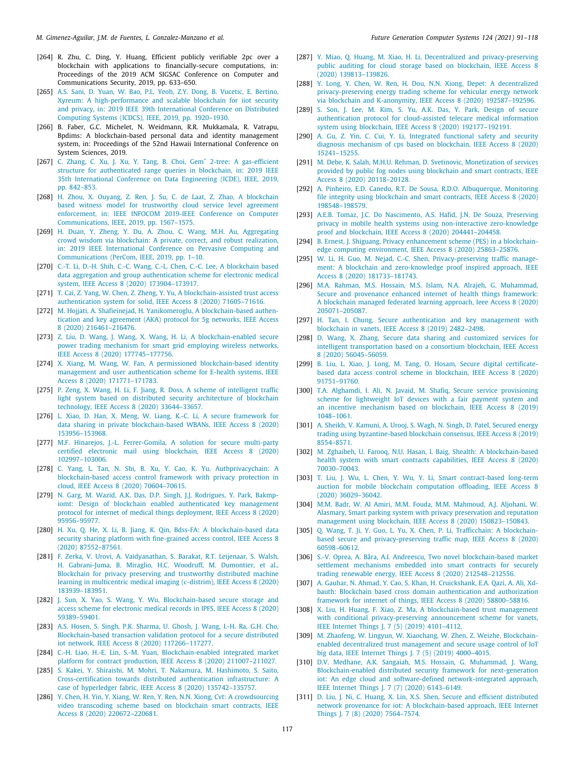- <span id="page-26-0"></span>[264] R. Zhu, C. Ding, Y. Huang, Efficient publicly verifiable 2pc over a blockchain with applications to financially-secure computations, in: Proceedings of the 2019 ACM SIGSAC Conference on Computer and Communications Security, 2019, pp. 633–650.
- <span id="page-26-1"></span>[265] [A.S. Sani, D. Yuan, W. Bao, P.L. Yeoh, Z.Y. Dong, B. Vucetic, E. Bertino,](http://refhub.elsevier.com/S0167-739X(21)00157-6/sb265) [Xyreum: A high-performance and scalable blockchain for iiot security](http://refhub.elsevier.com/S0167-739X(21)00157-6/sb265) [and privacy, in: 2019 IEEE 39th International Conference on Distributed](http://refhub.elsevier.com/S0167-739X(21)00157-6/sb265) [Computing Systems \(ICDCS\), IEEE, 2019, pp. 1920–1930.](http://refhub.elsevier.com/S0167-739X(21)00157-6/sb265)
- <span id="page-26-2"></span>[266] B. Faber, G.C. Michelet, N. Weidmann, R.R. Mukkamala, R. Vatrapu, Bpdims: A blockchain-based personal data and identity management system, in: Proceedings of the 52nd Hawaii International Conference on System Sciences, 2019.
- <span id="page-26-3"></span>[267] [C. Zhang, C. Xu, J. Xu, Y. Tang, B. Choi, Gemˆ 2-tree: A gas-efficient](http://refhub.elsevier.com/S0167-739X(21)00157-6/sb267) [structure for authenticated range queries in blockchain, in: 2019 IEEE](http://refhub.elsevier.com/S0167-739X(21)00157-6/sb267) [35th International Conference on Data Engineering \(ICDE\), IEEE, 2019,](http://refhub.elsevier.com/S0167-739X(21)00157-6/sb267) [pp. 842–853.](http://refhub.elsevier.com/S0167-739X(21)00157-6/sb267)
- <span id="page-26-4"></span>[268] [H. Zhou, X. Ouyang, Z. Ren, J. Su, C. de Laat, Z. Zhao, A blockchain](http://refhub.elsevier.com/S0167-739X(21)00157-6/sb268) [based witness model for trustworthy cloud service level agreement](http://refhub.elsevier.com/S0167-739X(21)00157-6/sb268) [enforcement, in: IEEE INFOCOM 2019-IEEE Conference on Computer](http://refhub.elsevier.com/S0167-739X(21)00157-6/sb268) [Communications, IEEE, 2019, pp. 1567–1575.](http://refhub.elsevier.com/S0167-739X(21)00157-6/sb268)
- <span id="page-26-5"></span>[269] [H. Duan, Y. Zheng, Y. Du, A. Zhou, C. Wang, M.H. Au, Aggregating](http://refhub.elsevier.com/S0167-739X(21)00157-6/sb269) [crowd wisdom via blockchain: A private, correct, and robust realization,](http://refhub.elsevier.com/S0167-739X(21)00157-6/sb269) [in: 2019 IEEE International Conference on Pervasive Computing and](http://refhub.elsevier.com/S0167-739X(21)00157-6/sb269) [Communications \(PerCom, IEEE, 2019, pp. 1–10.](http://refhub.elsevier.com/S0167-739X(21)00157-6/sb269)
- <span id="page-26-6"></span>[270] [C.-T. Li, D.-H. Shih, C.-C. Wang, C.-L. Chen, C.-C. Lee, A blockchain based](http://refhub.elsevier.com/S0167-739X(21)00157-6/sb270) [data aggregation and group authentication scheme for electronic medical](http://refhub.elsevier.com/S0167-739X(21)00157-6/sb270) [system, IEEE Access 8 \(2020\) 173904–173917.](http://refhub.elsevier.com/S0167-739X(21)00157-6/sb270)
- <span id="page-26-7"></span>[271] [T. Cai, Z. Yang, W. Chen, Z. Zheng, Y. Yu, A blockchain-assisted trust access](http://refhub.elsevier.com/S0167-739X(21)00157-6/sb271) [authentication system for solid, IEEE Access 8 \(2020\) 71605–71616.](http://refhub.elsevier.com/S0167-739X(21)00157-6/sb271)
- <span id="page-26-8"></span>[272] [M. Hojjati, A. Shafieinejad, H. Yanikomeroglu, A blockchain-based authen](http://refhub.elsevier.com/S0167-739X(21)00157-6/sb272)[tication and key agreement \(AKA\) protocol for 5g networks, IEEE Access](http://refhub.elsevier.com/S0167-739X(21)00157-6/sb272) [8 \(2020\) 216461–216476.](http://refhub.elsevier.com/S0167-739X(21)00157-6/sb272)
- <span id="page-26-9"></span>[273] [Z. Liu, D. Wang, J. Wang, X. Wang, H. Li, A blockchain-enabled secure](http://refhub.elsevier.com/S0167-739X(21)00157-6/sb273) [power trading mechanism for smart grid employing wireless networks,](http://refhub.elsevier.com/S0167-739X(21)00157-6/sb273) [IEEE Access 8 \(2020\) 177745–177756.](http://refhub.elsevier.com/S0167-739X(21)00157-6/sb273)
- <span id="page-26-10"></span>[274] [X. Xiang, M. Wang, W. Fan, A permissioned blockchain-based identity](http://refhub.elsevier.com/S0167-739X(21)00157-6/sb274) [management and user authentication scheme for E-health systems, IEEE](http://refhub.elsevier.com/S0167-739X(21)00157-6/sb274) [Access 8 \(2020\) 171771–171783.](http://refhub.elsevier.com/S0167-739X(21)00157-6/sb274)
- <span id="page-26-11"></span>[275] [P. Zeng, X. Wang, H. Li, F. Jiang, R. Doss, A scheme of intelligent traffic](http://refhub.elsevier.com/S0167-739X(21)00157-6/sb275) [light system based on distributed security architecture of blockchain](http://refhub.elsevier.com/S0167-739X(21)00157-6/sb275) [technology, IEEE Access 8 \(2020\) 33644–33657.](http://refhub.elsevier.com/S0167-739X(21)00157-6/sb275)
- <span id="page-26-12"></span>[276] [L. Xiao, D. Han, X. Meng, W. Liang, K.-C. Li, A secure framework for](http://refhub.elsevier.com/S0167-739X(21)00157-6/sb276) [data sharing in private blockchain-based WBANs, IEEE Access 8 \(2020\)](http://refhub.elsevier.com/S0167-739X(21)00157-6/sb276) [153956–153968.](http://refhub.elsevier.com/S0167-739X(21)00157-6/sb276)
- <span id="page-26-13"></span>[277] [M.F. Hinarejos, J.-L. Ferrer-Gomila, A solution for secure multi-party](http://refhub.elsevier.com/S0167-739X(21)00157-6/sb277) [certified electronic mail using blockchain, IEEE Access 8 \(2020\)](http://refhub.elsevier.com/S0167-739X(21)00157-6/sb277) [102997–103006.](http://refhub.elsevier.com/S0167-739X(21)00157-6/sb277)
- <span id="page-26-14"></span>[278] [C. Yang, L. Tan, N. Shi, B. Xu, Y. Cao, K. Yu, Authprivacychain: A](http://refhub.elsevier.com/S0167-739X(21)00157-6/sb278) [blockchain-based access control framework with privacy protection in](http://refhub.elsevier.com/S0167-739X(21)00157-6/sb278) [cloud, IEEE Access 8 \(2020\) 70604–70615.](http://refhub.elsevier.com/S0167-739X(21)00157-6/sb278)
- <span id="page-26-15"></span>[279] [N. Garg, M. Wazid, A.K. Das, D.P. Singh, J.J. Rodrigues, Y. Park, Bakmp](http://refhub.elsevier.com/S0167-739X(21)00157-6/sb279)[iomt: Design of blockchain enabled authenticated key management](http://refhub.elsevier.com/S0167-739X(21)00157-6/sb279) [protocol for internet of medical things deployment, IEEE Access 8 \(2020\)](http://refhub.elsevier.com/S0167-739X(21)00157-6/sb279) [95956–95977.](http://refhub.elsevier.com/S0167-739X(21)00157-6/sb279)
- <span id="page-26-16"></span>[280] [H. Xu, Q. He, X. Li, B. Jiang, K. Qin, Bdss-FA: A blockchain-based data](http://refhub.elsevier.com/S0167-739X(21)00157-6/sb280) [security sharing platform with fine-grained access control, IEEE Access 8](http://refhub.elsevier.com/S0167-739X(21)00157-6/sb280) [\(2020\) 87552–87561.](http://refhub.elsevier.com/S0167-739X(21)00157-6/sb280)
- <span id="page-26-17"></span>[281] [F. Zerka, V. Urovi, A. Vaidyanathan, S. Barakat, R.T. Leijenaar, S. Walsh,](http://refhub.elsevier.com/S0167-739X(21)00157-6/sb281) [H. Gabrani-Juma, B. Miraglio, H.C. Woodruff, M. Dumontier, et al.,](http://refhub.elsevier.com/S0167-739X(21)00157-6/sb281) [Blockchain for privacy preserving and trustworthy distributed machine](http://refhub.elsevier.com/S0167-739X(21)00157-6/sb281) [learning in multicentric medical imaging \(c-distrim\), IEEE Access 8 \(2020\)](http://refhub.elsevier.com/S0167-739X(21)00157-6/sb281) [183939–183951.](http://refhub.elsevier.com/S0167-739X(21)00157-6/sb281)
- <span id="page-26-18"></span>[282] [J. Sun, X. Yao, S. Wang, Y. Wu, Blockchain-based secure storage and](http://refhub.elsevier.com/S0167-739X(21)00157-6/sb282) [access scheme for electronic medical records in IPFS, IEEE Access 8 \(2020\)](http://refhub.elsevier.com/S0167-739X(21)00157-6/sb282) [59389–59401.](http://refhub.elsevier.com/S0167-739X(21)00157-6/sb282)
- <span id="page-26-19"></span>[283] [A.S. Hosen, S. Singh, P.K. Sharma, U. Ghosh, J. Wang, I.-H. Ra, G.H. Cho,](http://refhub.elsevier.com/S0167-739X(21)00157-6/sb283) [Blockchain-based transaction validation protocol for a secure distributed](http://refhub.elsevier.com/S0167-739X(21)00157-6/sb283) [iot network, IEEE Access 8 \(2020\) 117266–117277.](http://refhub.elsevier.com/S0167-739X(21)00157-6/sb283)
- <span id="page-26-20"></span>[284] [C.-H. Liao, H.-E. Lin, S.-M. Yuan, Blockchain-enabled integrated market](http://refhub.elsevier.com/S0167-739X(21)00157-6/sb284) [platform for contract production, IEEE Access 8 \(2020\) 211007–211027.](http://refhub.elsevier.com/S0167-739X(21)00157-6/sb284)
- <span id="page-26-21"></span>[285] [S. Kakei, Y. Shiraishi, M. Mohri, T. Nakamura, M. Hashimoto, S. Saito,](http://refhub.elsevier.com/S0167-739X(21)00157-6/sb285) [Cross-certification towards distributed authentication infrastructure: A](http://refhub.elsevier.com/S0167-739X(21)00157-6/sb285) [case of hyperledger fabric, IEEE Access 8 \(2020\) 135742–135757.](http://refhub.elsevier.com/S0167-739X(21)00157-6/sb285)
- <span id="page-26-22"></span>[286] [Y. Chen, H. Yin, Y. Xiang, W. Ren, Y. Ren, N.N. Xiong, Cvt: A crowdsourcing](http://refhub.elsevier.com/S0167-739X(21)00157-6/sb286) [video transcoding scheme based on blockchain smart contracts, IEEE](http://refhub.elsevier.com/S0167-739X(21)00157-6/sb286) [Access 8 \(2020\) 220672–220681.](http://refhub.elsevier.com/S0167-739X(21)00157-6/sb286)
- <span id="page-26-23"></span>[287] [Y. Miao, Q. Huang, M. Xiao, H. Li, Decentralized and privacy-preserving](http://refhub.elsevier.com/S0167-739X(21)00157-6/sb287) [public auditing for cloud storage based on blockchain, IEEE Access 8](http://refhub.elsevier.com/S0167-739X(21)00157-6/sb287) [\(2020\) 139813–139826.](http://refhub.elsevier.com/S0167-739X(21)00157-6/sb287)
- <span id="page-26-24"></span>[288] [Y. Long, Y. Chen, W. Ren, H. Dou, N.N. Xiong, Depet: A decentralized](http://refhub.elsevier.com/S0167-739X(21)00157-6/sb288) [privacy-preserving energy trading scheme for vehicular energy network](http://refhub.elsevier.com/S0167-739X(21)00157-6/sb288) [via blockchain and K-anonymity, IEEE Access 8 \(2020\) 192587–192596.](http://refhub.elsevier.com/S0167-739X(21)00157-6/sb288)
- <span id="page-26-25"></span>[289] [S. Son, J. Lee, M. Kim, S. Yu, A.K. Das, Y. Park, Design of secure](http://refhub.elsevier.com/S0167-739X(21)00157-6/sb289) [authentication protocol for cloud-assisted telecare medical information](http://refhub.elsevier.com/S0167-739X(21)00157-6/sb289) [system using blockchain, IEEE Access 8 \(2020\) 192177–192191.](http://refhub.elsevier.com/S0167-739X(21)00157-6/sb289)
- <span id="page-26-26"></span>[290] [A. Gu, Z. Yin, C. Cui, Y. Li, Integrated functional safety and security](http://refhub.elsevier.com/S0167-739X(21)00157-6/sb290) [diagnosis mechanism of cps based on blockchain, IEEE Access 8 \(2020\)](http://refhub.elsevier.com/S0167-739X(21)00157-6/sb290) [15241–15255.](http://refhub.elsevier.com/S0167-739X(21)00157-6/sb290)
- <span id="page-26-27"></span>[291] [M. Debe, K. Salah, M.H.U. Rehman, D. Svetinovic, Monetization of services](http://refhub.elsevier.com/S0167-739X(21)00157-6/sb291) [provided by public fog nodes using blockchain and smart contracts, IEEE](http://refhub.elsevier.com/S0167-739X(21)00157-6/sb291) [Access 8 \(2020\) 20118–20128.](http://refhub.elsevier.com/S0167-739X(21)00157-6/sb291)
- <span id="page-26-28"></span>[292] [A. Pinheiro, E.D. Canedo, R.T. De Sousa, R.D.O. Albuquerque, Monitoring](http://refhub.elsevier.com/S0167-739X(21)00157-6/sb292) [file integrity using blockchain and smart contracts, IEEE Access 8 \(2020\)](http://refhub.elsevier.com/S0167-739X(21)00157-6/sb292) [198548–198579.](http://refhub.elsevier.com/S0167-739X(21)00157-6/sb292)
- <span id="page-26-29"></span>[293] [A.E.B. Tomaz, J.C. Do Nascimento, A.S. Hafid, J.N. De Souza, Preserving](http://refhub.elsevier.com/S0167-739X(21)00157-6/sb293) [privacy in mobile health systems using non-interactive zero-knowledge](http://refhub.elsevier.com/S0167-739X(21)00157-6/sb293) [proof and blockchain, IEEE Access 8 \(2020\) 204441–204458.](http://refhub.elsevier.com/S0167-739X(21)00157-6/sb293)
- <span id="page-26-30"></span>[294] [B. Ernest, J. Shiguang, Privacy enhancement scheme \(PES\) in a blockchain](http://refhub.elsevier.com/S0167-739X(21)00157-6/sb294)[edge computing environment, IEEE Access 8 \(2020\) 25863–25876.](http://refhub.elsevier.com/S0167-739X(21)00157-6/sb294)
- <span id="page-26-31"></span>[295] [W. Li, H. Guo, M. Nejad, C.-C. Shen, Privacy-preserving traffic manage](http://refhub.elsevier.com/S0167-739X(21)00157-6/sb295)[ment: A blockchain and zero-knowledge proof inspired approach, IEEE](http://refhub.elsevier.com/S0167-739X(21)00157-6/sb295) [Access 8 \(2020\) 181733–181743.](http://refhub.elsevier.com/S0167-739X(21)00157-6/sb295)
- <span id="page-26-32"></span>[296] [M.A. Rahman, M.S. Hossain, M.S. Islam, N.A. Alrajeh, G. Muhammad,](http://refhub.elsevier.com/S0167-739X(21)00157-6/sb296) [Secure and provenance enhanced internet of health things framework:](http://refhub.elsevier.com/S0167-739X(21)00157-6/sb296) [A blockchain managed federated learning approach, Ieee Access 8 \(2020\)](http://refhub.elsevier.com/S0167-739X(21)00157-6/sb296) [205071–205087.](http://refhub.elsevier.com/S0167-739X(21)00157-6/sb296)
- <span id="page-26-33"></span>[297] [H. Tan, I. Chung, Secure authentication and key management with](http://refhub.elsevier.com/S0167-739X(21)00157-6/sb297) [blockchain in vanets, IEEE Access 8 \(2019\) 2482–2498.](http://refhub.elsevier.com/S0167-739X(21)00157-6/sb297)
- <span id="page-26-34"></span>[298] [D. Wang, X. Zhang, Secure data sharing and customized services for](http://refhub.elsevier.com/S0167-739X(21)00157-6/sb298) [intelligent transportation based on a consortium blockchain, IEEE Access](http://refhub.elsevier.com/S0167-739X(21)00157-6/sb298) [8 \(2020\) 56045–56059.](http://refhub.elsevier.com/S0167-739X(21)00157-6/sb298)
- <span id="page-26-35"></span>[299] [B. Liu, L. Xiao, J. Long, M. Tang, O. Hosam, Secure digital certificate](http://refhub.elsevier.com/S0167-739X(21)00157-6/sb299)[based data access control scheme in blockchain, IEEE Access 8 \(2020\)](http://refhub.elsevier.com/S0167-739X(21)00157-6/sb299) [91751–91760.](http://refhub.elsevier.com/S0167-739X(21)00157-6/sb299)
- <span id="page-26-36"></span>[300] [T.A. Alghamdi, I. Ali, N. Javaid, M. Shafiq, Secure service provisioning](http://refhub.elsevier.com/S0167-739X(21)00157-6/sb300) [scheme for lightweight IoT devices with a fair payment system and](http://refhub.elsevier.com/S0167-739X(21)00157-6/sb300) [an incentive mechanism based on blockchain, IEEE Access 8 \(2019\)](http://refhub.elsevier.com/S0167-739X(21)00157-6/sb300) [1048–1061.](http://refhub.elsevier.com/S0167-739X(21)00157-6/sb300)
- <span id="page-26-37"></span>[301] [A. Sheikh, V. Kamuni, A. Urooj, S. Wagh, N. Singh, D. Patel, Secured energy](http://refhub.elsevier.com/S0167-739X(21)00157-6/sb301) [trading using byzantine-based blockchain consensus, IEEE Access 8 \(2019\)](http://refhub.elsevier.com/S0167-739X(21)00157-6/sb301) [8554–8571.](http://refhub.elsevier.com/S0167-739X(21)00157-6/sb301)
- <span id="page-26-38"></span>[302] [M. Zghaibeh, U. Farooq, N.U. Hasan, I. Baig, Shealth: A blockchain-based](http://refhub.elsevier.com/S0167-739X(21)00157-6/sb302) health system with smart contracts capabilities. IEEE Access 8 (2020) [70030–70043.](http://refhub.elsevier.com/S0167-739X(21)00157-6/sb302)
- <span id="page-26-39"></span>[303] [T. Liu, J. Wu, L. Chen, Y. Wu, Y. Li, Smart contract-based long-term](http://refhub.elsevier.com/S0167-739X(21)00157-6/sb303) [auction for mobile blockchain computation offloading, IEEE Access 8](http://refhub.elsevier.com/S0167-739X(21)00157-6/sb303) [\(2020\) 36029–36042.](http://refhub.elsevier.com/S0167-739X(21)00157-6/sb303)
- <span id="page-26-40"></span>[304] [M.M. Badr, W. Al Amiri, M.M. Fouda, M.M. Mahmoud, A.J. Aljohani, W.](http://refhub.elsevier.com/S0167-739X(21)00157-6/sb304) [Alasmary, Smart parking system with privacy preservation and reputation](http://refhub.elsevier.com/S0167-739X(21)00157-6/sb304) [management using blockchain, IEEE Access 8 \(2020\) 150823–150843.](http://refhub.elsevier.com/S0167-739X(21)00157-6/sb304)
- <span id="page-26-41"></span>[305] [Q. Wang, T. Ji, Y. Guo, L. Yu, X. Chen, P. Li, Trafficchain: A blockchain](http://refhub.elsevier.com/S0167-739X(21)00157-6/sb305)[based secure and privacy-preserving traffic map, IEEE Access 8 \(2020\)](http://refhub.elsevier.com/S0167-739X(21)00157-6/sb305) [60598–60612.](http://refhub.elsevier.com/S0167-739X(21)00157-6/sb305)
- <span id="page-26-42"></span>[306] [S.-V. Oprea, A. Bâra, A.I. Andreescu, Two novel blockchain-based market](http://refhub.elsevier.com/S0167-739X(21)00157-6/sb306) [settlement mechanisms embedded into smart contracts for securely](http://refhub.elsevier.com/S0167-739X(21)00157-6/sb306) [trading renewable energy, IEEE Access 8 \(2020\) 212548–212556.](http://refhub.elsevier.com/S0167-739X(21)00157-6/sb306)
- <span id="page-26-43"></span>[307] [A. Gauhar, N. Ahmad, Y. Cao, S. Khan, H. Cruickshank, E.A. Qazi, A. Ali, Xd](http://refhub.elsevier.com/S0167-739X(21)00157-6/sb307)[bauth: Blockchain based cross domain authentication and authorization](http://refhub.elsevier.com/S0167-739X(21)00157-6/sb307) [framework for internet of things, IEEE Access 8 \(2020\) 58800–58816.](http://refhub.elsevier.com/S0167-739X(21)00157-6/sb307)
- <span id="page-26-44"></span>[308] [X. Liu, H. Huang, F. Xiao, Z. Ma, A blockchain-based trust management](http://refhub.elsevier.com/S0167-739X(21)00157-6/sb308) [with conditional privacy-preserving announcement scheme for vanets,](http://refhub.elsevier.com/S0167-739X(21)00157-6/sb308) [IEEE Internet Things J. 7 \(5\) \(2019\) 4101–4112.](http://refhub.elsevier.com/S0167-739X(21)00157-6/sb308)
- <span id="page-26-45"></span>[309] [M. Zhaofeng, W. Lingyun, W. Xiaochang, W. Zhen, Z. Weizhe, Blockchain](http://refhub.elsevier.com/S0167-739X(21)00157-6/sb309)[enabled decentralized trust management and secure usage control of IoT](http://refhub.elsevier.com/S0167-739X(21)00157-6/sb309) [big data, IEEE Internet Things J. 7 \(5\) \(2019\) 4000–4015.](http://refhub.elsevier.com/S0167-739X(21)00157-6/sb309)
- <span id="page-26-46"></span>[310] [D.V. Medhane, A.K. Sangaiah, M.S. Hossain, G. Muhammad, J. Wang,](http://refhub.elsevier.com/S0167-739X(21)00157-6/sb310) [Blockchain-enabled distributed security framework for next-generation](http://refhub.elsevier.com/S0167-739X(21)00157-6/sb310) [iot: An edge cloud and software-defined network-integrated approach,](http://refhub.elsevier.com/S0167-739X(21)00157-6/sb310) [IEEE Internet Things J. 7 \(7\) \(2020\) 6143–6149.](http://refhub.elsevier.com/S0167-739X(21)00157-6/sb310)
- <span id="page-26-47"></span>[311] [D. Liu, J. Ni, C. Huang, X. Lin, X.S. Shen, Secure and efficient distributed](http://refhub.elsevier.com/S0167-739X(21)00157-6/sb311) [network provenance for iot: A blockchain-based approach, IEEE Internet](http://refhub.elsevier.com/S0167-739X(21)00157-6/sb311) [Things J. 7 \(8\) \(2020\) 7564–7574.](http://refhub.elsevier.com/S0167-739X(21)00157-6/sb311)